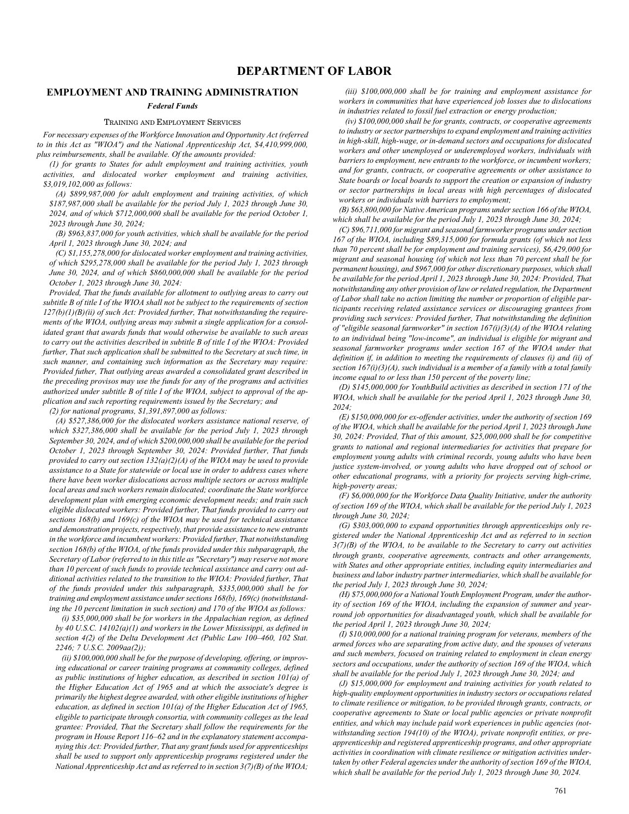# **EMPLOYMENT AND TRAINING ADMINISTRATION**

# *Federal Funds*

# TRAINING AND EMPLOYMENT SERVICES

*For necessary expenses of the Workforce Innovation and Opportunity Act (referred to in this Act as "WIOA") and the National Apprenticeship Act, \$4,410,999,000, plus reimbursements, shall be available. Of the amounts provided:*

*(1) for grants to States for adult employment and training activities, youth activities, and dislocated worker employment and training activities, \$3,019,102,000 as follows:*

*(A) \$899,987,000 for adult employment and training activities, of which \$187,987,000 shall be available for the period July 1, 2023 through June 30, 2024, and of which \$712,000,000 shall be available for the period October 1, 2023 through June 30, 2024;*

*(B) \$963,837,000 for youth activities, which shall be available for the period April 1, 2023 through June 30, 2024; and*

*(C) \$1,155,278,000 for dislocated worker employment and training activities, of which \$295,278,000 shall be available for the period July 1, 2023 through June 30, 2024, and of which \$860,000,000 shall be available for the period October 1, 2023 through June 30, 2024:*

*Provided, That the funds available for allotment to outlying areas to carry out subtitle B of title I of the WIOA shall not be subject to the requirements of section 127(b)(1)(B)(ii) of such Act: Provided further, That notwithstanding the requirements of the WIOA, outlying areas may submit a single application for a consolidated grant that awards funds that would otherwise be available to such areas to carry out the activities described in subtitle B of title I of the WIOA: Provided further, That such application shall be submitted to the Secretary at such time, in such manner, and containing such information as the Secretary may require: Provided futher, That outlying areas awarded a consolidated grant described in the preceding provisos may use the funds for any of the programs and activities authorized under subtitle B of title I of the WIOA, subject to approval of the application and such reporting requirements issued by the Secretary; and*

*(2) for national programs, \$1,391,897,000 as follows:*

*(A) \$527,386,000 for the dislocated workers assistance national reserve, of which \$327,386,000 shall be available for the period July 1, 2023 through September 30, 2024, and of which \$200,000,000 shall be available for the period October 1, 2023 through September 30, 2024: Provided further, That funds provided to carry out section 132(a)(2)(A) of the WIOA may be used to provide assistance to a State for statewide or local use in order to address cases where there have been worker dislocations across multiple sectors or across multiple local areas and such workers remain dislocated; coordinate the State workforce development plan with emerging economic development needs; and train such eligible dislocated workers: Provided further, That funds provided to carry out sections 168(b) and 169(c) of the WIOA may be used for technical assistance and demonstration projects, respectively, that provide assistance to new entrants in the workforce and incumbent workers: Provided further, That notwithstanding section 168(b) of the WIOA, of the funds provided under this subparagraph, the Secretary of Labor (referred to in this title as "Secretary") may reserve not more than 10 percent of such funds to provide technical assistance and carry out additional activities related to the transition to the WIOA: Provided further, That of the funds provided under this subparagraph, \$335,000,000 shall be for training and employment assistance under sections 168(b), 169(c) (notwithstanding the 10 percent limitation in such section) and 170 of the WIOA as follows:*

*(i) \$35,000,000 shall be for workers in the Appalachian region, as defined by 40 U.S.C. 14102(a)(1) and workers in the Lower Mississippi, as defined in section 4(2) of the Delta Development Act (Public Law 100–460, 102 Stat. 2246; 7 U.S.C. 2009aa(2));*

*(ii) \$100,000,000 shall be for the purpose of developing, offering, or improving educational or career training programs at community colleges, defined as public institutions of higher education, as described in section 101(a) of the Higher Education Act of 1965 and at which the associate's degree is primarily the highest degree awarded, with other eligible institutions of higher education, as defined in section 101(a) of the Higher Education Act of 1965, eligible to participate through consortia, with community colleges as the lead grantee: Provided, That the Secretary shall follow the requirements for the program in House Report 116–62 and in the explanatory statement accompanying this Act: Provided further, That any grant funds used for apprenticeships shall be used to support only apprenticeship programs registered under the National Apprenticeship Act and as referred to in section 3(7)(B) of the WIOA;*

*(iii) \$100,000,000 shall be for training and employment assistance for workers in communities that have experienced job losses due to dislocations in industries related to fossil fuel extraction or energy production;*

*(iv) \$100,000,000 shall be for grants, contracts, or cooperative agreements to industry or sector partnerships to expand employment and training activities in high-skill, high-wage, or in-demand sectors and occupations for dislocated workers and other unemployed or underemployed workers, individuals with barriers to employment, new entrants to the workforce, or incumbent workers; and for grants, contracts, or cooperative agreements or other assistance to State boards or local boards to support the creation or expansion of industry or sector partnerships in local areas with high percentages of dislocated workers or individuals with barriers to employment;*

*(B) \$63,800,000 for Native American programs under section 166 of the WIOA, which shall be available for the period July 1, 2023 through June 30, 2024;*

*(C) \$96,711,000 for migrant and seasonal farmworker programs under section 167 of the WIOA, including \$89,315,000 for formula grants (of which not less than 70 percent shall be for employment and training services), \$6,429,000 for migrant and seasonal housing (of which not less than 70 percent shall be for permanent housing), and \$967,000 for other discretionary purposes, which shall be available for the period April 1, 2023 through June 30, 2024: Provided, That notwithstanding any other provision of law or related regulation, the Department of Labor shall take no action limiting the number or proportion of eligible participants receiving related assistance services or discouraging grantees from providing such services: Provided further, That notwithstanding the definition of "eligible seasonal farmworker" in section 167(i)(3)(A) of the WIOA relating to an individual being "low-income", an individual is eligible for migrant and seasonal farmworker programs under section 167 of the WIOA under that definition if, in addition to meeting the requirements of clauses (i) and (ii) of section 167(i)(3)(A), such individual is a member of a family with a total family income equal to or less than 150 percent of the poverty line;*

*(D) \$145,000,000 for YouthBuild activities as described in section 171 of the WIOA, which shall be available for the period April 1, 2023 through June 30, 2024;*

*(E) \$150,000,000 for ex-offender activities, under the authority of section 169 of the WIOA, which shall be available for the period April 1, 2023 through June 30, 2024: Provided, That of this amount, \$25,000,000 shall be for competitive grants to national and regional intermediaries for activities that prepare for employment young adults with criminal records, young adults who have been justice system-involved, or young adults who have dropped out of school or other educational programs, with a priority for projects serving high-crime, high-poverty areas;*

*(F) \$6,000,000 for the Workforce Data Quality Initiative, under the authority of section 169 of the WIOA, which shall be available for the period July 1, 2023 through June 30, 2024;*

*(G) \$303,000,000 to expand opportunities through apprenticeships only registered under the National Apprenticeship Act and as referred to in section 3(7)(B) of the WIOA, to be available to the Secretary to carry out activities through grants, cooperative agreements, contracts and other arrangements, with States and other appropriate entities, including equity intermediaries and business and labor industry partner intermediaries, which shall be available for the period July 1, 2023 through June 30, 2024;*

*(H) \$75,000,000 for a National Youth Employment Program, under the authority of section 169 of the WIOA, including the expansion of summer and yearround job opportunities for disadvantaged youth, which shall be available for the period April 1, 2023 through June 30, 2024;*

*(I) \$10,000,000 for a national training program for veterans, members of the armed forces who are separating from active duty, and the spouses of veterans and such members, focused on training related to employment in clean energy sectors and occupations, under the authority of section 169 of the WIOA, which shall be available for the period July 1, 2023 through June 30, 2024; and*

*(J) \$15,000,000 for employment and training activities for youth related to high-quality employment opportunities in industry sectors or occupations related to climate resilience or mitigation, to be provided through grants, contracts, or cooperative agreements to State or local public agencies or private nonprofit entities, and which may include paid work experiences in public agencies (notwithstanding section 194(10) of the WIOA), private nonprofit entities, or preapprenticeship and registered apprenticeship programs, and other appropriate activities in coordination with climate resilience or mitigation activities undertaken by other Federal agencies under the authority of section 169 of the WIOA, which shall be available for the period July 1, 2023 through June 30, 2024.*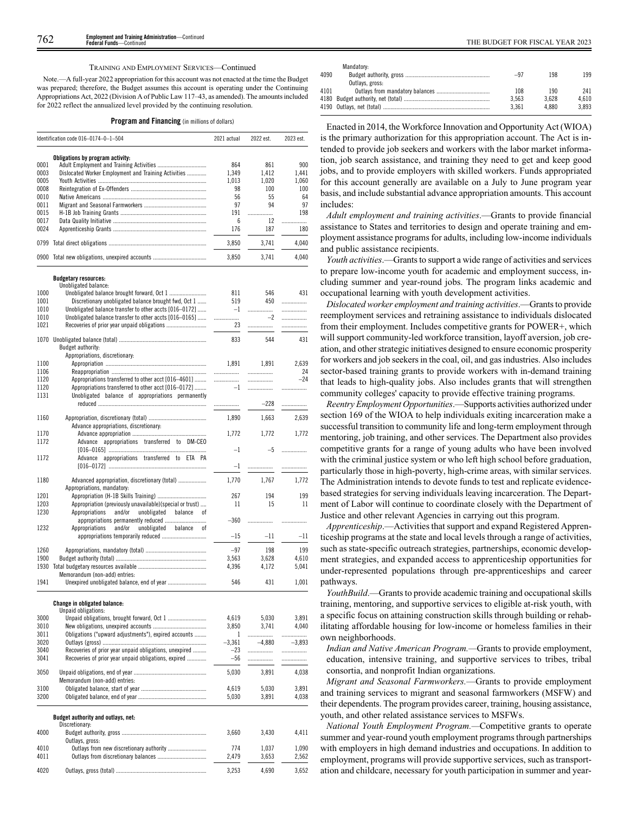#### TRAINING AND EMPLOYMENT SERVICES—Continued

Note.—A full-year 2022 appropriation for this account was not enacted at the time the Budget was prepared; therefore, the Budget assumes this account is operating under the Continuing Appropriations Act, 2022 (Division A of Public Law 117–43, as amended). The amounts included for 2022 reflect the annualized level provided by the continuing resolution.

|  |  |  | <b>Program and Financing</b> (in millions of dollars) |  |
|--|--|--|-------------------------------------------------------|--|
|--|--|--|-------------------------------------------------------|--|

|              | Identification code 016-0174-0-1-504                     | 2021 actual | 2022 est. | 2023 est. |
|--------------|----------------------------------------------------------|-------------|-----------|-----------|
|              | Obligations by program activity:                         |             |           |           |
| 0001         |                                                          | 864         | 861       | 900       |
| 0003         | Dislocated Worker Employment and Training Activities     | 1,349       | 1,412     | 1,441     |
| 0005         |                                                          | 1,013       | 1,020     | 1,060     |
| 0008         |                                                          | 98          | 100       | 100       |
| 0010         |                                                          | 56          | 55        | 64        |
| 0011         |                                                          | 97          | 94        | 97        |
| 0015         |                                                          | 191         | .         | 198       |
| 0017<br>0024 |                                                          | 6<br>176    | 12<br>187 | .<br>180  |
|              |                                                          |             |           |           |
| 0799         |                                                          | 3,850       | 3,741     | 4,040     |
|              | 0900 Total new obligations, unexpired accounts           | 3,850       | 3,741     | 4,040     |
|              | <b>Budgetary resources:</b>                              |             |           |           |
|              | Unobligated balance:                                     |             |           |           |
| 1000         | Unobligated balance brought forward, Oct 1               | 811         | 546       | 431       |
| 1001         | Discretionary unobligated balance brought fwd, Oct 1     | 519         | 450       | .         |
| 1010         | Unobligated balance transfer to other accts [016-0172]   | $-1$        |           | .         |
| 1010         | Unobligated balance transfer to other accts [016-0165]   | .           | $-2$      | .         |
| 1021         |                                                          | 23          | .         | .         |
|              |                                                          |             |           |           |
|              |                                                          | 833         | 544       | 431       |
|              | Budget authority:                                        |             |           |           |
|              | Appropriations, discretionary:                           |             |           |           |
| 1100         |                                                          | 1,891       | 1.891     | 2,639     |
| 1106         |                                                          |             |           | 24        |
| 1120         | Appropriations transferred to other acct [016-4601]      | .           | .         | $-24$     |
| 1120         | Appropriations transferred to other acct [016-0172]      | $-1$        | .         | .         |
| 1131         | Unobligated balance of appropriations permanently        |             |           |           |
|              |                                                          | .           | $-228$    | .         |
| 1160         |                                                          | 1,890       | 1,663     | 2,639     |
|              | Advance appropriations, discretionary:                   |             |           |           |
| 1170         |                                                          | 1,772       | 1,772     | 1,772     |
| 1172         | appropriations transferred to DM-CEO<br>Advance          |             |           |           |
|              |                                                          | $-1$        | $-5$      | .         |
| 1172         | Advance appropriations transferred to ETA PA             |             |           |           |
|              |                                                          | $-1$        | .         | .         |
|              |                                                          |             |           |           |
| 1180         | Advanced appropriation, discretionary (total)            | 1,770       | 1,767     | 1,772     |
|              | Appropriations, mandatory:                               |             |           |           |
| 1201         |                                                          | 267         | 194       | 199       |
| 1203         | Appropriation (previously unavailable)(special or trust) | 11          | 15        | 11        |
| 1230         | Appropriations<br>and/or<br>unobligated<br>balance<br>оf |             |           |           |
|              |                                                          | $-360$      |           | .         |
| 1232         | and/or<br>unobligated<br>Appropriations<br>balance<br>0f |             |           |           |
|              |                                                          | $-15$       | -11       | $-11$     |
|              |                                                          |             |           |           |
| 1260         |                                                          | $-97$       | 198       | 199       |
| 1900         |                                                          | 3,563       | 3,628     | 4,610     |
| 1930         |                                                          | 4,396       | 4,172     | 5,041     |
|              | Memorandum (non-add) entries:                            |             |           |           |
| 1941         | Unexpired unobligated balance, end of year               | 546         | 431       | 1,001     |
|              | <b>Change in obligated balance:</b>                      |             |           |           |
|              | Unpaid obligations:                                      |             |           |           |
| 3000         |                                                          | 4,619       | 5,030     | 3,891     |
| 3010         |                                                          | 3,850       | 3,741     | 4,040     |
| 3011         | Obligations ("upward adjustments"), expired accounts     | 1           | .         | .         |
| 3020         |                                                          | $-3,361$    | $-4,880$  | $-3,893$  |
| 3040         | Recoveries of prior year unpaid obligations, unexpired   | $-23$       | .         |           |
| 3041         | Recoveries of prior year unpaid obligations, expired     | $-56$       |           |           |
|              |                                                          |             |           |           |
| 3050         |                                                          | 5.030       | 3,891     | 4,038     |
|              | Memorandum (non-add) entries:                            |             |           |           |
| 3100         |                                                          | 4,619       | 5,030     | 3,891     |
| 3200         |                                                          | 5,030       | 3,891     | 4,038     |
|              | Budget authority and outlays, net:                       |             |           |           |
|              | Discretionary:                                           |             |           |           |
| 4000         |                                                          | 3,660       | 3,430     | 4,411     |
|              | Outlays, gross:                                          |             |           |           |
| 4010         |                                                          | 774         | 1,037     | 1,090     |
| 4011         |                                                          | 2,479       | 3,653     | 2,562     |
| 4020         |                                                          | 3,253       | 4,690     | 3,652     |
|              |                                                          |             |           |           |

| $-97$ | 198   | 199   |
|-------|-------|-------|
|       |       |       |
| 108   | 190   | 241   |
| 3.563 | 3.628 | 4.610 |
| 3.361 | 4.880 | 3.893 |
|       |       |       |

Enacted in 2014, the Workforce Innovation and Opportunity Act (WIOA) is the primary authorization for this appropriation account. The Act is intended to provide job seekers and workers with the labor market information, job search assistance, and training they need to get and keep good jobs, and to provide employers with skilled workers. Funds appropriated for this account generally are available on a July to June program year basis, and include substantial advance appropriation amounts. This account includes:

*Adult employment and training activities*.—Grants to provide financial assistance to States and territories to design and operate training and employment assistance programs for adults, including low-income individuals and public assistance recipients.

*Youth activities*.—Grants to support a wide range of activities and services to prepare low-income youth for academic and employment success, including summer and year-round jobs. The program links academic and occupational learning with youth development activities.

*Dislocated worker employment and training activities*.—Grants to provide reemployment services and retraining assistance to individuals dislocated from their employment. Includes competitive grants for POWER+, which will support community-led workforce transition, layoff aversion, job creation, and other strategic initiatives designed to ensure economic prosperity for workers and job seekers in the coal, oil, and gas industries. Also includes sector-based training grants to provide workers with in-demand training that leads to high-quality jobs. Also includes grants that will strengthen community colleges' capacity to provide effective training programs.

*Reentry Employment Opportunities*.—Supports activities authorized under section 169 of the WIOA to help individuals exiting incarceration make a successful transition to community life and long-term employment through mentoring, job training, and other services. The Department also provides competitive grants for a range of young adults who have been involved with the criminal justice system or who left high school before graduation, particularly those in high-poverty, high-crime areas, with similar services. The Administration intends to devote funds to test and replicate evidencebased strategies for serving individuals leaving incarceration. The Department of Labor will continue to coordinate closely with the Department of Justice and other relevant Agencies in carrying out this program.

*Apprenticeship*.—Activities that support and expand Registered Apprenticeship programs at the state and local levels through a range of activities, such as state-specific outreach strategies, partnerships, economic development strategies, and expanded access to apprenticeship opportunities for under-represented populations through pre-apprenticeships and career pathways.

*YouthBuild*.—Grants to provide academic training and occupational skills training, mentoring, and supportive services to eligible at-risk youth, with a specific focus on attaining construction skills through building or rehabilitating affordable housing for low-income or homeless families in their own neighborhoods.

*Indian and Native American Program.—*Grants to provide employment, education, intensive training, and supportive services to tribes, tribal consortia, and nonprofit Indian organizations.

*Migrant and Seasonal Farmworkers.*—Grants to provide employment and training services to migrant and seasonal farmworkers (MSFW) and their dependents. The program provides career, training, housing assistance, youth, and other related assistance services to MSFWs.

*National Youth Employment Program.—*Competitive grants to operate summer and year-round youth employment programs through partnerships with employers in high demand industries and occupations. In addition to employment, programs will provide supportive services, such as transportation and childcare, necessary for youth participation in summer and year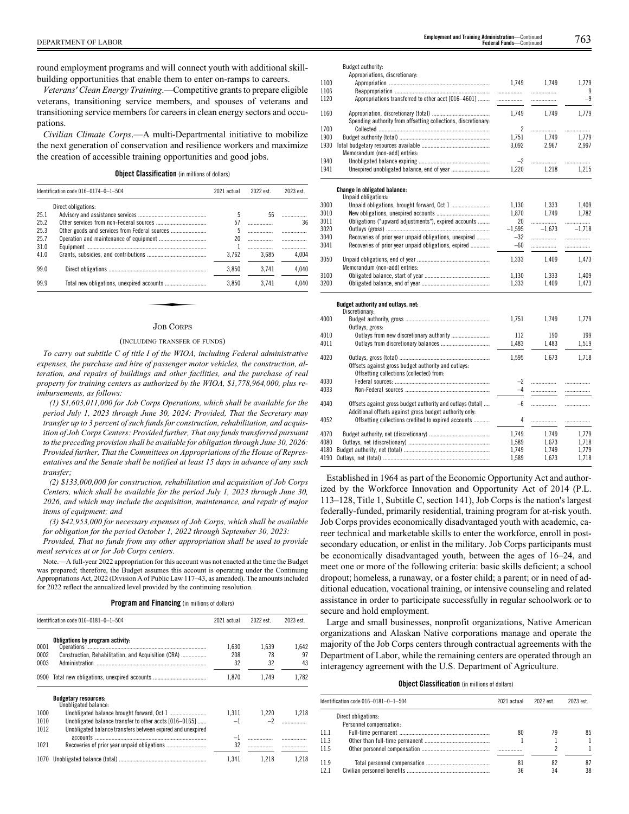round employment programs and will connect youth with additional skillbuilding opportunities that enable them to enter on-ramps to careers.

*Veterans' Clean Energy Training*.—Competitive grants to prepare eligible veterans, transitioning service members, and spouses of veterans and transitioning service members for careers in clean energy sectors and occupations.

*Civilian Climate Corps*.—A multi-Departmental initiative to mobilize the next generation of conservation and resilience workers and maximize the creation of accessible training opportunities and good jobs.

**Object Classification** (in millions of dollars)

|      | Identification code 016-0174-0-1-504 | 2021 actual | 2022 est. | 2023 est. |
|------|--------------------------------------|-------------|-----------|-----------|
|      | Direct obligations:                  |             |           |           |
| 25.1 |                                      | 5           | 56        |           |
| 25.2 |                                      | 57          |           | 36        |
| 25.3 |                                      | 5           |           |           |
| 25.7 |                                      | 20          |           | .         |
| 31.0 |                                      |             |           |           |
| 41.0 |                                      | 3.762       | 3.685     | 4.004     |
| 99.0 |                                      | 3.850       | 3.741     | 4,040     |
| 99.9 |                                      | 3.850       | 3.741     | 4.040     |

# JOB CORPS

#### (INCLUDING TRANSFER OF FUNDS)

*To carry out subtitle C of title I of the WIOA, including Federal administrative expenses, the purchase and hire of passenger motor vehicles, the construction, alteration, and repairs of buildings and other facilities, and the purchase of real property for training centers as authorized by the WIOA, \$1,778,964,000, plus reimbursements, as follows:*

*(1) \$1,603,011,000 for Job Corps Operations, which shall be available for the period July 1, 2023 through June 30, 2024: Provided, That the Secretary may transfer up to 3 percent of such funds for construction, rehabilitation, and acquisition of Job Corps Centers: Provided further, That any funds transferred pursuant to the preceding provision shall be available for obligation through June 30, 2026: Provided further, That the Committees on Appropriations of the House of Representatives and the Senate shall be notified at least 15 days in advance of any such transfer;*

*(2) \$133,000,000 for construction, rehabilitation and acquisition of Job Corps Centers, which shall be available for the period July 1, 2023 through June 30, 2026, and which may include the acquisition, maintenance, and repair of major items of equipment; and*

*(3) \$42,953,000 for necessary expenses of Job Corps, which shall be available for obligation for the period October 1, 2022 through September 30, 2023:*

*Provided, That no funds from any other appropriation shall be used to provide meal services at or for Job Corps centers.*

Note.—A full-year 2022 appropriation for this account was not enacted at the time the Budget was prepared; therefore, the Budget assumes this account is operating under the Continuing Appropriations Act, 2022 (Division A of Public Law 117–43, as amended). The amounts included for 2022 reflect the annualized level provided by the continuing resolution.

|  |  |  | <b>Program and Financing</b> (in millions of dollars) |  |
|--|--|--|-------------------------------------------------------|--|
|--|--|--|-------------------------------------------------------|--|

|              | Identification code 016-0181-0-1-504                                                                                  | 2021 actual | 2022 est. | 2023 est. |
|--------------|-----------------------------------------------------------------------------------------------------------------------|-------------|-----------|-----------|
|              | Obligations by program activity:                                                                                      |             |           |           |
| 0001         |                                                                                                                       | 1.630       | 1.639     | 1.642     |
| 0002         | Construction, Rehabilitation, and Acquisition (CRA)                                                                   | 208         | 78        | 97        |
| 0003         | Administration                                                                                                        | 32          | 32        | 43        |
| 0900         |                                                                                                                       | 1.870       | 1.749     | 1.782     |
|              | <b>Budgetary resources:</b><br>Unobligated balance:                                                                   |             |           |           |
| 1000         |                                                                                                                       | 1.311       | 1.220     | 1.218     |
| 1010<br>1012 | Unobligated balance transfer to other accts [016-0165]<br>Unobligated balance transfers between expired and unexpired | $-1$        | $-2$      |           |
|              |                                                                                                                       | $-1$        |           |           |
| 1021         |                                                                                                                       | 32          |           |           |
| 1070         |                                                                                                                       | 1.341       | 1.218     | 1.218     |

|      | Budget authority:                                              |                |           |            |
|------|----------------------------------------------------------------|----------------|-----------|------------|
|      | Appropriations, discretionary:                                 |                |           |            |
| 1100 |                                                                | 1.749          | 1.749     | 1.779      |
| 1106 |                                                                | .              | .         | 9          |
| 1120 | Appropriations transferred to other acct [016-4601]            |                | .         | $-9$       |
| 1160 |                                                                | 1,749          | 1,749     | 1,779      |
|      |                                                                |                |           |            |
| 1700 | Spending authority from offsetting collections, discretionary: | $\overline{2}$ |           |            |
| 1900 |                                                                | 1,751          | <br>1.749 | .<br>1,779 |
| 1930 |                                                                | 3,092          | 2,967     | 2,997      |
|      | Memorandum (non-add) entries:                                  |                |           |            |
| 1940 |                                                                | $-2$           | .         |            |
| 1941 |                                                                | 1,220          | 1.218     | .<br>1,215 |
|      |                                                                |                |           |            |
|      |                                                                |                |           |            |
|      | <b>Change in obligated balance:</b><br>Unpaid obligations:     |                |           |            |
| 3000 |                                                                | 1.130          | 1,333     | 1.409      |
| 3010 |                                                                | 1,870          | 1.749     | 1,782      |
| 3011 | Obligations ("upward adjustments"), expired accounts           | 20             | .         |            |
| 3020 |                                                                | $-1,595$       | $-1.673$  | $-1.718$   |
| 3040 | Recoveries of prior year unpaid obligations, unexpired         | $-32$          | .         |            |
| 3041 | Recoveries of prior year unpaid obligations, expired           | $-60$          | .         | .          |
|      |                                                                |                |           |            |
| 3050 |                                                                | 1,333          | 1,409     | 1,473      |
|      | Memorandum (non-add) entries:                                  |                |           |            |
| 3100 |                                                                | 1,130          | 1,333     | 1,409      |
| 3200 |                                                                | 1,333          | 1,409     | 1,473      |
|      |                                                                |                |           |            |
|      | Budget authority and outlays, net:                             |                |           |            |
|      | Discretionary:                                                 |                |           |            |
| 4000 |                                                                | 1,751          | 1,749     | 1,779      |
| 4010 | Outlays, gross:<br>Outlays from new discretionary authority    | 112            | 190       | 199        |
| 4011 |                                                                | 1,483          | 1,483     | 1,519      |
|      |                                                                |                |           |            |
| 4020 |                                                                | 1,595          | 1,673     | 1,718      |
|      | Offsets against gross budget authority and outlays:            |                |           |            |
|      | Offsetting collections (collected) from:                       |                |           |            |
| 4030 |                                                                | $-2$           | .         |            |
| 4033 |                                                                | $-4$           | .         | .          |
|      |                                                                |                |           |            |
| 4040 | Offsets against gross budget authority and outlays (total)     | $-6$           | .         | .          |
|      | Additional offsets against gross budget authority only:        |                |           |            |
| 4052 | Offsetting collections credited to expired accounts            | 4              | .         | .          |
| 4070 |                                                                | 1,749          | 1,749     | 1,779      |
| 4080 |                                                                | 1,589          | 1,673     | 1,718      |
| 4180 |                                                                | 1.749          | 1.749     | 1.779      |
|      |                                                                |                |           |            |

Established in 1964 as part of the Economic Opportunity Act and authorized by the Workforce Innovation and Opportunity Act of 2014 (P.L. 113–128, Title 1, Subtitle C, section 141), Job Corps is the nation's largest federally-funded, primarily residential, training program for at-risk youth. Job Corps provides economically disadvantaged youth with academic, career technical and marketable skills to enter the workforce, enroll in postsecondary education, or enlist in the military. Job Corps participants must be economically disadvantaged youth, between the ages of 16–24, and meet one or more of the following criteria: basic skills deficient; a school dropout; homeless, a runaway, or a foster child; a parent; or in need of additional education, vocational training, or intensive counseling and related assistance in order to participate successfully in regular schoolwork or to secure and hold employment.

4180 Budget authority, net (total) .......................................................... 1,749 1,749 1,779

4190 Outlays, net (total) ........................................................................ 1,589 1,673 1,718

Large and small businesses, nonprofit organizations, Native American organizations and Alaskan Native corporations manage and operate the majority of the Job Corps centers through contractual agreements with the Department of Labor, while the remaining centers are operated through an interagency agreement with the U.S. Department of Agriculture.

# **Object Classification** (in millions of dollars)

|      | ldentification code 016–0181–0–1–504 | 2021 actual | 2022 est. | 2023 est. |
|------|--------------------------------------|-------------|-----------|-----------|
|      | Direct obligations:                  |             |           |           |
| 11.1 | Personnel compensation:              | 80          | 79        | 85        |
| 11.3 |                                      |             |           |           |
| 11.5 |                                      |             |           |           |
| 11.9 |                                      | 81          | 82        |           |
| 12.1 |                                      | 36          | 34        | 38        |
|      |                                      |             |           |           |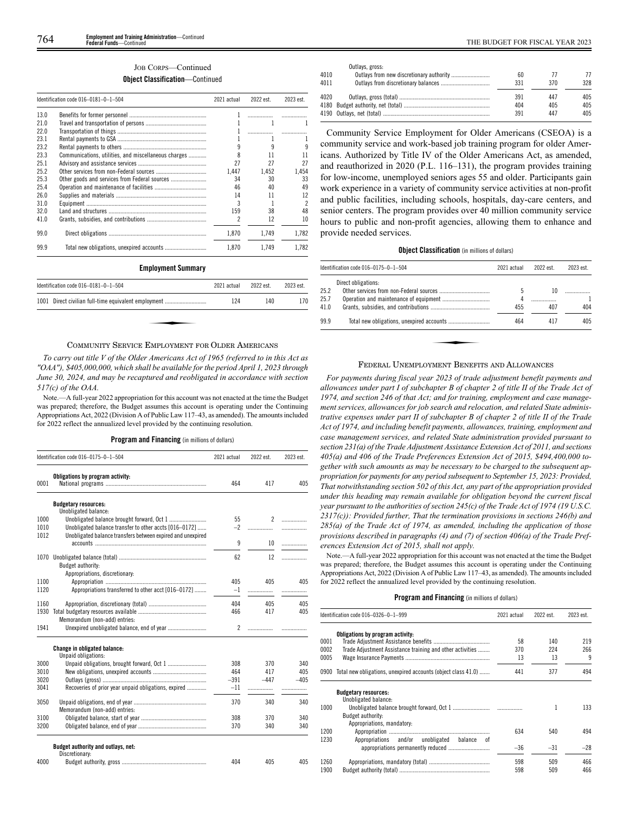# JOB CORPS—Continued

# **Object Classification**—Continued

|      | Identification code 016-0181-0-1-504                 | 2021 actual | 2022 est. | 2023 est. |
|------|------------------------------------------------------|-------------|-----------|-----------|
| 13.0 |                                                      |             |           |           |
| 21.0 |                                                      |             |           |           |
| 220  |                                                      |             |           |           |
| 231  |                                                      |             |           |           |
| 23.2 |                                                      |             |           |           |
| 23.3 | Communications, utilities, and miscellaneous charges | 8           | 11        | 11        |
| 251  |                                                      | 27          | 27        | 27        |
| 25.2 |                                                      | 1.447       | 1.452     | 1.454     |
| 25.3 | Other goods and services from Federal sources        | 34          | 30        | 33        |
| 25.4 |                                                      | 46          | 40        | 49        |
| 26.0 |                                                      | 14          | 11        | 12        |
| 31.0 |                                                      | 3           |           | 2         |
| 32.0 |                                                      | 159         | 38        | 48        |
| 41.0 |                                                      | 2           | 12        | 10        |
| 99.0 |                                                      | 1.870       | 1.749     | 1.782     |
| 99.9 |                                                      | 1.870       | 1.749     | 1.782     |

#### **Employment Summary**

| Identification code $016-0181-0-1-504$               | 2021 actual | 2022 est. | 2023 est. |
|------------------------------------------------------|-------------|-----------|-----------|
| 1001 Direct civilian full-time equivalent employment | 124         | 140       | 170       |
|                                                      |             |           |           |
|                                                      |             |           |           |

# COMMUNITY SERVICE EMPLOYMENT FOR OLDER AMERICANS

*To carry out title V of the Older Americans Act of 1965 (referred to in this Act as "OAA"), \$405,000,000, which shall be available for the period April 1, 2023 through June 30, 2024, and may be recaptured and reobligated in accordance with section 517(c) of the OAA.*

Note.—A full-year 2022 appropriation for this account was not enacted at the time the Budget was prepared; therefore, the Budget assumes this account is operating under the Continuing Appropriations Act, 2022 (Division A of Public Law 117–43, as amended). The amounts included for 2022 reflect the annualized level provided by the continuing resolution.

# **Program and Financing** (in millions of dollars)

|              | Identification code 016-0175-0-1-504                                                                                  | 2021 actual    | 2022 est. | 2023 est. |
|--------------|-----------------------------------------------------------------------------------------------------------------------|----------------|-----------|-----------|
| 0001         | Obligations by program activity:                                                                                      | 464            | 417       | 405       |
|              | <b>Budgetary resources:</b>                                                                                           |                |           |           |
|              | Unobligated balance:                                                                                                  |                |           |           |
| 1000         |                                                                                                                       | 55             | 2         | .         |
| 1010<br>1012 | Unobligated balance transfer to other accts [016-0172]<br>Unobligated balance transfers between expired and unexpired | $-2$           | .         | .         |
|              |                                                                                                                       | 9              | 10        | .         |
|              |                                                                                                                       |                |           |           |
|              |                                                                                                                       | 62             | 12        | .         |
|              | Budget authority:                                                                                                     |                |           |           |
|              | Appropriations, discretionary:                                                                                        |                |           |           |
| 1100         |                                                                                                                       | 405            | 405       | 405       |
| 1120         | Appropriations transferred to other acct [016-0172]                                                                   | $-1$           | .         |           |
| 1160         |                                                                                                                       | 404            | 405       | 405       |
| 1930         |                                                                                                                       | 466            | 417       | 405       |
|              | Memorandum (non-add) entries:                                                                                         |                |           |           |
| 1941         |                                                                                                                       | $\overline{2}$ | .         |           |
|              | <b>Change in obligated balance:</b><br>Unpaid obligations:                                                            |                |           |           |
| 3000         |                                                                                                                       | 308            | 370       | 340       |
| 3010         |                                                                                                                       | 464            | 417       | 405       |
| 3020         |                                                                                                                       | $-391$         | $-447$    | $-405$    |
| 3041         | Recoveries of prior year unpaid obligations, expired                                                                  | $-11$          | .         |           |
| 3050         | Memorandum (non-add) entries:                                                                                         | 370            | 340       | 340       |
| 3100         |                                                                                                                       | 308            | 370       | 340       |
| 3200         |                                                                                                                       | 370            | 340       | 340       |
|              | Budget authority and outlays, net:<br>Discretionary:                                                                  |                |           |           |
| 4000         |                                                                                                                       | 404            | 405       | 405       |

| Outlays, gross: |     |     |     |
|-----------------|-----|-----|-----|
|                 | 60  |     | 77  |
|                 | 331 | 370 | 328 |
|                 | 391 | 447 | 405 |
|                 | 404 | 405 | 405 |
|                 | 391 | 447 | 405 |
|                 |     |     |     |

Community Service Employment for Older Americans (CSEOA) is a community service and work-based job training program for older Americans. Authorized by Title IV of the Older Americans Act, as amended, and reauthorized in 2020 (P.L. 116–131), the program provides training for low-income, unemployed seniors ages 55 and older. Participants gain work experience in a variety of community service activities at non-profit and public facilities, including schools, hospitals, day-care centers, and senior centers. The program provides over 40 million community service hours to public and non-profit agencies, allowing them to enhance and provide needed services.

# **Object Classification** (in millions of dollars)

|                      | ldentification code 016–0175–0–1–504 | 2021 actual   | 2022 est. | 2023 est. |
|----------------------|--------------------------------------|---------------|-----------|-----------|
| 25.2<br>25.7<br>41.0 | Direct obligations:                  | 5<br>4<br>455 | 10<br>407 | 404       |
| 99.9                 |                                      | 464           | 417       | 405       |
|                      |                                      |               |           |           |

#### FEDERAL UNEMPLOYMENT BENEFITS AND ALLOWANCES

*For payments during fiscal year 2023 of trade adjustment benefit payments and allowances under part I of subchapter B of chapter 2 of title II of the Trade Act of 1974, and section 246 of that Act; and for training, employment and case management services, allowances for job search and relocation, and related State administrative expenses under part II of subchapter B of chapter 2 of title II of the Trade Act of 1974, and including benefit payments, allowances, training, employment and case management services, and related State administration provided pursuant to section 231(a) of the Trade Adjustment Assistance Extension Act of 2011, and sections 405(a) and 406 of the Trade Preferences Extension Act of 2015, \$494,400,000 together with such amounts as may be necessary to be charged to the subsequent appropriation for payments for any period subsequent to September 15, 2023: Provided, That notwithstanding section 502 of this Act, any part of the appropriation provided under this heading may remain available for obligation beyond the current fiscal year pursuant to the authorities of section 245(c) of the Trade Act of 1974 (19 U.S.C. 2317(c)): Provided further, That the termination provisions in sections 246(b) and 285(a) of the Trade Act of 1974, as amended, including the application of those provisions described in paragraphs (4) and (7) of section 406(a) of the Trade Preferences Extension Act of 2015, shall not apply.*

Note.—A full-year 2022 appropriation for this account was not enacted at the time the Budget was prepared; therefore, the Budget assumes this account is operating under the Continuing Appropriations Act, 2022 (Division A of Public Law 117–43, as amended). The amounts included for 2022 reflect the annualized level provided by the continuing resolution.

# **Program and Financing** (in millions of dollars)

|      | Identification code 016-0326-0-1-999                          | 2021 actual | 2022 est. | 2023 est. |
|------|---------------------------------------------------------------|-------------|-----------|-----------|
|      | Obligations by program activity:                              |             |           |           |
| 0001 |                                                               | 58          | 140       | 219       |
| 0002 | Trade Adjustment Assistance training and other activities     | 370         | 224       | 266       |
| 0005 |                                                               | 13          | 13        | 9         |
| 0900 | Total new obligations, unexpired accounts (object class 41.0) | 441         | 377       | 494       |
|      | <b>Budgetary resources:</b><br>Unobligated balance:           |             |           |           |
| 1000 |                                                               |             | 1         | 133       |
|      | Budget authority:                                             |             |           |           |
|      | Appropriations, mandatory:                                    |             |           |           |
| 1200 |                                                               | 634         | 540       | 494       |
| 1230 | Appropriations and/or unobligated<br>balance<br>0Ť            |             |           |           |
|      |                                                               | $-36$       | $-31$     | $-28$     |
| 1260 |                                                               | 598         | 509       | 466       |
| 1900 |                                                               | 598         | 509       | 466       |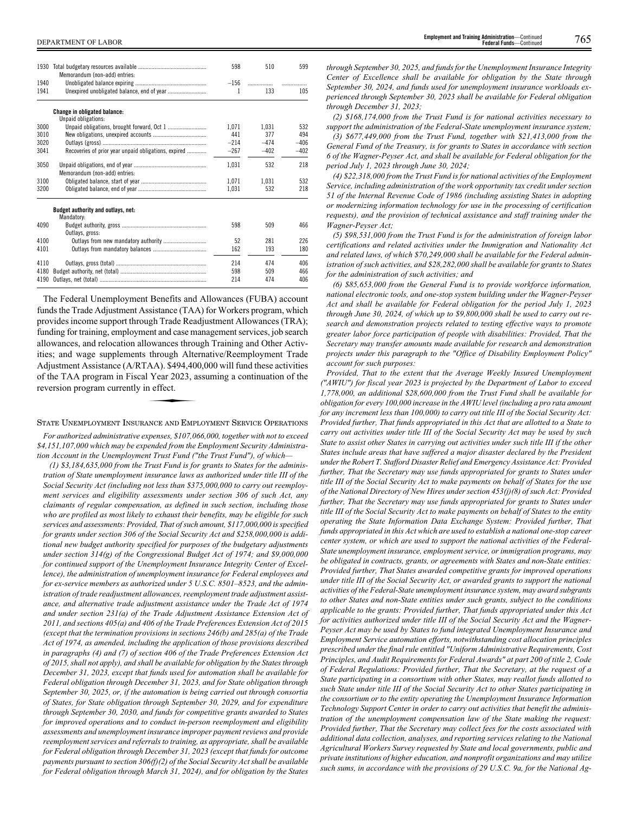| 1930 | Memorandum (non-add) entries:                        | 598    | 510    | 599    |
|------|------------------------------------------------------|--------|--------|--------|
| 1940 |                                                      | $-156$ | .      |        |
| 1941 |                                                      | 1      | 133    | 105    |
|      | <b>Change in obligated balance:</b>                  |        |        |        |
|      | Unpaid obligations:                                  |        |        |        |
| 3000 |                                                      | 1.071  | 1.031  | 532    |
| 3010 |                                                      | 441    | 377    | 494    |
| 3020 |                                                      | $-214$ | $-474$ | $-406$ |
| 3041 | Recoveries of prior year unpaid obligations, expired | $-267$ | $-402$ | $-402$ |
| 3050 | Memorandum (non-add) entries:                        | 1,031  | 532    | 218    |
| 3100 |                                                      | 1.071  | 1.031  | 532    |
| 3200 |                                                      | 1,031  | 532    | 218    |
|      | Budget authority and outlays, net:<br>Mandatory:     |        |        |        |
| 4090 | Outlays, gross:                                      | 598    | 509    | 466    |
| 4100 |                                                      | 52     | 281    | 226    |
| 4101 |                                                      | 162    | 193    | 180    |
| 4110 |                                                      | 214    | 474    | 406    |
| 4180 |                                                      | 598    | 509    | 466    |
| 4190 |                                                      | 214    | 474    | 406    |

The Federal Unemployment Benefits and Allowances (FUBA) account funds the Trade Adjustment Assistance (TAA) for Workers program, which provides income support through Trade Readjustment Allowances (TRA); funding for training, employment and case management services, job search allowances, and relocation allowances through Training and Other Activities; and wage supplements through Alternative/Reemployment Trade Adjustment Assistance (A/RTAA). \$494,400,000 will fund these activities<br>Adjustment Assistance (A/RTAA). \$494,400,000 will fund these activities<br>of the TAA program in Fiscal Year 2023, assuming a continuation of the<br>reversi of the TAA program in Fiscal Year 2023, assuming a continuation of the reversion program currently in effect.

#### STATE UNEMPLOYMENT INSURANCE AND EMPLOYMENT SERVICE OPERATIONS

*For authorized administrative expenses, \$107,066,000, together with not to exceed \$4,151,107,000 which may be expended from the Employment Security Administration Account in the Unemployment Trust Fund ("the Trust Fund"), of which—*

*(1) \$3,184,635,000 from the Trust Fund is for grants to States for the administration of State unemployment insurance laws as authorized under title III of the Social Security Act (including not less than \$375,000,000 to carry out reemployment services and eligibility assessments under section 306 of such Act, any claimants of regular compensation, as defined in such section, including those who are profiled as most likely to exhaust their benefits, may be eligible for such services and assessments: Provided, That of such amount, \$117,000,000 is specified for grants under section 306 of the Social Security Act and \$258,000,000 is additional new budget authority specified for purposes of the budgetary adjustments under section 314(g) of the Congressional Budget Act of 1974; and \$9,000,000 for continued support of the Unemployment Insurance Integrity Center of Excellence), the administration of unemployment insurance for Federal employees and for ex-service members as authorized under 5 U.S.C. 8501–8523, and the administration of trade readjustment allowances, reemployment trade adjustment assistance, and alternative trade adjustment assistance under the Trade Act of 1974 and under section 231(a) of the Trade Adjustment Assistance Extension Act of 2011, and sections 405(a) and 406 of the Trade Preferences Extension Act of 2015 (except that the termination provisions in sections 246(b) and 285(a) of the Trade Act of 1974, as amended, including the application of those provisions described in paragraphs (4) and (7) of section 406 of the Trade Preferences Extension Act of 2015, shall not apply), and shall be available for obligation by the States through December 31, 2023, except that funds used for automation shall be available for Federal obligation through December 31, 2023, and for State obligation through September 30, 2025, or, if the automation is being carried out through consortia of States, for State obligation through September 30, 2029, and for expenditure through September 30, 2030, and funds for competitive grants awarded to States for improved operations and to conduct in-person reemployment and eligibility assessments and unemployment insurance improper payment reviews and provide reemployment services and referrals to training, as appropriate, shall be available for Federal obligation through December 31, 2023 (except that funds for outcome payments pursuant to section 306(f)(2) of the Social Security Act shall be available for Federal obligation through March 31, 2024), and for obligation by the States*

*through September 30, 2025, and funds for the Unemployment Insurance Integrity Center of Excellence shall be available for obligation by the State through September 30, 2024, and funds used for unemployment insurance workloads experienced through September 30, 2023 shall be available for Federal obligation through December 31, 2023;*

*(2) \$168,174,000 from the Trust Fund is for national activities necessary to support the administration of the Federal-State unemployment insurance system; (3) \$677,449,000 from the Trust Fund, together with \$21,413,000 from the General Fund of the Treasury, is for grants to States in accordance with section 6 of the Wagner-Peyser Act, and shall be available for Federal obligation for the period July 1, 2023 through June 30, 2024;*

*(4) \$22,318,000 from the Trust Fund is for national activities of the Employment Service, including administration of the work opportunity tax credit under section 51 of the Internal Revenue Code of 1986 (including assisting States in adopting or modernizing information technology for use in the processing of certification requests), and the provision of technical assistance and staff training under the Wagner-Peyser Act;*

*(5) \$98,531,000 from the Trust Fund is for the administration of foreign labor certifications and related activities under the Immigration and Nationality Act and related laws, of which \$70,249,000 shall be available for the Federal administration of such activities, and \$28,282,000 shall be available for grants to States for the administration of such activities; and*

*(6) \$85,653,000 from the General Fund is to provide workforce information, national electronic tools, and one-stop system building under the Wagner-Peyser Act and shall be available for Federal obligation for the period July 1, 2023 through June 30, 2024, of which up to \$9,800,000 shall be used to carry out research and demonstration projects related to testing effective ways to promote greater labor force participation of people with disabilities: Provided, That the Secretary may transfer amounts made available for research and demonstration projects under this paragraph to the "Office of Disability Employment Policy" account for such purposes:*

*Provided, That to the extent that the Average Weekly Insured Unemployment ("AWIU") for fiscal year 2023 is projected by the Department of Labor to exceed 1,778,000, an additional \$28,600,000 from the Trust Fund shall be available for obligation for every 100,000 increase in the AWIU level (including a pro rata amount for any increment less than 100,000) to carry out title III of the Social Security Act: Provided further, That funds appropriated in this Act that are allotted to a State to carry out activities under title III of the Social Security Act may be used by such State to assist other States in carrying out activities under such title III if the other States include areas that have suffered a major disaster declared by the President under the Robert T. Stafford Disaster Relief and Emergency Assistance Act: Provided further, That the Secretary may use funds appropriated for grants to States under title III of the Social Security Act to make payments on behalf of States for the use of the National Directory of New Hires under section 453(j)(8) of such Act: Provided further, That the Secretary may use funds appropriated for grants to States under title III of the Social Security Act to make payments on behalf of States to the entity operating the State Information Data Exchange System: Provided further, That funds appropriated in this Act which are used to establish a national one-stop career center system, or which are used to support the national activities of the Federal-State unemployment insurance, employment service, or immigration programs, may be obligated in contracts, grants, or agreements with States and non-State entities: Provided further, That States awarded competitive grants for improved operations under title III of the Social Security Act, or awarded grants to support the national activities of the Federal-State unemployment insurance system, may award subgrants to other States and non-State entities under such grants, subject to the conditions applicable to the grants: Provided further, That funds appropriated under this Act for activities authorized under title III of the Social Security Act and the Wagner-Peyser Act may be used by States to fund integrated Unemployment Insurance and Employment Service automation efforts, notwithstanding cost allocation principles prescribed under the final rule entitled "Uniform Administrative Requirements, Cost Principles, and Audit Requirements for Federal Awards" at part 200 of title 2, Code of Federal Regulations: Provided further, That the Secretary, at the request of a State participating in a consortium with other States, may reallot funds allotted to such State under title III of the Social Security Act to other States participating in the consortium or to the entity operating the Unemployment Insurance Information Technology Support Center in order to carry out activities that benefit the administration of the unemployment compensation law of the State making the request: Provided further, That the Secretary may collect fees for the costs associated with additional data collection, analyses, and reporting services relating to the National Agricultural Workers Survey requested by State and local governments, public and private institutions of higher education, and nonprofit organizations and may utilize such sums, in accordance with the provisions of 29 U.S.C. 9a, for the National Ag-*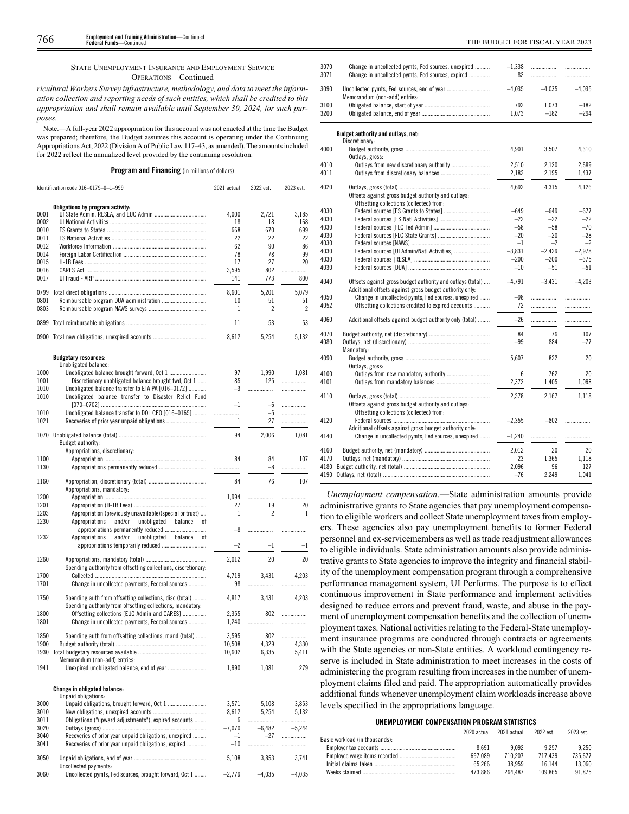THE BUDGET FOR FISCAL YEAR 2023<br>Feriefal Funds—Continued that interval funds that the continued that the set of the set of the set of the set o **Employment and Training Administration**—Continued **Federal Funds**—Continued

STATE UNEMPLOYMENT INSURANCE AND EMPLOYMENT SERVICE OPERATIONS—Continued

*ricultural Workers Survey infrastructure, methodology, and data to meet the information collection and reporting needs of such entities, which shall be credited to this appropriation and shall remain available until September 30, 2024, for such purposes.*

Note.—A full-year 2022 appropriation for this account was not enacted at the time the Budget was prepared; therefore, the Budget assumes this account is operating under the Continuing Appropriations Act, 2022 (Division A of Public Law 117–43, as amended). The amounts included for 2022 reflect the annualized level provided by the continuing resolution.

# **Program and Financing** (in millions of dollars)

|      | Identification code 016-0179-0-1-999 | 2021 actual     | 2022 est. | 2023 est. |
|------|--------------------------------------|-----------------|-----------|-----------|
|      | Obligations by program activity:     |                 |           |           |
| 0001 |                                      | 4.000           | 2.721     | 3.185     |
| 0002 |                                      | 18              | 18        | 168       |
| 0010 |                                      | 668             | 670       | 699       |
| 0011 |                                      | 22              | 22        | 22        |
| 0012 |                                      | 62              | 90        | 86        |
| 0014 |                                      | 78              | 78        | 99        |
| 0015 |                                      | 17              | 27        | 20        |
| 0016 |                                      | 3.595           | 802       | .         |
| 0017 |                                      | 141             | 773       | 800       |
| 0799 |                                      | 8.601           | 5.201     | 5.079     |
| 0801 |                                      | 10 <sup>2</sup> | 51        | 51        |
| 0803 |                                      |                 |           |           |
| 0899 |                                      | 11              | 53        | 53        |
| 0900 |                                      | 8.612           | 5.254     | 5.132     |

|      | <b>Budgetary resources:</b>                                    |          |                |          |
|------|----------------------------------------------------------------|----------|----------------|----------|
|      | Unobligated balance:                                           |          |                |          |
| 1000 |                                                                | 97       | 1,990          | 1.081    |
| 1001 | Discretionary unobligated balance brought fwd, Oct 1           | 85       | 125            | .        |
| 1010 | Unobligated balance transfer to ETA PA [016-0172]              | $-3$     | .              | .        |
| 1010 | Unobligated balance transfer to Disaster Relief Fund           |          |                |          |
|      |                                                                | $-1$     | $-6$           | .        |
| 1010 | Unobligated balance transfer to DOL CEO [016-0165]             |          | $-5$           | .        |
| 1021 |                                                                | 1        | 27             | .        |
| 1070 |                                                                | 94       | 2,006          | 1,081    |
|      | Budget authority:                                              |          |                |          |
|      | Appropriations, discretionary:                                 |          |                |          |
| 1100 |                                                                | 84       | 84             | 107      |
| 1130 |                                                                | .        | $-8$           | .        |
|      |                                                                |          |                |          |
| 1160 |                                                                | 84       | 76             | 107      |
|      | Appropriations, mandatory:                                     |          |                |          |
| 1200 |                                                                | 1.994    | .              | .        |
| 1201 |                                                                | 27       | 19             | 20       |
| 1203 | Appropriation (previously unavailable)(special or trust)       | 1        | $\overline{2}$ | 1        |
| 1230 | Appropriations<br>and/or<br>unobligated<br>balance<br>οf       |          |                |          |
|      |                                                                | $-8$     | .              | .        |
| 1232 | and/or<br>unobligated balance<br>Appropriations<br>οf          |          |                |          |
|      |                                                                | $-2$     | $-1$           | $-1$     |
| 1260 |                                                                | 2,012    | 20             | 20       |
|      | Spending authority from offsetting collections, discretionary: |          |                |          |
| 1700 |                                                                |          | 3.431          |          |
|      |                                                                | 4,719    |                | 4,203    |
| 1701 | Change in uncollected payments, Federal sources                | 98       | .              | .        |
| 1750 | Spending auth from offsetting collections, disc (total)        | 4,817    | 3,431          | 4,203    |
|      | Spending authority from offsetting collections, mandatory:     |          |                |          |
| 1800 | Offsetting collections [EUC Admin and CARES]                   | 2,355    | 802            | .        |
| 1801 | Change in uncollected payments, Federal sources                | 1,240    | .              | .        |
|      |                                                                |          |                |          |
| 1850 | Spending auth from offsetting collections, mand (total)        | 3,595    | 802            |          |
| 1900 |                                                                | 10,508   | 4,329          | 4.330    |
| 1930 |                                                                | 10,602   | 6,335          | 5,411    |
|      | Memorandum (non-add) entries:                                  |          |                |          |
| 1941 | Unexpired unobligated balance, end of year                     | 1,990    | 1,081          | 279      |
|      |                                                                |          |                |          |
|      | <b>Change in obligated balance:</b>                            |          |                |          |
|      | Unpaid obligations:                                            |          |                |          |
| 3000 |                                                                | 3,571    | 5,108          | 3,853    |
| 3010 |                                                                | 8,612    | 5.254          | 5,132    |
| 3011 | Obligations ("upward adjustments"), expired accounts           | 6        | .              |          |
| 3020 |                                                                | $-7,070$ | $-6,482$       | $-5.244$ |
| 3040 | Recoveries of prior year unpaid obligations, unexpired         | $-1$     | $-27$          | .        |
| 3041 | Recoveries of prior year unpaid obligations, expired           | $-10$    |                |          |
|      |                                                                |          |                |          |
| 3050 | Uncollected payments:                                          | 5,108    | 3,853          | 3,741    |
| 3060 | Uncollected pymts, Fed sources, brought forward, Oct 1         | $-2.779$ | $-4,035$       | $-4.035$ |
|      |                                                                |          |                |          |

| 3070 | Change in uncollected pymts, Fed sources, unexpired                                                                   | $-1,338$ |          |          |
|------|-----------------------------------------------------------------------------------------------------------------------|----------|----------|----------|
| 3071 | Change in uncollected pymts, Fed sources, expired                                                                     | 82       |          | .        |
| 3090 | Memorandum (non-add) entries:                                                                                         | $-4,035$ | $-4,035$ | $-4,035$ |
| 3100 |                                                                                                                       | 792      | 1,073    | $-182$   |
| 3200 |                                                                                                                       | 1,073    | $-182$   | $-294$   |
|      | Budget authority and outlays, net:                                                                                    |          |          |          |
|      | Discretionary:                                                                                                        |          |          |          |
| 4000 | Outlays, gross:                                                                                                       | 4,901    | 3,507    | 4,310    |
| 4010 |                                                                                                                       | 2,510    | 2.120    | 2,689    |
| 4011 |                                                                                                                       | 2,182    | 2,195    | 1,437    |
| 4020 |                                                                                                                       | 4.692    | 4,315    | 4,126    |
|      | Offsets against gross budget authority and outlays:<br>Offsetting collections (collected) from:                       |          |          |          |
| 4030 | Federal sources [ES Grants to States]                                                                                 | $-649$   | $-649$   | $-677$   |
| 4030 |                                                                                                                       | $-22$    | $-22$    | $-22$    |
| 4030 |                                                                                                                       | $-58$    | $-58$    | $-70$    |
| 4030 |                                                                                                                       | $-20$    | $-20$    | $-28$    |
| 4030 |                                                                                                                       | $-1$     | $-2$     | $-2$     |
| 4030 |                                                                                                                       | $-3,831$ | $-2,429$ | $-2.978$ |
| 4030 |                                                                                                                       | $-200$   | $-200$   | $-375$   |
| 4030 |                                                                                                                       | $-10$    | $-51$    | $-51$    |
| 4040 | Offsets against gross budget authority and outlays (total)<br>Additional offsets against gross budget authority only: | $-4,791$ | $-3,431$ | $-4,203$ |
| 4050 | Change in uncollected pymts, Fed sources, unexpired                                                                   | $-98$    | .        | .        |
| 4052 | Offsetting collections credited to expired accounts                                                                   | 72       | .        |          |
| 4060 | Additional offsets against budget authority only (total)                                                              | $-26$    |          | .        |
| 4070 |                                                                                                                       | 84       | 76       | 107      |
| 4080 | Mandatory:                                                                                                            | $-99$    | 884      | $-77$    |
| 4090 | Outlays, gross:                                                                                                       | 5,607    | 822      | 20       |
| 4100 |                                                                                                                       | 6        | 762      | 20       |
| 4101 |                                                                                                                       | 2,372    | 1,405    | 1,098    |
| 4110 |                                                                                                                       | 2,378    | 2,167    | 1,118    |
|      | Offsets against gross budget authority and outlays:<br>Offsetting collections (collected) from:                       |          |          |          |
| 4120 |                                                                                                                       | $-2,355$ | $-802$   |          |
| 4140 | Additional offsets against gross budget authority only:<br>Change in uncollected pymts, Fed sources, unexpired        | $-1,240$ | .        | .        |
| 4160 |                                                                                                                       | 2,012    | 20       | 20       |
| 4170 |                                                                                                                       | 23       | 1.365    | 1,118    |
| 4180 |                                                                                                                       | 2,096    | 96       | 127      |
| 4190 |                                                                                                                       | $-76$    | 2,249    | 1,041    |
|      |                                                                                                                       |          |          |          |

*Unemployment compensation*.—State administration amounts provide administrative grants to State agencies that pay unemployment compensation to eligible workers and collect State unemployment taxes from employers. These agencies also pay unemployment benefits to former Federal personnel and ex-servicemembers as well as trade readjustment allowances to eligible individuals. State administration amounts also provide administrative grants to State agencies to improve the integrity and financial stability of the unemployment compensation program through a comprehensive performance management system, UI Performs. The purpose is to effect continuous improvement in State performance and implement activities designed to reduce errors and prevent fraud, waste, and abuse in the payment of unemployment compensation benefits and the collection of unemployment taxes. National activities relating to the Federal-State unemployment insurance programs are conducted through contracts or agreements with the State agencies or non-State entities. A workload contingency reserve is included in State administration to meet increases in the costs of administering the program resulting from increases in the number of unemployment claims filed and paid. The appropriation automatically provides additional funds whenever unemployment claim workloads increase above levels specified in the appropriations language.

# **UNEMPLOYMENT COMPENSATION PROGRAM STATISTICS**

|                                |         | 2020 actual 2021 actual | 2022 est. | 2023 est. |
|--------------------------------|---------|-------------------------|-----------|-----------|
| Basic workload (in thousands): |         |                         |           |           |
|                                | 8.691   | 9092                    | 9.257     | 9.250     |
|                                | 697.089 | 710.207                 | 717.439   | 735.677   |
|                                | 65.266  | 38.959                  | 16 144    | 13.060    |
|                                | 473.886 | 264.487                 | 109.865   | 91.875    |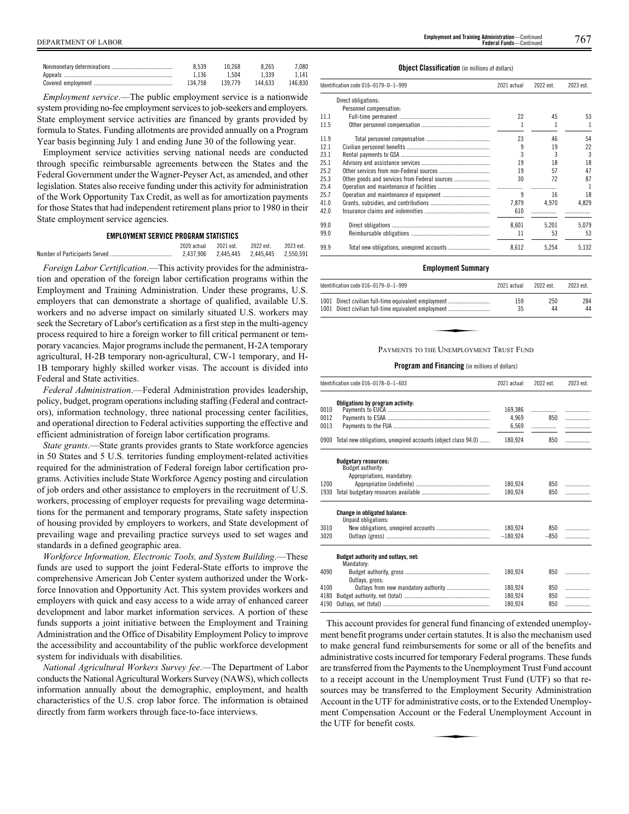| 8.539   | 10.268  | 8.265   | 7.080   |
|---------|---------|---------|---------|
| 1.136   | 1.504   | 1.339   | 1.141   |
| 134.758 | 139.779 | 144.633 | 146.830 |

*Employment service*.—The public employment service is a nationwide system providing no-fee employment services to job-seekers and employers. State employment service activities are financed by grants provided by formula to States. Funding allotments are provided annually on a Program Year basis beginning July 1 and ending June 30 of the following year.

Employment service activities serving national needs are conducted through specific reimbursable agreements between the States and the Federal Government under the Wagner-Peyser Act, as amended, and other legislation. States also receive funding under this activity for administration of the Work Opportunity Tax Credit, as well as for amortization payments for those States that had independent retirement plans prior to 1980 in their State employment service agencies.

# **EMPLOYMENT SERVICE PROGRAM STATISTICS**

| 2020 actual 2021 est.                   | 2022 est. | 2023 est. |
|-----------------------------------------|-----------|-----------|
| 2.437.906 2.445.445 2.445.445 2.550.591 |           |           |

*Foreign Labor Certification*.—This activity provides for the administration and operation of the foreign labor certification programs within the Employment and Training Administration. Under these programs, U.S. employers that can demonstrate a shortage of qualified, available U.S. workers and no adverse impact on similarly situated U.S. workers may seek the Secretary of Labor's certification as a first step in the multi-agency process required to hire a foreign worker to fill critical permanent or temporary vacancies. Major programs include the permanent, H-2A temporary agricultural, H-2B temporary non-agricultural, CW-1 temporary, and H-1B temporary highly skilled worker visas. The account is divided into Federal and State activities.

*Federal Administration*.—Federal Administration provides leadership, policy, budget, program operations including staffing (Federal and contractors), information technology, three national processing center facilities, and operational direction to Federal activities supporting the effective and efficient administration of foreign labor certification programs.

*State grants*.—State grants provides grants to State workforce agencies in 50 States and 5 U.S. territories funding employment-related activities required for the administration of Federal foreign labor certification programs. Activities include State Workforce Agency posting and circulation of job orders and other assistance to employers in the recruitment of U.S. workers, processing of employer requests for prevailing wage determinations for the permanent and temporary programs, State safety inspection of housing provided by employers to workers, and State development of prevailing wage and prevailing practice surveys used to set wages and standards in a defined geographic area.

*Workforce Information, Electronic Tools, and System Building*.—These funds are used to support the joint Federal-State efforts to improve the comprehensive American Job Center system authorized under the Workforce Innovation and Opportunity Act. This system provides workers and employers with quick and easy access to a wide array of enhanced career development and labor market information services. A portion of these funds supports a joint initiative between the Employment and Training Administration and the Office of Disability Employment Policy to improve the accessibility and accountability of the public workforce development system for individuals with disabilities.

*National Agricultural Workers Survey fee*.—The Department of Labor conducts the National Agricultural Workers Survey (NAWS), which collects information annually about the demographic, employment, and health characteristics of the U.S. crop labor force. The information is obtained directly from farm workers through face-to-face interviews.

#### **Object Classification** (in millions of dollars)

|      | Identification code 016-0179-0-1-999          | 2021 actual | 2022 est. | 2023 est. |
|------|-----------------------------------------------|-------------|-----------|-----------|
|      | Direct obligations:                           |             |           |           |
|      | Personnel compensation:                       |             |           |           |
| 11.1 |                                               | 22          | 45        | 53        |
| 11.5 |                                               |             |           | 1         |
| 11.9 |                                               | 23          | 46        | 54        |
| 12.1 |                                               | 9           | 19        | 22        |
| 23.1 |                                               |             | 3         | 3         |
| 25.1 |                                               | 19          | 18        | 18        |
| 25.2 |                                               | 19          | 57        | 47        |
| 25.3 | Other goods and services from Federal sources | 30          | 72        | 87        |
| 25.4 |                                               |             |           |           |
| 25.7 |                                               | 9           | 16        | 18        |
| 41.0 |                                               | 7.879       | 4.970     | 4.829     |
| 42.0 |                                               | 610         |           |           |
| 99.0 |                                               | 8.601       | 5.201     | 5.079     |
| 99.0 |                                               | 11          | 53        | 53        |
| 99.9 |                                               | 8.612       | 5.254     | 5.132     |

# **Employment Summary**

|                                         | ldentification code 016–0179–0–1–999                                                                         | 2021 actual | 2022 est. | 2023 est. |  |
|-----------------------------------------|--------------------------------------------------------------------------------------------------------------|-------------|-----------|-----------|--|
|                                         | 1001 Direct civilian full-time equivalent employment<br>1001 Direct civilian full-time equivalent employment | 159<br>35   | 250<br>44 | 284<br>44 |  |
|                                         |                                                                                                              |             |           |           |  |
| PAYMENTS TO THE UNEMPLOYMENT TRUST FUND |                                                                                                              |             |           |           |  |

# **Program and Financing** (in millions of dollars)

|                              | Identification code 016-0178-0-1-603                                                              | 2021 actual                          | 2022 est.       | 2023 est.        |
|------------------------------|---------------------------------------------------------------------------------------------------|--------------------------------------|-----------------|------------------|
| 0010<br>0012<br>0013<br>0900 | Obligations by program activity:<br>Total new obligations, unexpired accounts (object class 94.0) | 169,386<br>4.969<br>6,569<br>180,924 | .<br>850<br>850 | .<br>.<br>.<br>. |
|                              |                                                                                                   |                                      |                 |                  |
|                              | <b>Budgetary resources:</b><br>Budget authority:                                                  |                                      |                 |                  |
| 1200                         | Appropriations, mandatory:                                                                        | 180.924                              | 850             | .                |
| 1930                         |                                                                                                   | 180.924                              | 850             | .                |
|                              | <b>Change in obligated balance:</b><br>Unpaid obligations:                                        |                                      |                 |                  |
| 3010                         |                                                                                                   | 180.924                              | 850             | .                |
| 3020                         |                                                                                                   | $-180.924$                           | $-850$          | .                |
|                              | Budget authority and outlays, net:<br>Mandatory:                                                  |                                      |                 |                  |
| 4090                         | Outlays, gross:                                                                                   | 180.924                              | 850             | .                |
| 4100                         |                                                                                                   | 180.924                              | 850             | .                |
| 4180                         |                                                                                                   | 180,924                              | 850             | .                |
| 4190                         |                                                                                                   | 180.924                              | 850             | .                |

This account provides for general fund financing of extended unemployment benefit programs under certain statutes. It is also the mechanism used to make general fund reimbursements for some or all of the benefits and administrative costs incurred for temporary Federal programs. These funds are transferred from the Payments to the Unemployment Trust Fund account to a receipt account in the Unemployment Trust Fund (UTF) so that resources may be transferred to the Employment Security Administration Account in the UTF for administrative costs, or to the Extended Unemploy-<br>
Account in the UTF for administrative costs, or to the Extended Unemploy-<br>
the UTF for benefit costs. ment Compensation Account or the Federal Unemployment Account in the UTF for benefit costs.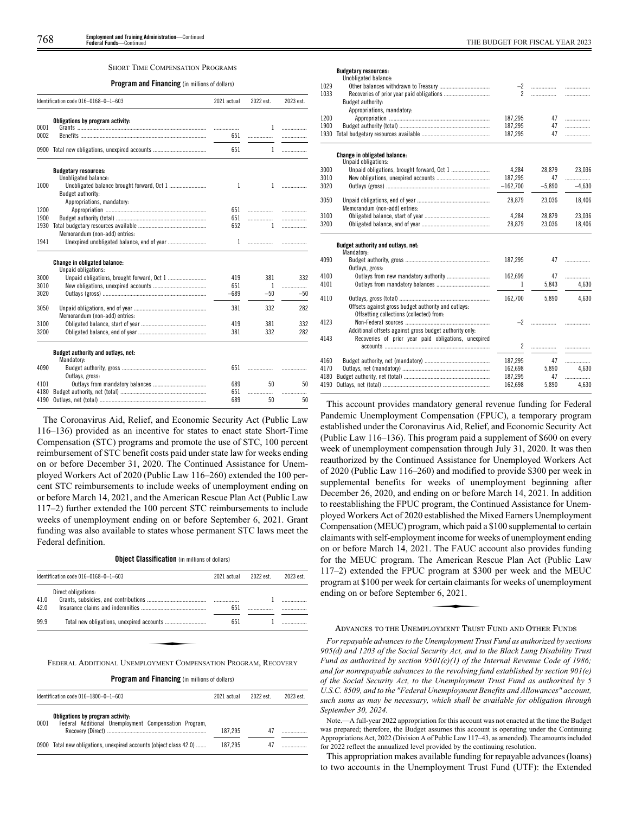#### SHORT TIME COMPENSATION PROGRAMS

**Program and Financing** (in millions of dollars)

|      | Identification code 016-0168-0-1-603                       | 2021 actual | 2022 est. | 2023 est. |
|------|------------------------------------------------------------|-------------|-----------|-----------|
|      | Obligations by program activity:                           |             |           |           |
| 0001 |                                                            | .           | 1         | .         |
| 0002 |                                                            | 651         |           | .         |
|      | 0900 Total new obligations, unexpired accounts             | 651         | 1         | .         |
|      | <b>Budgetary resources:</b>                                |             |           |           |
| 1000 | Unobligated balance:                                       | 1           | 1         | .         |
|      | Budget authority:                                          |             |           |           |
|      | Appropriations, mandatory:                                 |             |           |           |
| 1200 |                                                            | 651         | .         | .         |
| 1900 |                                                            | 651         | .         | .         |
| 1930 |                                                            | 652         | 1         | .         |
|      | Memorandum (non-add) entries:                              |             |           |           |
| 1941 |                                                            | 1           |           | .         |
|      | <b>Change in obligated balance:</b><br>Unpaid obligations: |             |           |           |
| 3000 |                                                            | 419         | 381       | 332       |
| 3010 |                                                            | 651         | 1         | .         |
| 3020 |                                                            | $-689$      | $-50$     | $-50$     |
| 3050 | Memorandum (non-add) entries:                              | 381         | 332       | 282       |
| 3100 |                                                            | 419         | 381       | 332       |
| 3200 |                                                            | 381         | 332       | 282       |
|      | Budget authority and outlays, net:<br>Mandatory:           |             |           |           |
| 4090 | Outlays, gross:                                            | 651         | .         |           |
| 4101 |                                                            | 689         | 50        | 50        |
| 4180 |                                                            | 651         | .         | .         |
| 4190 |                                                            | 689         | 50        | 50        |

The Coronavirus Aid, Relief, and Economic Security Act (Public Law 116–136) provided as an incentive for states to enact state Short-Time Compensation (STC) programs and promote the use of STC, 100 percent reimbursement of STC benefit costs paid under state law for weeks ending on or before December 31, 2020. The Continued Assistance for Unemployed Workers Act of 2020 (Public Law 116–260) extended the 100 percent STC reimbursements to include weeks of unemployment ending on or before March 14, 2021, and the American Rescue Plan Act (Public Law 117–2) further extended the 100 percent STC reimbursements to include weeks of unemployment ending on or before September 6, 2021. Grant funding was also available to states whose permanent STC laws meet the Federal definition.

# **Object Classification** (in millions of dollars)

**Program and Financing** (in millions of dollars)

|      | Identification code 016-1800-0-1-603                                                      | 2021 actual | 2022 est | 2023 est. |
|------|-------------------------------------------------------------------------------------------|-------------|----------|-----------|
| 0001 | Obligations by program activity:<br>Federal Additional Unemployment Compensation Program, | 187.295     |          |           |
|      | 0900 Total new obligations, unexpired accounts (object class 42.0)                        | 187.295     |          |           |

# **Budgetary resources:**

|      | PUULVIUI Į TUJUUI UUI<br>Unobligated balance:           |                |          |          |
|------|---------------------------------------------------------|----------------|----------|----------|
| 1029 |                                                         | $-2$           | .        | .        |
| 1033 |                                                         | $\overline{2}$ | .        | .        |
|      | Budget authority:                                       |                |          |          |
|      | Appropriations, mandatory:                              |                |          |          |
| 1200 |                                                         | 187,295        | 47       | .        |
| 1900 |                                                         | 187.295        | 47       | .        |
| 1930 |                                                         | 187,295        | 47       | .        |
|      |                                                         |                |          |          |
|      | Change in obligated balance:                            |                |          |          |
|      | Unpaid obligations:                                     |                |          |          |
| 3000 |                                                         | 4.284          | 28,879   | 23,036   |
| 3010 |                                                         | 187,295        | 47       | .        |
| 3020 |                                                         | $-162,700$     | $-5,890$ | $-4,630$ |
|      |                                                         |                |          |          |
| 3050 |                                                         | 28,879         | 23,036   | 18,406   |
|      | Memorandum (non-add) entries:                           |                |          |          |
| 3100 |                                                         | 4.284          | 28,879   | 23,036   |
| 3200 |                                                         | 28,879         | 23,036   | 18,406   |
|      |                                                         |                |          |          |
|      | Budget authority and outlays, net:                      |                |          |          |
|      | Mandatory:                                              |                |          |          |
| 4090 |                                                         | 187,295        | 47       | .        |
|      | Outlays, gross:                                         |                |          |          |
| 4100 |                                                         | 162,699        | 47       | .        |
| 4101 |                                                         | 1              | 5.843    | 4.630    |
|      |                                                         |                |          |          |
| 4110 |                                                         | 162,700        | 5,890    | 4,630    |
|      | Offsets against gross budget authority and outlays:     |                |          |          |
|      | Offsetting collections (collected) from:                |                |          |          |
| 4123 |                                                         |                |          |          |
|      | Additional offsets against gross budget authority only: |                |          |          |
| 4143 | Recoveries of prior year paid obligations, unexpired    |                |          |          |
|      |                                                         | 2              |          |          |
|      |                                                         |                |          |          |
| 4160 |                                                         | 187,295        | 47       |          |
| 4170 |                                                         | 162.698        | 5,890    | 4.630    |
| 4180 |                                                         | 187,295        | 47       | .        |
| 4190 |                                                         | 162,698        | 5,890    | 4,630    |
|      |                                                         |                |          |          |

This account provides mandatory general revenue funding for Federal Pandemic Unemployment Compensation (FPUC), a temporary program established under the Coronavirus Aid, Relief, and Economic Security Act (Public Law 116–136). This program paid a supplement of \$600 on every week of unemployment compensation through July 31, 2020. It was then reauthorized by the Continued Assistance for Unemployed Workers Act of 2020 (Public Law 116–260) and modified to provide \$300 per week in supplemental benefits for weeks of unemployment beginning after December 26, 2020, and ending on or before March 14, 2021. In addition to reestablishing the FPUC program, the Continued Assistance for Unemployed Workers Act of 2020 established the Mixed Earners Unemployment Compensation (MEUC) program, which paid a \$100 supplemental to certain claimants with self-employment income for weeks of unemployment ending on or before March 14, 2021. The FAUC account also provides funding for the MEUC program. The American Rescue Plan Act (Public Law 117–2) extended the FPUC program at \$300 per week and the MEUC<br>program at \$100 per week for certain claimants for weeks of unemployment<br>ending on or before September 6, 2021. program at \$100 per week for certain claimants for weeks of unemployment ending on or before September 6, 2021.

#### ADVANCES TO THE UNEMPLOYMENT TRUST FUND AND OTHER FUNDS

*For repayable advances to the Unemployment Trust Fund as authorized by sections 905(d) and 1203 of the Social Security Act, and to the Black Lung Disability Trust Fund as authorized by section 9501(c)(1) of the Internal Revenue Code of 1986; and for nonrepayable advances to the revolving fund established by section 901(e) of the Social Security Act, to the Unemployment Trust Fund as authorized by 5 U.S.C. 8509, and to the "Federal Unemployment Benefits and Allowances" account, such sums as may be necessary, which shall be available for obligation through September 30, 2024.*

Note.—A full-year 2022 appropriation for this account was not enacted at the time the Budget was prepared; therefore, the Budget assumes this account is operating under the Continuing Appropriations Act, 2022 (Division A of Public Law 117–43, as amended). The amounts included for 2022 reflect the annualized level provided by the continuing resolution.

This appropriation makes available funding for repayable advances (loans) to two accounts in the Unemployment Trust Fund (UTF): the Extended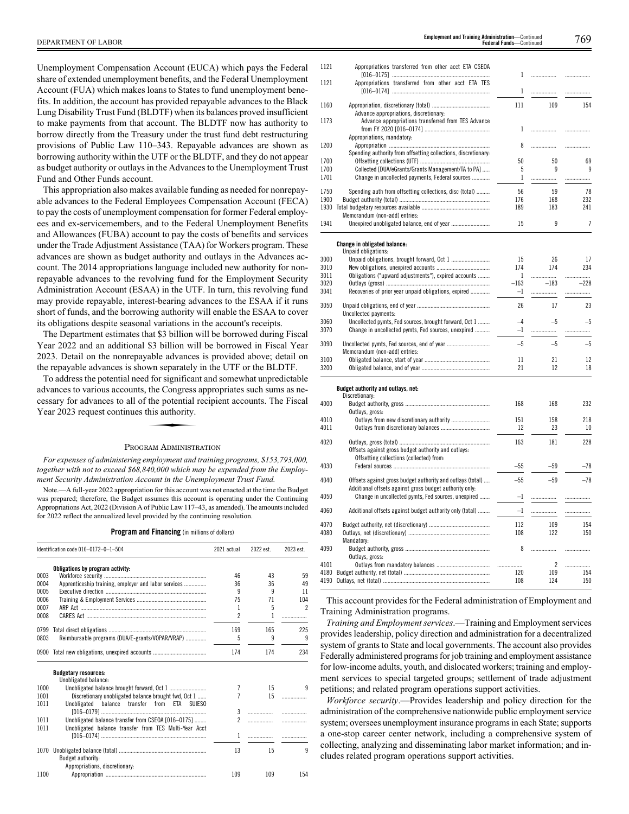Unemployment Compensation Account (EUCA) which pays the Federal share of extended unemployment benefits, and the Federal Unemployment Account (FUA) which makes loans to States to fund unemployment benefits. In addition, the account has provided repayable advances to the Black Lung Disability Trust Fund (BLDTF) when its balances proved insufficient to make payments from that account. The BLDTF now has authority to borrow directly from the Treasury under the trust fund debt restructuring provisions of Public Law 110–343. Repayable advances are shown as borrowing authority within the UTF or the BLDTF, and they do not appear as budget authority or outlays in the Advances to the Unemployment Trust Fund and Other Funds account.

This appropriation also makes available funding as needed for nonrepayable advances to the Federal Employees Compensation Account (FECA) to pay the costs of unemployment compensation for former Federal employees and ex-servicemembers, and to the Federal Unemployment Benefits and Allowances (FUBA) account to pay the costs of benefits and services under the Trade Adjustment Assistance (TAA) for Workers program. These advances are shown as budget authority and outlays in the Advances account. The 2014 appropriations language included new authority for nonrepayable advances to the revolving fund for the Employment Security Administration Account (ESAA) in the UTF. In turn, this revolving fund may provide repayable, interest-bearing advances to the ESAA if it runs short of funds, and the borrowing authority will enable the ESAA to cover its obligations despite seasonal variations in the account's receipts.

The Department estimates that \$3 billion will be borrowed during Fiscal Year 2022 and an additional \$3 billion will be borrowed in Fiscal Year 2023. Detail on the nonrepayable advances is provided above; detail on the repayable advances is shown separately in the UTF or the BLDTF.

To address the potential need for significant and somewhat unpredictable advances to various accounts, the Congress appropriates such sums as necessary for advances to all of the potential recipient accounts. The Fiscal Year 2023 request continues this authority. cessary for advances to all of the potential recipient accounts. The Fiscal Year 2023 request continues this authority.

# PROGRAM ADMINISTRATION

*For expenses of administering employment and training programs, \$153,793,000, together with not to exceed \$68,840,000 which may be expended from the Employment Security Administration Account in the Unemployment Trust Fund.*

Note.—A full-year 2022 appropriation for this account was not enacted at the time the Budget was prepared; therefore, the Budget assumes this account is operating under the Continuing Appropriations Act, 2022 (Division A of Public Law 117–43, as amended). The amounts included for 2022 reflect the annualized level provided by the continuing resolution.

**Program and Financing** (in millions of dollars)

|      | Identification code 016-0172-0-1-504                  |                     | 2022 est. | 2023 est. |
|------|-------------------------------------------------------|---------------------|-----------|-----------|
|      | Obligations by program activity:                      |                     |           |           |
| 0003 |                                                       | 46                  | 43        | 59        |
| 0004 | Apprenticeship training, employer and labor services  | 36                  | 36        | 49        |
| 0005 |                                                       | 9                   | q         | 11        |
| 0006 |                                                       | 75                  | 71        | 104       |
| 0007 |                                                       | 1                   | 5         | 2         |
| 0008 |                                                       | $\mathfrak{p}$      | 1         | .         |
| 0799 |                                                       | 169                 | 165       | 225       |
| 0803 | Reimbursable programs (DUA/E-grants/VOPAR/VRAP)       | 5                   | 9         | 9         |
|      | 0900 Total new obligations, unexpired accounts        | 174                 | 174       | 234       |
|      | <b>Budgetary resources:</b>                           |                     |           |           |
|      | Unobligated balance:                                  |                     |           |           |
| 1000 |                                                       | 7                   | 15        | q         |
| 1001 | Discretionary unobligated balance brought fwd. Oct 1  | 7                   | 15        |           |
| 1011 | Unobligated<br>balance transfer from ETA SUIESO       |                     |           |           |
|      |                                                       | 3                   | .         | .         |
| 1011 | Unobligated balance transfer from CSEOA [016-0175]    | $\boldsymbol{\eta}$ | .         | .         |
| 1011 | Unobligated balance transfer from TES Multi-Year Acct |                     |           |           |
|      |                                                       | 1                   | .         | .         |
| 1070 | Budget authority:                                     | 13                  | 15        | 9         |
|      | Appropriations, discretionary:                        |                     |           |           |
| 1100 |                                                       | 109                 | 109       | 154       |

| 1121 | Appropriations transferred from other acct ETA CSEOA                              |     |     |     |
|------|-----------------------------------------------------------------------------------|-----|-----|-----|
| 1121 | Appropriations transferred from other acct ETA TES                                |     |     |     |
| 1160 | Advance appropriations, discretionary:                                            | 111 | 109 | 154 |
| 1173 | Advance appropriations transferred from TES Advance<br>Appropriations, mandatory: |     |     |     |
| 1200 | Spending authority from offsetting collections, discretionary.                    | 8   |     |     |
| 1700 |                                                                                   | 50  | 50  | 69  |
| 1700 | Collected [DUA/eGrants/Grants Management/TA to PA]                                | 5   | 9   | 9   |
| 1701 | Change in uncollected payments, Federal sources                                   |     |     |     |
| 1750 | Spending auth from offsetting collections, disc (total)                           | 56  | 59  | 78  |
| 1900 |                                                                                   | 176 | 168 | 232 |
| 1930 | Memorandum (non-add) entries:                                                     | 189 | 183 | 241 |
| 1941 |                                                                                   | 15  | 9   | 7   |

**Change in obligated balance:**

|      | o in owngatou waiunoo.<br>Unpaid obligations:                                                                         |        |                |        |
|------|-----------------------------------------------------------------------------------------------------------------------|--------|----------------|--------|
| 3000 | Unpaid obligations, brought forward, Oct 1                                                                            | 15     | 26             | 17     |
| 3010 |                                                                                                                       | 174    | 174            | 234    |
| 3011 | Obligations ("upward adjustments"), expired accounts                                                                  | 1      | .              | .      |
| 3020 |                                                                                                                       | $-163$ | $-183$         | $-228$ |
| 3041 | Recoveries of prior year unpaid obligations, expired                                                                  | $-1$   | .              | .      |
|      |                                                                                                                       |        |                |        |
| 3050 | Uncollected payments:                                                                                                 | 26     | 17             | 23     |
| 3060 | Uncollected pymts, Fed sources, brought forward, Oct 1                                                                | $-4$   | $-5$           | $-5$   |
| 3070 | Change in uncollected pymts, Fed sources, unexpired                                                                   | $-1$   |                | .      |
| 3090 | Memorandum (non-add) entries:                                                                                         | $-5$   | $-5$           | $-5$   |
| 3100 |                                                                                                                       | 11     | 21             | 12     |
| 3200 |                                                                                                                       | 21     | 12             | 18     |
|      | Budget authority and outlays, net:<br>Discretionary:                                                                  |        |                |        |
| 4000 | Outlays, gross:                                                                                                       | 168    | 168            | 232    |
| 4010 | Outlays from new discretionary authority                                                                              | 151    | 158            | 218    |
| 4011 |                                                                                                                       | 12     | 23             | 10     |
| 4020 |                                                                                                                       | 163    | 181            | 228    |
|      | Offsets against gross budget authority and outlays:<br>Offsetting collections (collected) from:                       |        |                |        |
| 4030 |                                                                                                                       | $-55$  | $-59$          | $-78$  |
| 4040 | Offsets against gross budget authority and outlays (total)<br>Additional offsets against gross budget authority only: | $-55$  | $-59$          | $-78$  |
| 4050 | Change in uncollected pymts, Fed sources, unexpired                                                                   | $-1$   | .              | .      |
| 4060 | Additional offsets against budget authority only (total)                                                              | $-1$   |                | .      |
| 4070 |                                                                                                                       | 112    | 109            | 154    |
| 4080 |                                                                                                                       | 108    | 122            | 150    |
|      | Mandatory:                                                                                                            |        |                |        |
| 4090 |                                                                                                                       | 8      | .              |        |
|      | Outlays, gross:                                                                                                       |        |                |        |
| 4101 |                                                                                                                       |        | $\overline{2}$ | .      |
| 4180 |                                                                                                                       | 120    | 109            | 154    |
| 4190 |                                                                                                                       | 108    | 124            | 150    |

This account provides for the Federal administration of Employment and Training Administration programs.

*Training and Employment services*.—Training and Employment services provides leadership, policy direction and administration for a decentralized system of grants to State and local governments. The account also provides Federally administered programs for job training and employment assistance for low-income adults, youth, and dislocated workers; training and employment services to special targeted groups; settlement of trade adjustment petitions; and related program operations support activities.

*Workforce security*.—Provides leadership and policy direction for the administration of the comprehensive nationwide public employment service system; oversees unemployment insurance programs in each State; supports a one-stop career center network, including a comprehensive system of collecting, analyzing and disseminating labor market information; and includes related program operations support activities.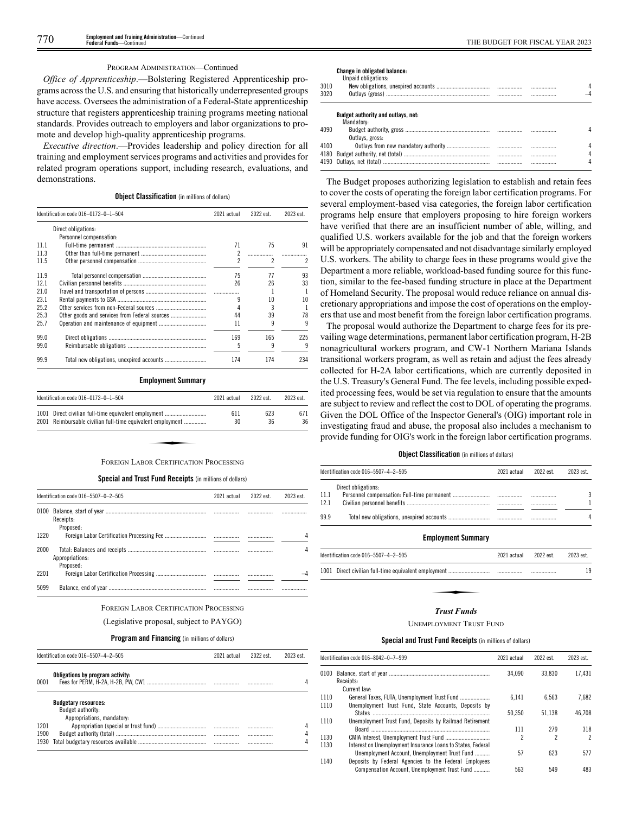# PROGRAM ADMINISTRATION—Continued

*Office of Apprenticeship*.—Bolstering Registered Apprenticeship programs across the U.S. and ensuring that historically underrepresented groups have access. Oversees the administration of a Federal-State apprenticeship structure that registers apprenticeship training programs meeting national standards. Provides outreach to employers and labor organizations to promote and develop high-quality apprenticeship programs.

*Executive direction*.—Provides leadership and policy direction for all training and employment services programs and activities and provides for related program operations support, including research, evaluations, and demonstrations.

# **Object Classification** (in millions of dollars)

|      | Identification code 016-0172-0-1-504          | 2021 actual | 2022 est. | 2023 est. |
|------|-----------------------------------------------|-------------|-----------|-----------|
|      | Direct obligations:                           |             |           |           |
|      | Personnel compensation:                       |             |           |           |
| 111  |                                               | 71          | 75        | 91        |
| 11.3 |                                               |             |           |           |
| 11.5 |                                               | 2           | 2         | 2         |
| 11.9 |                                               | 75          | 77        | 93        |
| 12.1 |                                               | 26          | 26        | 33        |
| 21.0 |                                               |             |           |           |
| 23.1 |                                               |             | 10        | 10        |
| 25.2 |                                               |             | 3         |           |
| 25.3 | Other goods and services from Federal sources | 44          | 39        | 78        |
| 25.7 |                                               | 11          | q         | q         |
| 99.0 |                                               | 169         | 165       | 225       |
| 99.0 |                                               | 5           | 9         | q         |
| 99.9 |                                               | 174         | 174       | 234       |

#### **Employment Summary**

|      | Identification code 016-0172-0-1-504                       | 2021 actual | 2022 est. | 2023 est. |
|------|------------------------------------------------------------|-------------|-----------|-----------|
| 1001 | Direct civilian full-time equivalent employment            | 611         | 623       | 671       |
|      | 2001 Reimbursable civilian full-time equivalent employment | 30          | 36        | 36        |
|      |                                                            |             |           |           |
|      | FOREIGN LABOR CERTIFICATION PROCESSING                     |             |           |           |

#### **Special and Trust Fund Receipts** (in millions of dollars)

|      | Identification code 016-5507-0-2-505 | 2021 actual | 2022 est. | 2023 est. |  |
|------|--------------------------------------|-------------|-----------|-----------|--|
| 0100 | Receipts:<br>Proposed:               |             |           |           |  |
| 1220 |                                      |             |           |           |  |
| 2000 | Appropriations:<br>Proposed:         |             |           |           |  |
| 2201 |                                      |             |           |           |  |
| 5099 |                                      |             |           | .         |  |

# FOREIGN LABOR CERTIFICATION PROCESSING

# (Legislative proposal, subject to PAYGO)

# **Program and Financing** (in millions of dollars)

|                      | Identification code 016-5507-4-2-505                                           |      | 2022 est  | 2023 est. |
|----------------------|--------------------------------------------------------------------------------|------|-----------|-----------|
| 0001                 | Obligations by program activity:                                               |      |           | Д         |
|                      | <b>Budgetary resources:</b><br>Budget authority:<br>Appropriations, mandatory: |      |           |           |
| 1201<br>1900<br>1930 |                                                                                | <br> | .<br><br> | Д         |

# **Change in obligated balance:**

|      | Unpaid obligations:                |  |   |
|------|------------------------------------|--|---|
| 3010 |                                    |  |   |
| 3020 |                                    |  |   |
|      | Budget authority and outlays, net: |  |   |
|      | Mandatory:                         |  |   |
| 4090 |                                    |  |   |
|      | Outlays, gross:                    |  |   |
| 4100 |                                    |  |   |
| 4180 |                                    |  |   |
|      |                                    |  | Δ |

The Budget proposes authorizing legislation to establish and retain fees to cover the costs of operating the foreign labor certification programs. For several employment-based visa categories, the foreign labor certification programs help ensure that employers proposing to hire foreign workers have verified that there are an insufficient number of able, willing, and qualified U.S. workers available for the job and that the foreign workers will be appropriately compensated and not disadvantage similarly employed U.S. workers. The ability to charge fees in these programs would give the Department a more reliable, workload-based funding source for this function, similar to the fee-based funding structure in place at the Department of Homeland Security. The proposal would reduce reliance on annual discretionary appropriations and impose the cost of operations on the employers that use and most benefit from the foreign labor certification programs.

The proposal would authorize the Department to charge fees for its prevailing wage determinations, permanent labor certification program, H-2B nonagricultural workers program, and CW-1 Northern Mariana Islands transitional workers program, as well as retain and adjust the fees already collected for H-2A labor certifications, which are currently deposited in the U.S. Treasury's General Fund. The fee levels, including possible expedited processing fees, would be set via regulation to ensure that the amounts are subject to review and reflect the cost to DOL of operating the programs. Given the DOL Office of the Inspector General's (OIG) important role in investigating fraud and abuse, the proposal also includes a mechanism to provide funding for OIG's work in the foreign labor certification programs.

# **Object Classification** (in millions of dollars)

|      | Identification code 016-5507-4-2-505 |             | 2022 est. | 2023 est. |
|------|--------------------------------------|-------------|-----------|-----------|
|      | Direct obligations:                  |             |           |           |
| 11.1 |                                      |             |           | 3         |
| 12.1 |                                      |             |           |           |
| 99.9 |                                      |             |           | 4         |
|      | <b>Employment Summary</b>            |             |           |           |
|      | Identification code 016-5507-4-2-505 | 2021 actual | 2022 est. | 2023 est. |
|      |                                      |             |           | 19        |
|      |                                      |             |           |           |
|      | Trust Funds                          |             |           |           |

### *Trust Funds*

#### UNEMPLOYMENT TRUST FUND

#### **Special and Trust Fund Receipts** (in millions of dollars)

|      | Identification code 016-8042-0-7-999                        |        | 2022 est. | 2023 est. |
|------|-------------------------------------------------------------|--------|-----------|-----------|
|      |                                                             | 34.090 | 33.830    | 17.431    |
|      | Receipts:                                                   |        |           |           |
|      | Current law:                                                |        |           |           |
| 1110 | General Taxes, FUTA, Unemployment Trust Fund                | 6.141  | 6.563     | 7.682     |
| 1110 | Unemployment Trust Fund, State Accounts, Deposits by        |        |           |           |
|      |                                                             | 50.350 | 51.138    | 46.708    |
| 1110 | Unemployment Trust Fund, Deposits by Railroad Retirement    |        |           |           |
|      |                                                             | 111    | 279       | 318       |
| 1130 |                                                             | 2      | 2         | 2         |
| 1130 | Interest on Unemployment Insurance Loans to States, Federal |        |           |           |
|      | Unemployment Account, Unemployment Trust Fund               | 57     | 623       | 577       |
| 1140 | Deposits by Federal Agencies to the Federal Employees       |        |           |           |
|      | Compensation Account. Unemployment Trust Fund               | 563    | 549       | 483       |
|      |                                                             |        |           |           |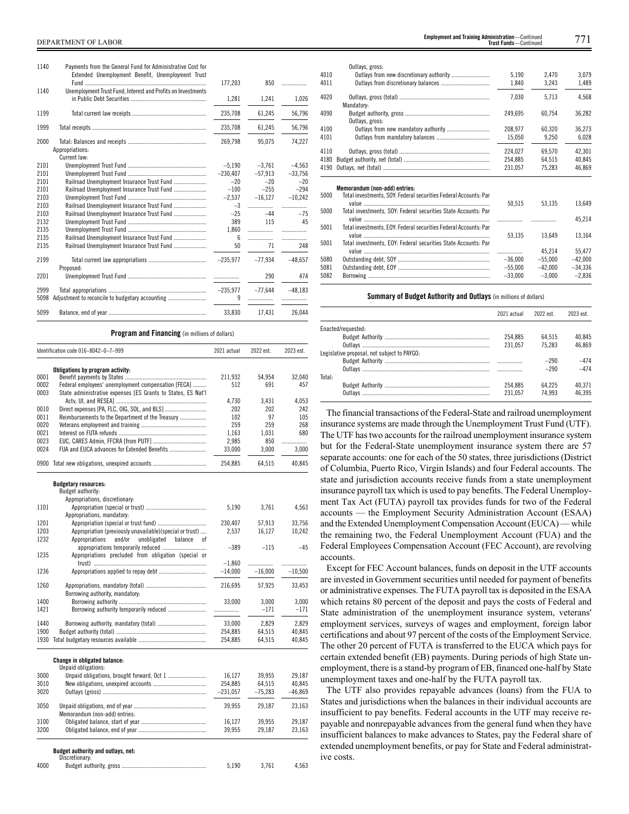| .              | 850            | 177,203         | Payments from the General Fund for Administrative Cost for<br>Extended Unemployment Benefit, Unemployment Trust | 1140         |
|----------------|----------------|-----------------|-----------------------------------------------------------------------------------------------------------------|--------------|
| 1,026          | 1,241          | 1,281           | Unemployment Trust Fund, Interest and Profits on Investments                                                    | 1140         |
| 56,796         | 61,245         | 235,708         |                                                                                                                 | 1199         |
| 56,796         | 61,245         | 235,708         |                                                                                                                 | 1999         |
| 74,227         | 95,075         | 269,798         | Appropriations:<br>Current law:                                                                                 | 2000         |
| $-4.563$       | $-3.761$       | $-5.190$        |                                                                                                                 | 2101         |
| $-33,756$      | $-57,913$      | $-230,407$      |                                                                                                                 | 2101         |
| $-20$          | $-20$          | $-20$           |                                                                                                                 | 2101         |
| $-294$         | $-255$         | $-100$          | Railroad Unemployment Insurance Trust Fund                                                                      | 2101         |
| $-10.242$      | $-16.127$      | $-2.537$        |                                                                                                                 | 2103         |
| .              | .              | $-3$            |                                                                                                                 | 2103         |
| $-75$          | $-44$          | $-25$           |                                                                                                                 | 2103         |
| 45             | 115            | 389             |                                                                                                                 | 2132         |
| .              | .              | 1.860           |                                                                                                                 | 2135         |
| .              | .              | 6               |                                                                                                                 | 2135         |
| 248            | 71             | 50              |                                                                                                                 | 2135         |
| $-48.657$      | $-77.934$      | $-235,977$      | Proposed:                                                                                                       | 2199         |
| 474            | 290            |                 |                                                                                                                 | 2201         |
| $-48.183$<br>. | $-77,644$<br>. | $-235.977$<br>9 |                                                                                                                 | 2999<br>5098 |
| 26.044         | 17.431         | 33.830          |                                                                                                                 | 5099         |

**Program and Financing** (in millions of dollars)

|      | Identification code 016-8042-0-7-999                                                                                 | 2021 actual | 2022 est.        | 2023 est. |
|------|----------------------------------------------------------------------------------------------------------------------|-------------|------------------|-----------|
|      | Obligations by program activity:                                                                                     |             |                  |           |
| 0001 |                                                                                                                      | 211,932     | 54,954           | 32.040    |
| 0002 | Federal employees' unemployment compensation [FECA]                                                                  | 512         | 691              | 457       |
| 0003 | State administrative expenses [ES Grants to States, ES Nat'l                                                         |             |                  |           |
|      |                                                                                                                      | 4.730       | 3.431            | 4.053     |
| 0010 |                                                                                                                      | 202         | 202              | 242       |
| 0011 | Reimbursements to the Department of the Treasury                                                                     | 102         | 97               | 105       |
| 0020 |                                                                                                                      | 259         | 259              | 268       |
| 0021 |                                                                                                                      | 1.163       | 1.031            | 680       |
| 0023 |                                                                                                                      | 2,985       | 850              | .         |
| 0024 |                                                                                                                      | 33,000      | 3,000            | 3,000     |
|      | 0900 Total new obligations, unexpired accounts                                                                       | 254,885     | 64,515           | 40,845    |
|      | <b>Budgetary resources:</b>                                                                                          |             |                  |           |
|      | Budget authority:                                                                                                    |             |                  |           |
| 1101 | Appropriations, discretionary:                                                                                       |             |                  |           |
|      |                                                                                                                      | 5,190       | 3,761            | 4,563     |
| 1201 | Appropriations, mandatory:                                                                                           |             |                  |           |
| 1203 | Appropriation (special or trust fund)                                                                                | 230,407     | 57,913<br>16,127 | 33,756    |
| 1232 | Appropriation (previously unavailable)(special or trust)<br>and/or<br>unobligated<br>Appropriations<br>balance<br>0f | 2,537       |                  | 10,242    |
|      | appropriations temporarily reduced                                                                                   | $-389$      | $-115$           | $-45$     |
| 1235 | Appropriations precluded from obligation (special or                                                                 |             |                  |           |
|      |                                                                                                                      | $-1,860$    | .                | .         |
| 1236 |                                                                                                                      | $-14.000$   | $-16.000$        | $-10,500$ |
|      |                                                                                                                      |             |                  |           |
| 1260 |                                                                                                                      | 216,695     | 57,925           | 33,453    |
|      | Borrowing authority, mandatory:                                                                                      |             |                  |           |
| 1400 |                                                                                                                      | 33,000      | 3,000            | 3,000     |
| 1421 |                                                                                                                      |             | $-171$           | $-171$    |
| 1440 |                                                                                                                      | 33,000      | 2,829            | 2,829     |
| 1900 |                                                                                                                      | 254,885     | 64,515           | 40,845    |
|      |                                                                                                                      | 254,885     | 64,515           | 40,845    |
|      |                                                                                                                      |             |                  |           |
|      | <b>Change in obligated balance:</b><br>Unpaid obligations:                                                           |             |                  |           |
| 3000 |                                                                                                                      | 16,127      | 39,955           | 29,187    |
| 3010 |                                                                                                                      | 254,885     | 64,515           | 40,845    |
| 3020 |                                                                                                                      | $-231.057$  | $-75.283$        | $-46,869$ |
| 3050 |                                                                                                                      | 39,955      | 29,187           | 23,163    |
|      | Memorandum (non-add) entries:                                                                                        |             |                  |           |
| 3100 |                                                                                                                      | 16,127      | 39,955           | 29,187    |
| 3200 |                                                                                                                      | 39,955      | 29,187           | 23,163    |
|      | Budget authority and outlays, net:                                                                                   |             |                  |           |
| 4000 | Discretionary:                                                                                                       | 5,190       | 3,761            | 4,563     |
|      |                                                                                                                      |             |                  |           |

DEPARTMENT OF LABOR 771 **Employment and Training Administration**—Continued **Trust Funds**—Continu

|              | Outlays, gross:                                                  |                        |                       |                       |
|--------------|------------------------------------------------------------------|------------------------|-----------------------|-----------------------|
| 4010         |                                                                  | 5,190                  | 2,470                 | 3,079                 |
| 4011         |                                                                  | 1,840                  | 3,243                 | 1,489                 |
| 4020         | Mandatory:                                                       | 7,030                  | 5,713                 | 4,568                 |
| 4090         | Outlays, gross:                                                  | 249,695                | 60.754                | 36,282                |
| 4100         |                                                                  | 208,977                | 60.320                | 36,273                |
| 4101         |                                                                  | 15,050                 | 9,250                 | 6,028                 |
| 4110         |                                                                  | 224.027                | 69.570                | 42.301                |
| 4180         |                                                                  | 254,885                | 64,515                | 40,845                |
| 4190         |                                                                  | 231,057                | 75,283                | 46,869                |
|              | Memorandum (non-add) entries:                                    |                        |                       |                       |
| 5000         | Total investments, SOY: Federal securities Federal Accounts: Par | 50,515                 | 53,135                | 13,649                |
| 5000         | Total investments, SOY: Federal securities State Accounts: Par   |                        |                       | 45,214                |
| 5001         | Total investments, EOY: Federal securities Federal Accounts: Par |                        |                       |                       |
|              |                                                                  | 53,135                 | 13,649                | 13,164                |
| 5001         | Total investments, EOY: Federal securities State Accounts: Par   |                        |                       |                       |
| 5080         |                                                                  |                        |                       |                       |
|              |                                                                  | .                      | 45.214                | 55.477                |
|              |                                                                  | $-36,000$              | $-55,000$             | $-42,000$             |
| 5081<br>5082 |                                                                  | $-55.000$<br>$-33,000$ | $-42.000$<br>$-3,000$ | $-34,336$<br>$-2,836$ |

 $\overline{5}$ 

 $\overline{5}$ 

5

5

# **Summary of Budget Authority and Outlays** (in millions of dollars)

|                                             | 2021 actual | 2022 est | 2023 est |
|---------------------------------------------|-------------|----------|----------|
| Enacted/requested:                          |             |          |          |
|                                             | 254.885     | 64.515   | 40.845   |
|                                             | 231.057     | 75.283   | 46.869   |
| Legislative proposal, not subject to PAYGO: |             |          |          |
|                                             |             | $-290$   | $-474$   |
|                                             |             | $-290$   | $-474$   |
| Total:                                      |             |          |          |
|                                             | 254.885     | 64.225   | 40.371   |
|                                             | 231.057     | 74.993   | 46.395   |

The financial transactions of the Federal-State and railroad unemployment insurance systems are made through the Unemployment Trust Fund (UTF). The UTF has two accounts for the railroad unemployment insurance system but for the Federal-State unemployment insurance system there are 57 separate accounts: one for each of the 50 states, three jurisdictions (District of Columbia, Puerto Rico, Virgin Islands) and four Federal accounts. The state and jurisdiction accounts receive funds from a state unemployment insurance payroll tax which is used to pay benefits. The Federal Unemployment Tax Act (FUTA) payroll tax provides funds for two of the Federal accounts — the Employment Security Administration Account (ESAA) and the Extended Unemployment Compensation Account (EUCA) — while the remaining two, the Federal Unemployment Account (FUA) and the Federal Employees Compensation Account (FEC Account), are revolving accounts.

Except for FEC Account balances, funds on deposit in the UTF accounts are invested in Government securities until needed for payment of benefits or administrative expenses. The FUTA payroll tax is deposited in the ESAA which retains 80 percent of the deposit and pays the costs of Federal and State administration of the unemployment insurance system, veterans' employment services, surveys of wages and employment, foreign labor certifications and about 97 percent of the costs of the Employment Service. The other 20 percent of FUTA is transferred to the EUCA which pays for certain extended benefit (EB) payments. During periods of high State unemployment, there is a stand-by program of EB, financed one-half by State unemployment taxes and one-half by the FUTA payroll tax.

The UTF also provides repayable advances (loans) from the FUA to States and jurisdictions when the balances in their individual accounts are insufficient to pay benefits. Federal accounts in the UTF may receive repayable and nonrepayable advances from the general fund when they have insufficient balances to make advances to States, pay the Federal share of extended unemployment benefits, or pay for State and Federal administrative costs.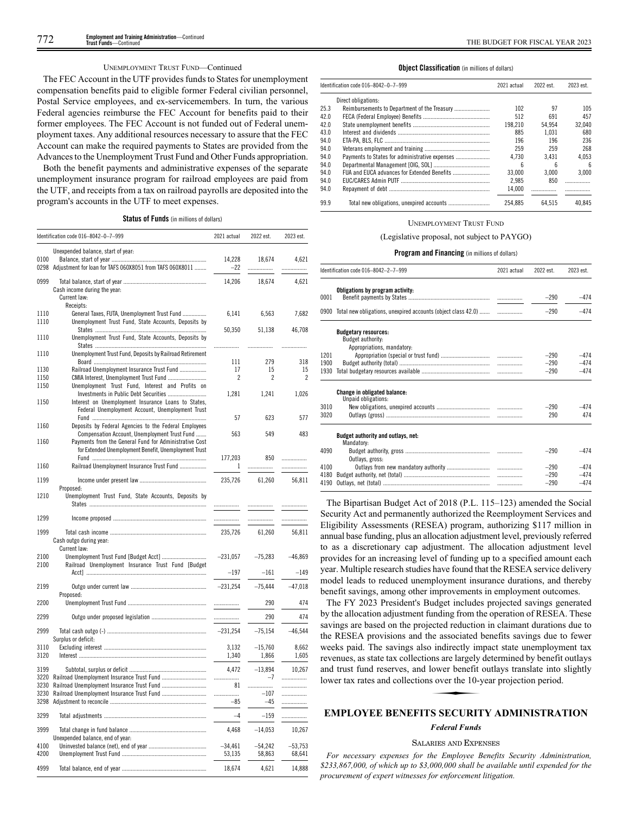# UNEMPLOYMENT TRUST FUND—Continued

The FEC Account in the UTF provides funds to States for unemployment compensation benefits paid to eligible former Federal civilian personnel, Postal Service employees, and ex-servicemembers. In turn, the various Federal agencies reimburse the FEC Account for benefits paid to their former employees. The FEC Account is not funded out of Federal unemployment taxes. Any additional resources necessary to assure that the FEC Account can make the required payments to States are provided from the Advances to the Unemployment Trust Fund and Other Funds appropriation.

Both the benefit payments and administrative expenses of the separate unemployment insurance program for railroad employees are paid from the UTF, and receipts from a tax on railroad payrolls are deposited into the program's accounts in the UTF to meet expenses.

|  |  |  | <b>Status of Funds</b> (in millions of dollars) |  |  |  |  |  |
|--|--|--|-------------------------------------------------|--|--|--|--|--|
|--|--|--|-------------------------------------------------|--|--|--|--|--|

|              | Identification code 016-8042-0-7-999                                                                                                                             | 2021 actual         | 2022 est.           | 2023 est.           |
|--------------|------------------------------------------------------------------------------------------------------------------------------------------------------------------|---------------------|---------------------|---------------------|
| 0100         | Unexpended balance, start of year:<br>0298 Adjustment for loan for TAFS 060X8051 from TAFS 060X8011                                                              | 14,228<br>$-22$     | 18,674<br>.         | 4,621<br>.          |
| 0999         | Cash income during the year:<br>Current law:                                                                                                                     | 14.206              | 18.674              | 4.621               |
| 1110<br>1110 | Receipts:<br>General Taxes, FUTA, Unemployment Trust Fund<br>Unemployment Trust Fund, State Accounts, Deposits by                                                | 6,141               | 6,563               | 7,682               |
| 1110         | Unemployment Trust Fund, State Accounts, Deposits by                                                                                                             | 50,350<br>.         | 51,138<br>.         | 46,708<br>.         |
| 1110         | Unemployment Trust Fund, Deposits by Railroad Retirement                                                                                                         | 111                 | 279                 | 318                 |
| 1130         | Railroad Unemployment Insurance Trust Fund                                                                                                                       | 17                  | 15                  | 15                  |
| 1150<br>1150 | Unemployment Trust Fund, Interest and Profits on                                                                                                                 | 2                   | 2                   | 2                   |
| 1150         | Investments in Public Debt Securities<br>Interest on Unemployment Insurance Loans to States,<br>Federal Unemployment Account, Unemployment Trust                 | 1,281               | 1,241               | 1,026               |
| 1160         | Deposits by Federal Agencies to the Federal Employees                                                                                                            | 57                  | 623                 | 577                 |
| 1160         | Compensation Account, Unemployment Trust Fund<br>Payments from the General Fund for Administrative Cost<br>for Extended Unemployment Benefit, Unemployment Trust | 563                 | 549                 | 483                 |
| 1160         | Railroad Unemployment Insurance Trust Fund                                                                                                                       | 177,203<br>1        | 850<br>.            | .<br>.              |
| 1199         |                                                                                                                                                                  | 235,726             | 61,260              | 56,811              |
| 1210         | Proposed:<br>Unemployment Trust Fund, State Accounts, Deposits by                                                                                                | .                   |                     |                     |
| 1299         |                                                                                                                                                                  | .                   | .                   |                     |
| 1999         | Cash outgo during year:<br>Current law:                                                                                                                          | 235,726             | 61,260              | 56,811              |
| 2100<br>2100 | Railroad Unemployment Insurance Trust Fund [Budget                                                                                                               | $-231,057$          | $-75,283$           | $-46,869$           |
|              |                                                                                                                                                                  | $-197$              | $-161$              | $-149$              |
| 2199         | Proposed:                                                                                                                                                        | $-231,254$          | $-75,444$           | $-47,018$           |
| 2200         |                                                                                                                                                                  | .                   | 290                 | 474                 |
| 2299         |                                                                                                                                                                  | .                   | 290                 | 474                 |
| 2999         | Surplus or deficit:                                                                                                                                              | $-231,254$          | $-75,154$           | $-46,544$           |
| 3110<br>3120 |                                                                                                                                                                  | 3,132<br>1,340      | $-15,760$<br>1,866  | 8,662<br>1,605      |
| 3199<br>3220 |                                                                                                                                                                  | 4,472<br>           | $-13,894$<br>$-7$   | 10,267<br>.         |
| 3230         |                                                                                                                                                                  | 81                  |                     | .                   |
| 3230<br>3298 |                                                                                                                                                                  | .<br>-85            | $-107$<br>$-45$     | .<br>.              |
| 3299         |                                                                                                                                                                  | $-4$                | -159                |                     |
| 3999         | Unexpended balance, end of year:                                                                                                                                 | 4,468               | $-14,053$           | 10,267              |
| 4100<br>4200 |                                                                                                                                                                  | $-34,461$<br>53,135 | $-54,242$<br>58,863 | $-53,753$<br>68,641 |
| 4999         |                                                                                                                                                                  | 18,674              | 4,621               | 14,888              |

#### **Object Classification** (in millions of dollars)

|      | Identification code 016-8042-0-7-999 |         | 2022 est. | 2023 est.   |  |  |  |
|------|--------------------------------------|---------|-----------|-------------|--|--|--|
|      | Direct obligations:                  |         |           |             |  |  |  |
| 25.3 |                                      | 102     | 97        | 105         |  |  |  |
| 42.0 |                                      | 512     | 691       | 457         |  |  |  |
| 42.0 |                                      | 198.210 | 54.954    | 32.040      |  |  |  |
| 43.0 |                                      | 885     | 1.031     | 680         |  |  |  |
| 94.0 |                                      | 196     | 196       | 236         |  |  |  |
| 94.0 |                                      | 259     | 259       | 268         |  |  |  |
| 94.0 |                                      | 4.730   | 3.431     | 4.053       |  |  |  |
| 94.0 |                                      | ĥ       | ĥ         | $6^{\circ}$ |  |  |  |
| 94.0 |                                      | 33,000  | 3.000     | 3.000       |  |  |  |
| 94.0 |                                      | 2.985   | 850       |             |  |  |  |
| 94.0 |                                      | 14.000  | .         |             |  |  |  |
| 99.9 |                                      | 254.885 | 64.515    | 40.845      |  |  |  |

#### UNEMPLOYMENT TRUST FUND

# (Legislative proposal, not subject to PAYGO)

#### **Program and Financing** (in millions of dollars)

|      | Identification code 016-8042-2-7-999                               | 2021 actual | 2022 est. | 2023 est. |
|------|--------------------------------------------------------------------|-------------|-----------|-----------|
|      | Obligations by program activity:                                   |             |           |           |
| 0001 |                                                                    |             | $-290$    | $-474$    |
|      | 0900 Total new obligations, unexpired accounts (object class 42.0) |             | $-290$    | $-474$    |
|      | <b>Budgetary resources:</b>                                        |             |           |           |
|      | Budget authority:<br>Appropriations, mandatory:                    |             |           |           |
| 1201 |                                                                    |             | $-290$    | $-474$    |
| 1900 |                                                                    |             | $-290$    | $-474$    |
| 1930 |                                                                    |             | $-290$    | $-474$    |
|      | Change in obligated balance:                                       |             |           |           |
| 3010 | Unpaid obligations:                                                |             | $-290$    | $-474$    |
| 3020 |                                                                    |             | 290       | 474       |
|      | Budget authority and outlays, net:<br>Mandatory:                   |             |           |           |
| 4090 | Outlays, gross:                                                    |             | $-290$    | $-474$    |
| 4100 |                                                                    |             | $-290$    | $-474$    |
| 4180 |                                                                    |             | $-290$    | $-474$    |
| 4190 |                                                                    |             | $-290$    | $-474$    |

The Bipartisan Budget Act of 2018 (P.L. 115–123) amended the Social Security Act and permanently authorized the Reemployment Services and Eligibility Assessments (RESEA) program, authorizing \$117 million in annual base funding, plus an allocation adjustment level, previously referred to as a discretionary cap adjustment. The allocation adjustment level provides for an increasing level of funding up to a specified amount each year. Multiple research studies have found that the RESEA service delivery model leads to reduced unemployment insurance durations, and thereby benefit savings, among other improvements in employment outcomes.

The FY 2023 President's Budget includes projected savings generated by the allocation adjustment funding from the operation of RESEA. These savings are based on the projected reduction in claimant durations due to the RESEA provisions and the associated benefits savings due to fewer weeks paid. The savings also indirectly impact state unemployment tax revenues, as state tax collections are largely determined by benefit outlays<br>and trust fund reserves, and lower benefit outlays translate into slightly<br>lower tax rates and collections over the 10-year projection period.<br>**E** and trust fund reserves, and lower benefit outlays translate into slightly lower tax rates and collections over the 10-year projection period.

# **EMPLOYEE BENEFITS SECURITY ADMINISTRATION**

# *Federal Funds*

# SALARIES AND EXPENSES

*For necessary expenses for the Employee Benefits Security Administration, \$233,867,000, of which up to \$3,000,000 shall be available until expended for the procurement of expert witnesses for enforcement litigation.*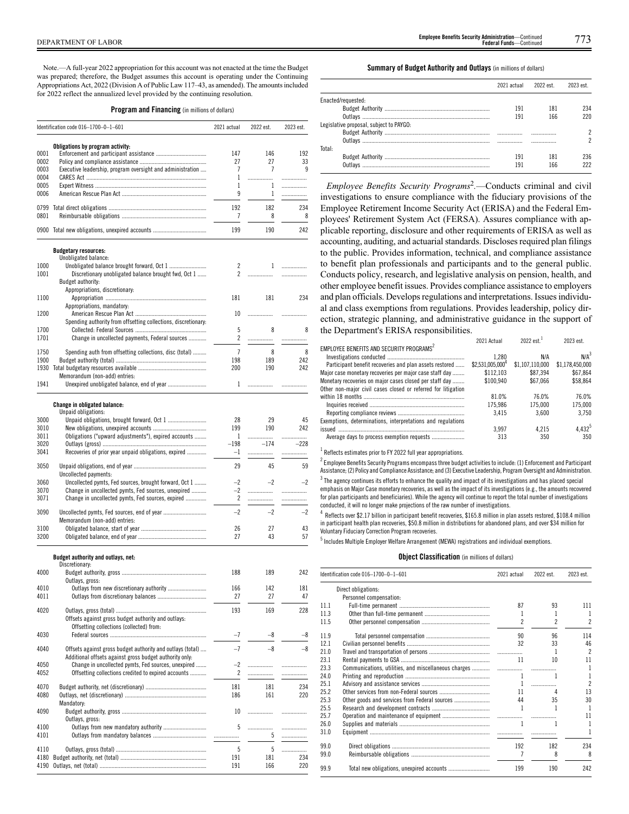Note.—A full-year 2022 appropriation for this account was not enacted at the time the Budget was prepared; therefore, the Budget assumes this account is operating under the Continuing Appropriations Act, 2022 (Division A of Public Law 117–43, as amended). The amounts included for 2022 reflect the annualized level provided by the continuing resolution.

**Program and Financing** (in millions of dollars)

|      | Identification code 016-1700-0-1-601                                                                                  | 2021 actual    | 2022 est.    | 2023 est. |
|------|-----------------------------------------------------------------------------------------------------------------------|----------------|--------------|-----------|
|      |                                                                                                                       |                |              |           |
| 0001 | Obligations by program activity:                                                                                      | 147            | 146          | 192       |
| 0002 |                                                                                                                       | 27             | 27           | 33        |
| 0003 | Executive leadership, program oversight and administration                                                            | 7              | 7            | 9         |
|      |                                                                                                                       |                |              |           |
| 0004 |                                                                                                                       | 1              | .            | .         |
| 0005 |                                                                                                                       | 1              | 1            | .         |
| 0006 |                                                                                                                       | 9              | 1            |           |
| 0799 |                                                                                                                       | 192            | 182          | 234       |
| 0801 |                                                                                                                       | 7              | 8            | 8         |
|      |                                                                                                                       |                |              |           |
|      | 0900 Total new obligations, unexpired accounts                                                                        | 199            | 190          | 242       |
|      | <b>Budgetary resources:</b><br>Unobligated balance:                                                                   |                |              |           |
| 1000 | Unobligated balance brought forward, Oct 1                                                                            | $\overline{c}$ | $\mathbf{1}$ | .         |
| 1001 | Discretionary unobligated balance brought fwd, Oct 1                                                                  | $\overline{c}$ |              | .         |
|      | Budget authority:                                                                                                     |                |              |           |
|      | Appropriations, discretionary:                                                                                        |                |              |           |
| 1100 |                                                                                                                       | 181            | 181          | 234       |
|      | Appropriations, mandatory:                                                                                            |                |              |           |
| 1200 |                                                                                                                       | 10             |              | .         |
|      | Spending authority from offsetting collections, discretionary:                                                        |                |              |           |
| 1700 |                                                                                                                       | 5              | 8            | 8         |
| 1701 | Change in uncollected payments, Federal sources                                                                       | 2              | .            | .         |
|      |                                                                                                                       |                |              |           |
| 1750 | Spending auth from offsetting collections, disc (total)                                                               | $\overline{7}$ | 8            | 8         |
| 1900 |                                                                                                                       | 198            | 189          | 242       |
|      |                                                                                                                       | 200            | 190          | 242       |
|      | Memorandum (non-add) entries:                                                                                         |                |              |           |
| 1941 | Unexpired unobligated balance, end of year                                                                            | 1              |              |           |
|      |                                                                                                                       |                |              |           |
|      | Change in obligated balance:<br>Unpaid obligations:                                                                   |                |              |           |
| 3000 |                                                                                                                       | 28             | 29           | 45        |
| 3010 |                                                                                                                       | 199            | 190          | 242       |
|      |                                                                                                                       |                |              |           |
| 3011 | Obligations ("upward adjustments"), expired accounts                                                                  | 1              | .<br>$-174$  |           |
| 3020 |                                                                                                                       | $-198$         |              | $-228$    |
| 3041 | Recoveries of prior year unpaid obligations, expired                                                                  | $-1$           | .            | .         |
| 3050 |                                                                                                                       | 29             | 45           | 59        |
|      | Uncollected payments:                                                                                                 |                |              |           |
| 3060 | Uncollected pymts, Fed sources, brought forward, Oct 1                                                                | $-2$           | $-2$         | $-2$      |
| 3070 | Change in uncollected pymts, Fed sources, unexpired                                                                   | $-2$           |              |           |
| 3071 | Change in uncollected pymts, Fed sources, expired                                                                     | $\overline{2}$ |              | <br>.     |
|      |                                                                                                                       |                |              |           |
| 3090 |                                                                                                                       | $-2$           | $-2$         | $-2$      |
|      | Memorandum (non-add) entries:                                                                                         |                |              |           |
| 3100 |                                                                                                                       | 26             | 27           | 43        |
| 3200 |                                                                                                                       | 27             | 43           | 57        |
|      |                                                                                                                       |                |              |           |
|      | Budget authority and outlays, net:<br>Discretionary:                                                                  |                |              |           |
| 4000 |                                                                                                                       | 188            | 189          | 242       |
|      | Outlays, gross:                                                                                                       |                |              |           |
| 4010 |                                                                                                                       | 166            | 142          | 181       |
| 4011 |                                                                                                                       | 27             | 27           | 47        |
|      |                                                                                                                       |                |              |           |
| 4020 |                                                                                                                       | 193            | 169          | 228       |
|      | Offsets against gross budget authority and outlays:                                                                   |                |              |           |
|      | Offsetting collections (collected) from:                                                                              |                |              |           |
| 4030 |                                                                                                                       | -7             |              | -8        |
|      |                                                                                                                       |                |              |           |
| 4040 | Offsets against gross budget authority and outlays (total)<br>Additional offsets against gross budget authority only: | $-7$           | $-8$         | $-8$      |

4050 Change in uncollected pymts, Fed sources, unexpired ....... –2 ................. ................. Offsetting collections credited to expired accounts .....

4090 Budget authority, gross ......................................................... 10 ................. .................

4100 Outlays from new mandatory authority ............................. 5 ................. .................

Outlays, net (discretionary) ...

Outlays from mandatory balances ...

Mandatory:

4190 Outlays, net (total)...

Outlays, gross:

4070 Budget authority, net (discretionary) ......................................... 181 181 234

4110 Outlays, gross (total) ............................................................. 5 5 ................. 4180 Budget authority, net (total) .......................................................... 191 181 234

# **Summary of Budget Authority and Outlays** (in millions of dollars)

|                                         | 2021 actual | 2022 est. | 2023 est. |
|-----------------------------------------|-------------|-----------|-----------|
| Enacted/requested:                      |             |           |           |
|                                         | 191         | 181       | 234       |
|                                         | 191         | 166       | 220       |
| Legislative proposal, subject to PAYGO: |             |           |           |
|                                         |             |           |           |
|                                         |             | .         |           |
| Total:                                  |             |           |           |
|                                         | 191         | 181       | 236       |
| Outlavs                                 | 191         | 166       | 222       |

*Employee Benefits Security Programs*<sup>2</sup> *.*—Conducts criminal and civil investigations to ensure compliance with the fiduciary provisions of the Employee Retirement Income Security Act (ERISA) and the Federal Employees' Retirement System Act (FERSA). Assures compliance with applicable reporting, disclosure and other requirements of ERISA as well as accounting, auditing, and actuarial standards. Discloses required plan filings to the public. Provides information, technical, and compliance assistance to benefit plan professionals and participants and to the general public. Conducts policy, research, and legislative analysis on pension, health, and other employee benefit issues. Provides compliance assistance to employers and plan officials. Develops regulations and interpretations. Issues individual and class exemptions from regulations. Provides leadership, policy direction, strategic planning, and administrative guidance in the support of the Department's ERISA responsibilities.

| EMPLOYEE BENEFITS AND SECURITY PROGRAMS <sup>2</sup>                                                                     | 2021 Actual                  | $2022$ est. <sup>1</sup> | 2023 est.        |
|--------------------------------------------------------------------------------------------------------------------------|------------------------------|--------------------------|------------------|
|                                                                                                                          | 1,280                        | N/A                      | N/A <sup>3</sup> |
| Participant benefit recoveries and plan assets restored                                                                  | \$2.531.005.000 <sup>4</sup> | \$1.107.110.000          | \$1.178.450.000  |
| Maior case monetary recoveries per maior case staff day                                                                  | \$112.103                    | \$87.394                 | \$67.864         |
| Monetary recoveries on major cases closed per staff day<br>Other non-major civil cases closed or referred for litigation | \$100.940                    | \$67,066                 | \$58,864         |
|                                                                                                                          | 81.0%                        | 76.0%                    | 76.0%            |
|                                                                                                                          | 175.986                      | 175.000                  | 175.000          |
| Exemptions, determinations, interpretations and regulations                                                              | 3.415                        | 3.600                    | 3.750            |
|                                                                                                                          | 3.997                        | 4.215                    | 4.4325           |
|                                                                                                                          | 313                          | 350                      | 350              |
|                                                                                                                          |                              |                          |                  |

 $<sup>1</sup>$  Reflects estimates prior to FY 2022 full year appropriations.</sup>

 $^2$  Employee Benefits Security Programs encompass three budget activities to include: (1) Enforcement and Participant Assistance; (2) Policy and Compliance Assistance; and (3) Executive Leadership, Program Oversight and Administration.  $^3$  The agency continues its efforts to enhance the quality and impact of its investigations and has placed special emphasis on Major Case monetary recoveries, as well as the impact of its investigations (e.g., the amounts recovered

for plan participants and beneficiaries). While the agency will continue to report the total number of investigations conducted, it will no longer make projections of the raw number of investigations.

4 Reflects over \$2.17 billion in participant benefit recoveries, \$165.8 million in plan assets restored, \$108.4 million in participant health plan recoveries, \$50.8 million in distributions for abandoned plans, and over \$34 million for Voluntary Fiduciary Correction Program recoveries.

5 Includes Multiple Employer Welfare Arrangement (MEWA) registrations and individual exemptions.

### **Object Classification** (in millions of dollars)

|      | Identification code 016-1700-0-1-601          | 2021 actual | 2022 est. | 2023 est.                |
|------|-----------------------------------------------|-------------|-----------|--------------------------|
|      | Direct obligations:                           |             |           |                          |
|      | Personnel compensation:                       |             |           |                          |
| 11.1 |                                               | 87          | 93        | 111                      |
| 11.3 |                                               |             | 1         | 1                        |
| 11.5 |                                               | 2           |           | $\overline{2}$           |
| 11.9 |                                               | 90          | 96        | 114                      |
| 12.1 |                                               | 32          | 33        | 46                       |
| 21.0 |                                               |             | 1         | $\overline{\phantom{a}}$ |
| 23.1 |                                               | 11          | 10        | 11                       |
| 23.3 |                                               |             |           | 1                        |
| 24.0 |                                               | 1           |           | $\mathbf{1}$             |
| 25.1 |                                               |             |           | $\overline{2}$           |
| 25.2 |                                               | 11          | Δ         | 13                       |
| 25.3 | Other goods and services from Federal sources | 44          | 35        | 30                       |
| 25.5 |                                               |             |           | 1                        |
| 25.7 |                                               |             | .         | 11                       |
| 26.0 |                                               | 1           |           |                          |
| 31.0 |                                               |             |           | 1                        |
| 99.0 |                                               | 192         | 182       | 234                      |
| 99.0 |                                               |             | 8         | 8                        |
| 99.9 |                                               | 199         | 190       | 242                      |
|      |                                               |             |           |                          |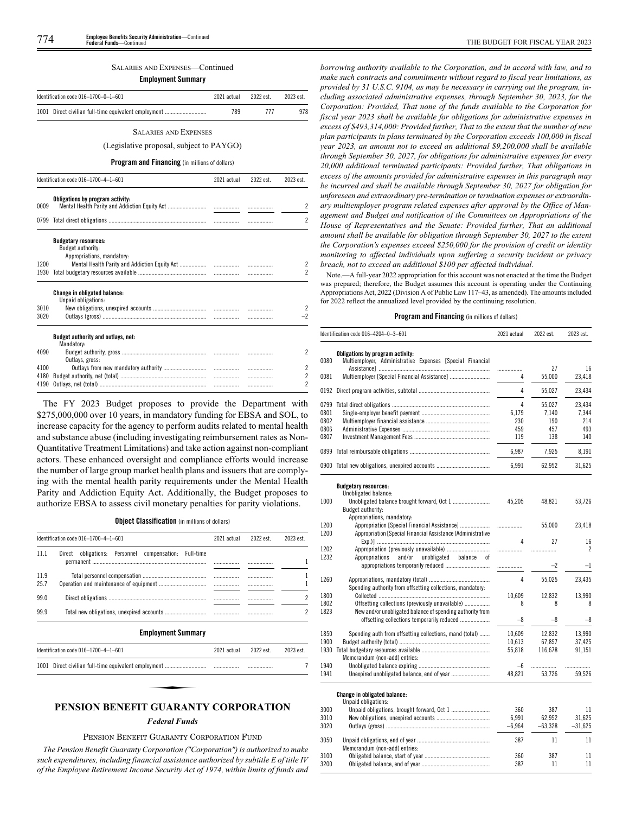# SALARIES AND EXPENSES—Continued

| <b>Employment Summary</b> |                                                                                |             |           |                                            |  |
|---------------------------|--------------------------------------------------------------------------------|-------------|-----------|--------------------------------------------|--|
|                           | Identification code 016-1700-0-1-601                                           | 2021 actual | 2022 est. | 2023 est.                                  |  |
|                           | 1001 Direct civilian full-time equivalent employment                           | 789         | 777       | 978                                        |  |
|                           | <b>SALARIES AND EXPENSES</b>                                                   |             |           |                                            |  |
|                           | (Legislative proposal, subject to PAYGO)                                       |             |           |                                            |  |
|                           | <b>Program and Financing</b> (in millions of dollars)                          |             |           |                                            |  |
|                           | Identification code 016-1700-4-1-601                                           | 2021 actual | 2022 est. | 2023 est.                                  |  |
| 0009                      | Obligations by program activity:                                               |             |           | $\overline{\mathcal{C}}$                   |  |
|                           |                                                                                |             | .         | 2                                          |  |
| 1200<br>1930              | <b>Budgetary resources:</b><br>Budget authority:<br>Appropriations, mandatory: |             |           | $\overline{c}$<br>$\mathfrak{p}$           |  |
| 3010<br>3020              | <b>Change in obligated balance:</b><br>Unpaid obligations:                     |             | .         | 2<br>$-2$                                  |  |
| 4090                      | Budget authority and outlays, net:<br>Mandatory:                               |             |           | $\overline{c}$                             |  |
| 4100<br>4180              | Outlays, gross:                                                                |             | .<br>.    | $\overline{c}$<br>$\overline{\mathcal{C}}$ |  |

The FY 2023 Budget proposes to provide the Department with \$275,000,000 over 10 years, in mandatory funding for EBSA and SOL, to increase capacity for the agency to perform audits related to mental health and substance abuse (including investigating reimbursement rates as Non-Quantitative Treatment Limitations) and take action against non-compliant actors. These enhanced oversight and compliance efforts would increase the number of large group market health plans and issuers that are complying with the mental health parity requirements under the Mental Health Parity and Addiction Equity Act. Additionally, the Budget proposes to authorize EBSA to assess civil monetary penalties for parity violations.

4190 Outlays, net (total) ........................................................................ ................. ................. 2

**Object Classification** (in millions of dollars)

|              | Identification code 016-1700-4-1-601                     | 2021 actual | 2022 est. | 2023 est |
|--------------|----------------------------------------------------------|-------------|-----------|----------|
| 11 1         | Direct obligations: Personnel compensation:<br>Full-time |             | .         |          |
| 11.9<br>25.7 |                                                          |             | <br>      |          |
| 99 O         |                                                          |             |           |          |
| 99.9         |                                                          |             |           |          |

# **Employment Summary**

| ldentification code 016–1700–4–1–601        | 2021 actual | 2022 est. | 2023 est. |
|---------------------------------------------|-------------|-----------|-----------|
|                                             |             |           |           |
| <b>PENSION RENEEIT CHARANTY CORPORATION</b> |             |           |           |

# **PENSION BENEFIT GUARANTY CORPORATION**

#### *Federal Funds*

#### PENSION BENEFIT GUARANTY CORPORATION FUND

*The Pension Benefit Guaranty Corporation ("Corporation") is authorized to make such expenditures, including financial assistance authorized by subtitle E of title IV of the Employee Retirement Income Security Act of 1974, within limits of funds and*

*borrowing authority available to the Corporation, and in accord with law, and to make such contracts and commitments without regard to fiscal year limitations, as provided by 31 U.S.C. 9104, as may be necessary in carrying out the program, including associated administrative expenses, through September 30, 2023, for the Corporation: Provided, That none of the funds available to the Corporation for fiscal year 2023 shall be available for obligations for administrative expenses in excess of \$493,314,000: Provided further, That to the extent that the number of new plan participants in plans terminated by the Corporation exceeds 100,000 in fiscal year 2023, an amount not to exceed an additional \$9,200,000 shall be available through September 30, 2027, for obligations for administrative expenses for every 20,000 additional terminated participants: Provided further, That obligations in excess of the amounts provided for administrative expenses in this paragraph may be incurred and shall be available through September 30, 2027 for obligation for unforeseen and extraordinary pre-termination or termination expenses or extraordinary multiemployer program related expenses after approval by the Office of Management and Budget and notification of the Committees on Appropriations of the House of Representatives and the Senate: Provided further, That an additional amount shall be available for obligation through September 30, 2027 to the extent the Corporation's expenses exceed \$250,000 for the provision of credit or identity monitoring to affected individuals upon suffering a security incident or privacy breach, not to exceed an additional \$100 per affected individual.*

Note.—A full-year 2022 appropriation for this account was not enacted at the time the Budget was prepared; therefore, the Budget assumes this account is operating under the Continuing Appropriations Act, 2022 (Division A of Public Law 117–43, as amended). The amounts included for 2022 reflect the annualized level provided by the continuing resolution.

# **Program and Financing** (in millions of dollars)

|      | Identification code 016-4204-0-3-601                                                          | 2021 actual | 2022 est. | 2023 est.      |
|------|-----------------------------------------------------------------------------------------------|-------------|-----------|----------------|
| 0080 | Obligations by program activity:<br>Multiemployer, Administrative Expenses [Special Financial | .           | 27        | 16             |
| 0081 |                                                                                               | 4           | 55,000    | 23,418         |
| 0192 |                                                                                               | 4           | 55,027    | 23,434         |
| 0799 |                                                                                               | 4           | 55,027    | 23,434         |
| 0801 |                                                                                               | 6,179       | 7,140     | 7,344          |
| 0802 |                                                                                               | 230         | 190       | 214            |
| 0806 |                                                                                               | 459         | 457       | 493            |
| 0807 |                                                                                               | 119         | 138       | 140            |
| 0899 |                                                                                               | 6,987       | 7,925     | 8,191          |
|      | 0900 Total new obligations, unexpired accounts                                                | 6.991       | 62,952    | 31,625         |
|      | <b>Budgetary resources:</b><br>Unobligated balance:                                           |             |           |                |
| 1000 | Budget authority:                                                                             | 45,205      | 48,821    | 53,726         |
|      | Appropriations, mandatory:                                                                    |             |           |                |
| 1200 | Appropriation [Special Financial Assistance]                                                  | .           | 55,000    | 23,418         |
| 1200 | Appropriation [Special Financial Assistance (Administrative                                   |             |           |                |
|      |                                                                                               | 4           | 27        | 16             |
| 1202 |                                                                                               |             | .         | $\mathfrak{p}$ |
| 1232 | Appropriations<br>and/or<br>unobligated<br>balance<br>0Ť                                      |             |           |                |
|      |                                                                                               |             | $-2$      | $-1$           |
| 1260 |                                                                                               | 4           | 55.025    | 23.435         |
|      | Spending authority from offsetting collections, mandatory:                                    |             |           |                |
| 1800 |                                                                                               | 10,609      | 12,832    | 13,990         |
| 1802 | Offsetting collections (previously unavailable)                                               | 8           | 8         | 8              |
| 1823 | New and/or unobligated balance of spending authority from                                     |             |           |                |
|      |                                                                                               | $-8$        | $-8$      | $-\mathbf{8}$  |
| 1850 | Spending auth from offsetting collections, mand (total)                                       | 10,609      | 12,832    | 13,990         |
| 1900 |                                                                                               | 10,613      | 67,857    | 37,425         |
| 1930 |                                                                                               | 55,818      | 116.678   | 91.151         |
|      | Memorandum (non-add) entries:                                                                 |             |           |                |
| 1940 |                                                                                               | -6          | .         | .              |
| 1941 |                                                                                               | 48,821      | 53,726    | 59,526         |
|      | Change in obligated balance:<br>Unpaid obligations:                                           |             |           |                |
| 3000 | Unpaid obligations, brought forward, Oct 1                                                    | 360         | 387       | 11             |
| 3010 |                                                                                               | 6.991       | 62,952    | 31.625         |
| 3020 |                                                                                               | $-6,964$    | $-63,328$ | $-31,625$      |
| 3050 | Memorandum (non-add) entries:                                                                 | 387         | 11        | 11             |
| 3100 |                                                                                               | 360         | 387       | 11             |
| 3200 |                                                                                               | 387         | 11        | 11             |
|      |                                                                                               |             |           |                |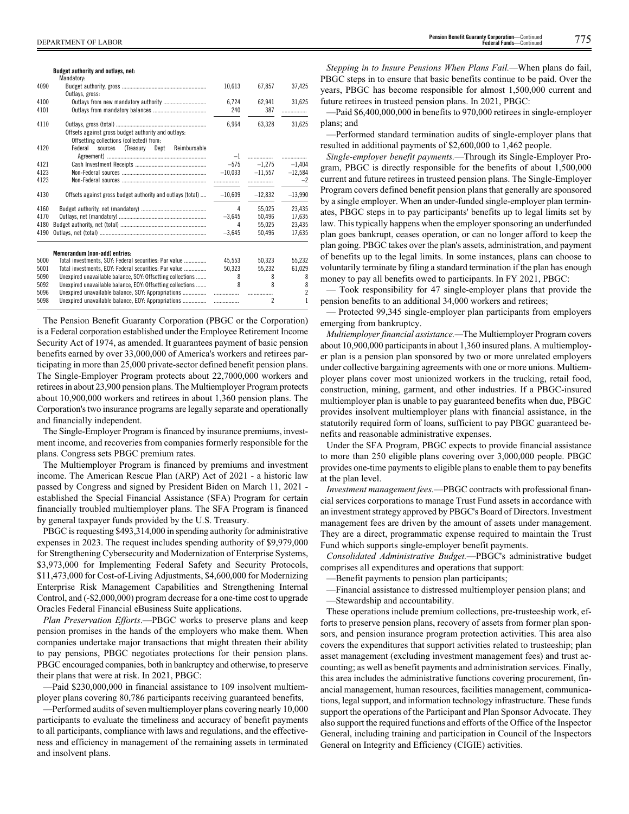#### **Budget authority and outlays, net:**

|      | Mandatory:                                                                                      |                  |                          |                |
|------|-------------------------------------------------------------------------------------------------|------------------|--------------------------|----------------|
| 4090 |                                                                                                 | 10,613           | 67.857                   | 37.425         |
|      | Outlays, gross:                                                                                 |                  |                          |                |
| 4100 |                                                                                                 | 6.724            | 62.941                   | 31,625         |
| 4101 |                                                                                                 | 240              | 387                      | .              |
| 4110 |                                                                                                 | 6,964            | 63.328                   | 31,625         |
|      | Offsets against gross budget authority and outlays:<br>Offsetting collections (collected) from: |                  |                          |                |
| 4120 | sources (Treasury Dept<br>Federal<br>Reimbursable                                               |                  |                          |                |
|      |                                                                                                 |                  |                          | .              |
| 4121 |                                                                                                 |                  | $-575 -1.275$            | $-1.404$       |
| 4123 |                                                                                                 |                  | $-10.033 -11.557$        | $-12,584$      |
| 4123 |                                                                                                 |                  |                          | $-2$           |
| 4130 | Offsets against gross budget authority and outlays (total)                                      | $-10.609$        | $-12.832$                | $-13,990$      |
| 4160 |                                                                                                 | 4                | 55.025                   | 23.435         |
| 4170 |                                                                                                 | $-3.645$         | 50,496                   | 17,635         |
| 4180 |                                                                                                 | 4                | 55,025                   | 23,435         |
| 4190 |                                                                                                 | $-3,645$         | 50,496                   | 17,635         |
|      | Memorandum (non-add) entries:                                                                   |                  |                          |                |
| 5000 | Total investments, SOY: Federal securities: Par value                                           | 45.553           | 50.323                   | 55.232         |
| 5001 | Total investments, EOY: Federal securities: Par value                                           | 50,323           | 55,232                   | 61,029         |
| 5090 | Unexpired unavailable balance, SOY: Offsetting collections                                      | 8                | 8                        | 8              |
| 5092 | Unexpired unavailable balance, EOY: Offsetting collections                                      | $\boldsymbol{8}$ | 8                        | 8              |
| 5096 | Unexpired unavailable balance, SOY: Appropriations                                              | .                | .                        | $\overline{2}$ |
| 5098 | Unexpired unavailable balance, EOY: Appropriations                                              | .                | $\overline{\phantom{a}}$ | 1              |

The Pension Benefit Guaranty Corporation (PBGC or the Corporation) is a Federal corporation established under the Employee Retirement Income Security Act of 1974, as amended. It guarantees payment of basic pension benefits earned by over 33,000,000 of America's workers and retirees participating in more than 25,000 private-sector defined benefit pension plans. The Single-Employer Program protects about 22,7000,000 workers and retirees in about 23,900 pension plans. The Multiemployer Program protects about 10,900,000 workers and retirees in about 1,360 pension plans. The Corporation's two insurance programs are legally separate and operationally and financially independent.

The Single-Employer Program is financed by insurance premiums, investment income, and recoveries from companies formerly responsible for the plans. Congress sets PBGC premium rates.

The Multiemployer Program is financed by premiums and investment income. The American Rescue Plan (ARP) Act of 2021 - a historic law passed by Congress and signed by President Biden on March 11, 2021 established the Special Financial Assistance (SFA) Program for certain financially troubled multiemployer plans. The SFA Program is financed by general taxpayer funds provided by the U.S. Treasury.

PBGC is requesting \$493,314,000 in spending authority for administrative expenses in 2023. The request includes spending authority of \$9,979,000 for Strengthening Cybersecurity and Modernization of Enterprise Systems, \$3,973,000 for Implementing Federal Safety and Security Protocols, \$11,473,000 for Cost-of-Living Adjustments, \$4,600,000 for Modernizing Enterprise Risk Management Capabilities and Strengthening Internal Control, and (-\$2,000,000) program decrease for a one-time cost to upgrade Oracles Federal Financial eBusiness Suite applications.

*Plan Preservation Efforts*.—PBGC works to preserve plans and keep pension promises in the hands of the employers who make them. When companies undertake major transactions that might threaten their ability to pay pensions, PBGC negotiates protections for their pension plans. PBGC encouraged companies, both in bankruptcy and otherwise, to preserve their plans that were at risk. In 2021, PBGC:

—Paid \$230,000,000 in financial assistance to 109 insolvent multiemployer plans covering 80,786 participants receiving guaranteed benefits,

—Performed audits of seven multiemployer plans covering nearly 10,000 participants to evaluate the timeliness and accuracy of benefit payments to all participants, compliance with laws and regulations, and the effectiveness and efficiency in management of the remaining assets in terminated and insolvent plans.

*Stepping in to Insure Pensions When Plans Fail.—*When plans do fail, PBGC steps in to ensure that basic benefits continue to be paid. Over the years, PBGC has become responsible for almost 1,500,000 current and future retirees in trusteed pension plans. In 2021, PBGC:

—Paid \$6,400,000,000 in benefits to 970,000 retirees in single-employer plans; and

—Performed standard termination audits of single-employer plans that resulted in additional payments of \$2,600,000 to 1,462 people.

*Single-employer benefit payments.*—Through its Single-Employer Program, PBGC is directly responsible for the benefits of about 1,500,000 current and future retirees in trusteed pension plans. The Single-Employer Program covers defined benefit pension plans that generally are sponsored by a single employer. When an under-funded single-employer plan terminates, PBGC steps in to pay participants' benefits up to legal limits set by law. This typically happens when the employer sponsoring an underfunded plan goes bankrupt, ceases operation, or can no longer afford to keep the plan going. PBGC takes over the plan's assets, administration, and payment of benefits up to the legal limits. In some instances, plans can choose to voluntarily terminate by filing a standard termination if the plan has enough money to pay all benefits owed to participants. In FY 2021, PBGC:

— Took responsibility for 47 single-employer plans that provide the pension benefits to an additional 34,000 workers and retirees;

— Protected 99,345 single-employer plan participants from employers emerging from bankruptcy.

*Multiemployer financial assistance.—*The Multiemployer Program covers about 10,900,000 participants in about 1,360 insured plans. A multiemployer plan is a pension plan sponsored by two or more unrelated employers under collective bargaining agreements with one or more unions. Multiemployer plans cover most unionized workers in the trucking, retail food, construction, mining, garment, and other industries. If a PBGC-insured multiemployer plan is unable to pay guaranteed benefits when due, PBGC provides insolvent multiemployer plans with financial assistance, in the statutorily required form of loans, sufficient to pay PBGC guaranteed benefits and reasonable administrative expenses.

Under the SFA Program, PBGC expects to provide financial assistance to more than 250 eligible plans covering over 3,000,000 people. PBGC provides one-time payments to eligible plans to enable them to pay benefits at the plan level.

*Investment management fees.*—PBGC contracts with professional financial services corporations to manage Trust Fund assets in accordance with an investment strategy approved by PBGC's Board of Directors. Investment management fees are driven by the amount of assets under management. They are a direct, programmatic expense required to maintain the Trust Fund which supports single-employer benefit payments.

*Consolidated Administrative Budget.*—PBGC's administrative budget comprises all expenditures and operations that support:

—Benefit payments to pension plan participants;

—Financial assistance to distressed multiemployer pension plans; and —Stewardship and accountability.

These operations include premium collections, pre-trusteeship work, efforts to preserve pension plans, recovery of assets from former plan sponsors, and pension insurance program protection activities. This area also covers the expenditures that support activities related to trusteeship; plan asset management (excluding investment management fees) and trust accounting; as well as benefit payments and administration services. Finally, this area includes the administrative functions covering procurement, financial management, human resources, facilities management, communications, legal support, and information technology infrastructure. These funds support the operations of the Participant and Plan Sponsor Advocate. They also support the required functions and efforts of the Office of the Inspector General, including training and participation in Council of the Inspectors General on Integrity and Efficiency (CIGIE) activities.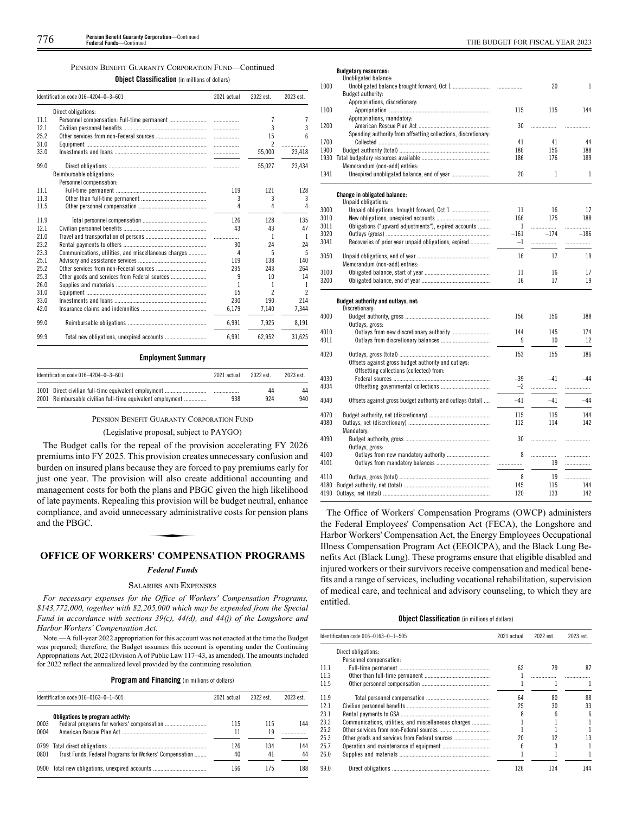#### PENSION BENEFIT GUARANTY CORPORATION FUND—Continued

**Object Classification** (in millions of dollars)

|      | Identification code 016-4204-0-3-601                 | 2021 actual | 2022 est.      | 2023 est.           |
|------|------------------------------------------------------|-------------|----------------|---------------------|
|      | Direct obligations:                                  |             |                |                     |
| 11.1 |                                                      |             | 7              |                     |
| 12.1 |                                                      |             | 3              | 3                   |
| 25.2 |                                                      | .           | 15             | ĥ                   |
| 31.0 |                                                      | .           | $\mathfrak{p}$ | .                   |
| 33.0 |                                                      | .           | 55,000         | 23,418              |
| 99.0 |                                                      |             | 55,027         | 23,434              |
|      | Reimbursable obligations:                            |             |                |                     |
|      | Personnel compensation:                              |             |                |                     |
| 11.1 |                                                      | 119         | 121            | 128                 |
| 11.3 |                                                      | 3           | 3              | 3                   |
| 11.5 |                                                      | 4           | Δ              | Δ                   |
| 11.9 |                                                      | 126         | 128            | 135                 |
| 12.1 |                                                      | 43          | 43             | 47                  |
| 21.0 |                                                      | .           | 1              | 1                   |
| 23.2 |                                                      | 30          | 24             | 24                  |
| 23.3 | Communications, utilities, and miscellaneous charges | 4           | 5              | 5                   |
| 25.1 |                                                      | 119         | 138            | 140                 |
| 25.2 |                                                      | 235         | 243            | 264                 |
| 25.3 |                                                      | 9           | 10             | 14                  |
| 26.0 |                                                      | 1           |                | 1                   |
| 31.0 |                                                      | 15          | 2              | $\boldsymbol{\eta}$ |
| 33.0 |                                                      | 230         | 190            | 214                 |
| 42.0 |                                                      | 6,179       | 7,140          | 7,344               |
| 99.0 |                                                      | 6,991       | 7,925          | 8,191               |
| 99.9 |                                                      | 6,991       | 62,952         | 31,625              |

# **Employment Summary**

| Identification code $016-4204-0-3-601$                     | 2021 actual | 2022 est. | 2023 est. |
|------------------------------------------------------------|-------------|-----------|-----------|
| 2001 Reimbursable civilian full-time equivalent employment | 938         | 44<br>924 | 44<br>940 |

#### PENSION BENEFIT GUARANTY CORPORATION FUND

#### (Legislative proposal, subject to PAYGO)

The Budget calls for the repeal of the provision accelerating FY 2026 premiums into FY 2025. This provision creates unnecessary confusion and burden on insured plans because they are forced to pay premiums early for just one year. The provision will also create additional accounting and management costs for both the plans and PBGC given the high likelihood of late payments. Repealing this provision will be budget neutral, enhance compliance, and avoid unnecessary administrative costs for pension plans and the PBGC. compliance, and avoid unnecessary administrative costs for pension plans and the PBGC.

# **OFFICE OF WORKERS' COMPENSATION PROGRAMS**

# *Federal Funds*

#### SALARIES AND EXPENSES

*For necessary expenses for the Office of Workers' Compensation Programs, \$143,772,000, together with \$2,205,000 which may be expended from the Special Fund in accordance with sections 39(c), 44(d), and 44(j) of the Longshore and Harbor Workers' Compensation Act.*

Note.—A full-year 2022 appropriation for this account was not enacted at the time the Budget was prepared; therefore, the Budget assumes this account is operating under the Continuing Appropriations Act, 2022 (Division A of Public Law 117–43, as amended). The amounts included for 2022 reflect the annualized level provided by the continuing resolution.

# **Program and Financing** (in millions of dollars)

| Identification code 016-0163-0-1-505 |                                                         | 2021 actual | 2022 est  | 2023 est  |
|--------------------------------------|---------------------------------------------------------|-------------|-----------|-----------|
| 0003                                 | Obligations by program activity:                        | 115         | 115       | 144       |
| 0004                                 |                                                         | 11          | 19        |           |
| 0801                                 | Trust Funds, Federal Programs for Workers' Compensation | 126<br>40   | 134<br>41 | 144<br>44 |
|                                      | 0900 Total new obligations, unexpired accounts          | 166         | 175       | 188       |

### **Budgetary resources:**

|      | Unobligated balance:                                           |        |        |              |
|------|----------------------------------------------------------------|--------|--------|--------------|
| 1000 |                                                                |        | 20     | $\mathbf{1}$ |
|      | Budget authority:                                              |        |        |              |
|      | Appropriations, discretionary:                                 |        |        |              |
| 1100 |                                                                | 115    | 115    | 144          |
|      | Appropriations, mandatory:                                     |        |        |              |
| 1200 |                                                                | 30     | .      | .            |
|      | Spending authority from offsetting collections, discretionary: |        |        |              |
| 1700 |                                                                | 41     | 41     | 44           |
| 1900 |                                                                | 186    | 156    | 188          |
| 1930 |                                                                | 186    | 176    | 189          |
|      | Memorandum (non-add) entries:                                  |        |        |              |
| 1941 | Unexpired unobligated balance, end of year                     | 20     | 1      | $\mathbf{1}$ |
|      | <b>Change in obligated balance:</b>                            |        |        |              |
|      | Unpaid obligations:                                            |        |        |              |
| 3000 |                                                                | 11     | 16     | 17           |
| 3010 |                                                                | 166    | 175    | 188          |
| 3011 | Obligations ("upward adjustments"), expired accounts           | 1      | .      | .            |
| 3020 |                                                                | $-161$ | $-174$ | $-186$       |
| 3041 | Recoveries of prior year unpaid obligations, expired           | $-1$   | .      | .            |
|      |                                                                |        |        |              |
| 3050 |                                                                | 16     | 17     | 19           |
|      | Memorandum (non-add) entries:                                  |        |        |              |
| 3100 |                                                                | 11     | 16     | 17           |
| 3200 |                                                                | 16     | 17     | 19           |
|      | Budget authority and outlays, net:                             |        |        |              |
|      | Discretionary:                                                 |        |        |              |
| 4000 |                                                                | 156    | 156    | 188          |
|      | Outlays, gross:                                                |        |        |              |
| 4010 |                                                                | 144    | 145    | 174          |
| 4011 |                                                                | 9      | 10     | 12           |
|      |                                                                |        |        |              |
| 4020 |                                                                | 153    | 155    | 186          |
|      | Offsets against gross budget authority and outlays:            |        |        |              |
|      | Offsetting collections (collected) from:                       |        |        |              |
| 4030 |                                                                | $-39$  | $-41$  | $-44$        |
| 4034 |                                                                | $-2$   | .      | .            |
| 4040 | Offsets against gross budget authority and outlays (total)     | $-41$  | $-41$  | $-44$        |
| 4070 |                                                                | 115    | 115    | 144          |
| 4080 |                                                                | 112    | 114    | 142          |
|      | Mandatory:                                                     |        |        |              |
| 4090 |                                                                | 30     | .      |              |
|      | Outlays, gross:                                                |        |        |              |
| 4100 |                                                                | 8      |        |              |
| 4101 | Outlays from new mandatory authority                           |        | <br>19 | .            |
|      |                                                                |        |        | .            |
| 4110 |                                                                | 8      | 19     | .            |
|      |                                                                | 145    | 115    | 144          |
| 4190 |                                                                | 120    | 133    | 142          |
|      |                                                                |        |        |              |

The Office of Workers' Compensation Programs (OWCP) administers the Federal Employees' Compensation Act (FECA), the Longshore and Harbor Workers' Compensation Act, the Energy Employees Occupational Illness Compensation Program Act (EEOICPA), and the Black Lung Benefits Act (Black Lung). These programs ensure that eligible disabled and injured workers or their survivors receive compensation and medical benefits and a range of services, including vocational rehabilitation, supervision of medical care, and technical and advisory counseling, to which they are entitled.

# **Object Classification** (in millions of dollars)

|      | Identification code 016-0163-0-1-505                 | 2021 actual | 2022 est. | 2023 est. |
|------|------------------------------------------------------|-------------|-----------|-----------|
|      | Direct obligations:                                  |             |           |           |
|      | Personnel compensation:                              |             |           |           |
| 11.1 |                                                      | 62          | 79        | 87        |
| 11.3 |                                                      |             |           |           |
| 11.5 |                                                      |             |           |           |
| 11.9 |                                                      | 64          | 80        | 88        |
| 12.1 |                                                      | 25          | 30        | 33        |
| 23.1 |                                                      |             |           | 6         |
| 23.3 | Communications, utilities, and miscellaneous charges |             |           |           |
| 25.2 |                                                      |             |           |           |
| 25.3 |                                                      | 20          | 12        | 13        |
| 25.7 |                                                      |             |           |           |
| 26.0 |                                                      |             |           |           |
| 99.0 |                                                      | 126         | 134       | 144       |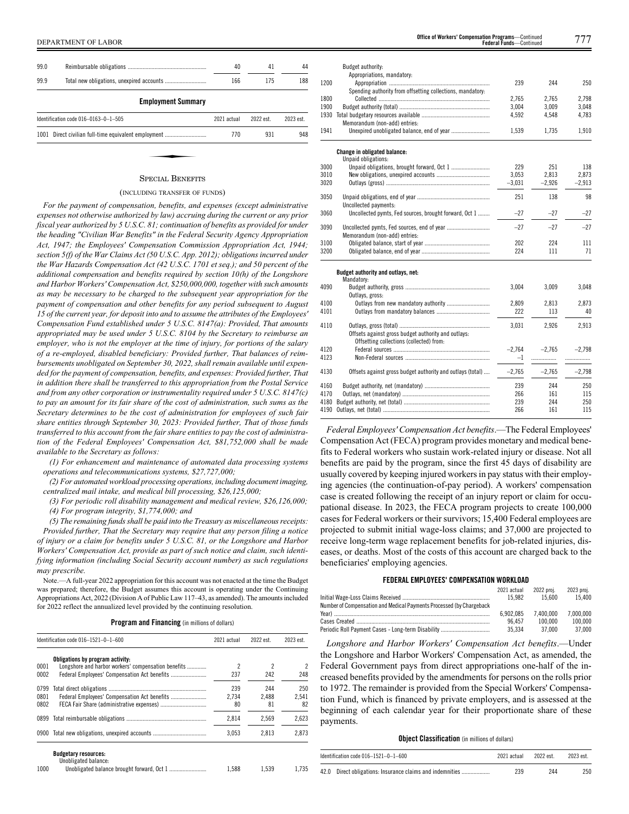| 99.0 |                                                      | 40          | 41        | 44        |
|------|------------------------------------------------------|-------------|-----------|-----------|
| 99.9 |                                                      | 166         | 175       | 188       |
|      | <b>Employment Summary</b>                            |             |           |           |
|      | Identification code 016-0163-0-1-505                 | 2021 actual | 2022 est. | 2023 est. |
|      | 1001 Direct civilian full-time equivalent employment | 770         | 931       | 948       |

#### SPECIAL BENEFITS

# (INCLUDING TRANSFER OF FUNDS)

*For the payment of compensation, benefits, and expenses (except administrative expenses not otherwise authorized by law) accruing during the current or any prior fiscal year authorized by 5 U.S.C. 81; continuation of benefits as provided for under the heading "Civilian War Benefits" in the Federal Security Agency Appropriation Act, 1947; the Employees' Compensation Commission Appropriation Act, 1944; section 5(f) of the War Claims Act (50 U.S.C. App. 2012); obligations incurred under the War Hazards Compensation Act (42 U.S.C. 1701 et seq.); and 50 percent of the additional compensation and benefits required by section 10(h) of the Longshore and Harbor Workers' Compensation Act, \$250,000,000, together with such amounts as may be necessary to be charged to the subsequent year appropriation for the payment of compensation and other benefits for any period subsequent to August 15 of the current year, for deposit into and to assume the attributes of the Employees' Compensation Fund established under 5 U.S.C. 8147(a): Provided, That amounts appropriated may be used under 5 U.S.C. 8104 by the Secretary to reimburse an employer, who is not the employer at the time of injury, for portions of the salary of a re-employed, disabled beneficiary: Provided further, That balances of reimbursements unobligated on September 30, 2022, shall remain available until expended for the payment of compensation, benefits, and expenses: Provided further, That in addition there shall be transferred to this appropriation from the Postal Service and from any other corporation or instrumentality required under 5 U.S.C. 8147(c) to pay an amount for its fair share of the cost of administration, such sums as the Secretary determines to be the cost of administration for employees of such fair share entities through September 30, 2023: Provided further, That of those funds transferred to this account from the fair share entities to pay the cost of administration of the Federal Employees' Compensation Act, \$81,752,000 shall be made available to the Secretary as follows:*

*(1) For enhancement and maintenance of automated data processing systems operations and telecommunications systems, \$27,727,000;*

*(2) For automated workload processing operations, including document imaging, centralized mail intake, and medical bill processing, \$26,125,000;*

*(3) For periodic roll disability management and medical review, \$26,126,000; (4) For program integrity, \$1,774,000; and*

*(5) The remaining funds shall be paid into the Treasury as miscellaneous receipts:*

*Provided further, That the Secretary may require that any person filing a notice of injury or a claim for benefits under 5 U.S.C. 81, or the Longshore and Harbor Workers' Compensation Act, provide as part of such notice and claim, such identifying information (including Social Security account number) as such regulations may prescribe.*

Note.—A full-year 2022 appropriation for this account was not enacted at the time the Budget was prepared; therefore, the Budget assumes this account is operating under the Continuing Appropriations Act, 2022 (Division A of Public Law 117–43, as amended). The amounts included for 2022 reflect the annualized level provided by the continuing resolution.

|  |  |  | Program and Financing (in millions of dollars) |  |
|--|--|--|------------------------------------------------|--|
|--|--|--|------------------------------------------------|--|

|      | Identification code 016-1521-0-1-600                | 2021 actual | 2022 est. | 2023 est. |
|------|-----------------------------------------------------|-------------|-----------|-----------|
|      | Obligations by program activity:                    |             |           |           |
| 0001 | Longshore and harbor workers' compensation benefits | 2           | 2         | 2         |
| 0002 |                                                     | 237         | 242       | 248       |
| 0799 |                                                     | 239         | 244       | 250       |
| 0801 | Federal Employees' Compensation Act benefits        | 2.734       | 2.488     | 2.541     |
| 0802 |                                                     | 80          | 81        | 82        |
| 0899 |                                                     | 2,814       | 2.569     | 2,623     |
| 0900 |                                                     | 3.053       | 2.813     | 2.873     |

1000 Unobligated balance brought forward, Oct 1 ......................... 1,588 1,539 1,735

| DEPARTMENT<br>`OF LABOR | Office of Workers' Compensation Programs-<br><b>Continued</b><br><b>Federal Funds-</b><br>Continuer | $\frac{1}{2}$ |
|-------------------------|-----------------------------------------------------------------------------------------------------|---------------|
|-------------------------|-----------------------------------------------------------------------------------------------------|---------------|

|      | Budget authority:<br>Appropriations, mandatory:                                                 |          |          |          |
|------|-------------------------------------------------------------------------------------------------|----------|----------|----------|
| 1200 |                                                                                                 | 239      | 244      | 250      |
|      | Spending authority from offsetting collections, mandatory:                                      |          |          |          |
| 1800 |                                                                                                 | 2,765    | 2,765    | 2,798    |
| 1900 |                                                                                                 | 3.004    | 3.009    | 3.048    |
| 1930 |                                                                                                 | 4,592    | 4,548    | 4,783    |
|      | Memorandum (non-add) entries:                                                                   |          |          |          |
| 1941 | Unexpired unobligated balance, end of year                                                      | 1,539    | 1,735    | 1,910    |
|      | Change in obligated balance:                                                                    |          |          |          |
| 3000 | Unpaid obligations:                                                                             | 229      | 251      | 138      |
| 3010 |                                                                                                 | 3.053    | 2.813    | 2,873    |
| 3020 |                                                                                                 | $-3,031$ | $-2,926$ | $-2,913$ |
|      |                                                                                                 |          |          |          |
| 3050 |                                                                                                 | 251      | 138      | 98       |
| 3060 | Uncollected payments:<br>Uncollected pymts, Fed sources, brought forward, Oct 1                 | $-27$    | $-27$    | $-27$    |
| 3090 |                                                                                                 | $-27$    | $-27$    | $-27$    |
|      | Memorandum (non-add) entries:                                                                   |          |          |          |
| 3100 |                                                                                                 | 202      | 224      | 111      |
| 3200 |                                                                                                 | 224      | 111      | 71       |
|      | Budget authority and outlays, net:<br>Mandatory:                                                |          |          |          |
| 4090 | Outlays, gross:                                                                                 | 3,004    | 3,009    | 3,048    |
| 4100 |                                                                                                 | 2,809    | 2,813    | 2,873    |
| 4101 |                                                                                                 | 222      | 113      | 40       |
| 4110 |                                                                                                 | 3,031    | 2,926    | 2,913    |
|      | Offsets against gross budget authority and outlays:<br>Offsetting collections (collected) from: |          |          |          |
| 4120 |                                                                                                 | $-2,764$ | $-2.765$ | $-2.798$ |
| 4123 |                                                                                                 | $-1$     | .        | .        |
| 4130 | Offsets against gross budget authority and outlays (total)                                      | $-2,765$ | $-2,765$ | $-2,798$ |
| 4160 |                                                                                                 | 239      | 244      | 250      |
| 4170 |                                                                                                 | 266      | 161      | 115      |
| 4180 |                                                                                                 | 239      | 244      | 250      |
| 4190 |                                                                                                 | 266      | 161      | 115      |

*Federal Employees' Compensation Act benefits*.—The Federal Employees' Compensation Act (FECA) program provides monetary and medical benefits to Federal workers who sustain work-related injury or disease. Not all benefits are paid by the program, since the first 45 days of disability are usually covered by keeping injured workers in pay status with their employing agencies (the continuation-of-pay period). A workers' compensation case is created following the receipt of an injury report or claim for occupational disease. In 2023, the FECA program projects to create 100,000 cases for Federal workers or their survivors; 15,400 Federal employees are projected to submit initial wage-loss claims; and 37,000 are projected to receive long-term wage replacement benefits for job-related injuries, diseases, or deaths. Most of the costs of this account are charged back to the beneficiaries' employing agencies.

# **FEDERAL EMPLOYEES' COMPENSATION WORKLOAD**

|                                                                       | 2021 actual | 2022 proi. | 2023 proi. |
|-----------------------------------------------------------------------|-------------|------------|------------|
|                                                                       | 15.982      | 15.600     | 15.400     |
| Number of Compensation and Medical Pavments Processed (by Chargeback) |             |            |            |
|                                                                       | 6.902.085   | 7.400.000  | 7.000.000  |
|                                                                       | 96.457      | 100.000    | 100.000    |
| Periodic Roll Pavment Cases - Long-term Disability                    | 35.334      | 37.000     | 37.000     |
|                                                                       |             |            |            |

*Longshore and Harbor Workers' Compensation Act benefits*.—Under the Longshore and Harbor Workers' Compensation Act, as amended, the Federal Government pays from direct appropriations one-half of the increased benefits provided by the amendments for persons on the rolls prior to 1972. The remainder is provided from the Special Workers' Compensation Fund, which is financed by private employers, and is assessed at the beginning of each calendar year for their proportionate share of these payments.

# **Object Classification** (in millions of dollars)

| Identification code $016 - 1521 - 0 - 1 - 600$ | 2021 actual | 2022 est. | 2023 est. |
|------------------------------------------------|-------------|-----------|-----------|
|                                                | 239         | 244       | 250       |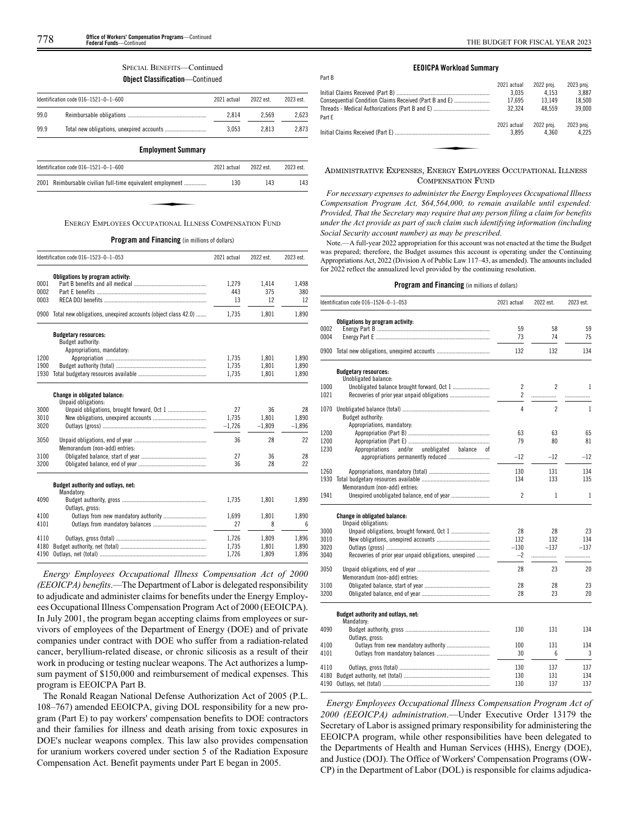# SPECIAL BENEFITS—Continued

**Object Classification**—Continued

|      | Identification code $016 - 1521 - 0 - 1 - 600$ | 2021 actual | 2022 est. | 2023 est. |
|------|------------------------------------------------|-------------|-----------|-----------|
| 99.0 |                                                | 2.814       | 2.569     | 2.623     |
| 99.9 |                                                | 3.053       | 2.813     | 2.873     |

**Employment Summary**

| Identification code 016-1521-0-1-600                       | 2021 actual | 2022 est. | 2023 est. |
|------------------------------------------------------------|-------------|-----------|-----------|
| 2001 Reimbursable civilian full-time equivalent employment | 130         | 143       | 143       |
|                                                            |             |           |           |
|                                                            |             |           |           |
| ENERGY EMPLOYEES OCCUPATIONAL ILLNESS COMPENSATION FUND    |             |           |           |

**Program and Financing** (in millions of dollars)

|      | Identification code 016-1523-0-1-053                                           | 2021 actual | 2022 est. | 2023 est. |
|------|--------------------------------------------------------------------------------|-------------|-----------|-----------|
|      | Obligations by program activity:                                               |             |           |           |
| 0001 |                                                                                | 1,279       | 1,414     | 1,498     |
| 0002 |                                                                                | 443         | 375       | 380       |
| 0003 |                                                                                | 13          | 12        | 12        |
| 0900 | Total new obligations, unexpired accounts (object class 42.0)                  | 1,735       | 1,801     | 1,890     |
|      | <b>Budgetary resources:</b><br>Budget authority:<br>Appropriations, mandatory: |             |           |           |
| 1200 |                                                                                | 1,735       | 1,801     | 1,890     |
| 1900 |                                                                                | 1.735       |           |           |
|      |                                                                                |             | 1,801     | 1,890     |
| 1930 |                                                                                | 1.735       | 1.801     | 1,890     |
|      | <b>Change in obligated balance:</b><br>Unpaid obligations:                     |             |           |           |
| 3000 |                                                                                | 27          | 36        | 28        |
| 3010 |                                                                                | 1.735       | 1.801     | 1.890     |
| 3020 |                                                                                | $-1,726$    | $-1,809$  | $-1,896$  |
| 3050 | Memorandum (non-add) entries:                                                  | 36          | 28        | 22        |
| 3100 |                                                                                | 27          | 36        | 28        |
| 3200 |                                                                                | 36          | 28        | 22        |
|      |                                                                                |             |           |           |
|      | Budget authority and outlays, net:<br>Mandatory:                               |             |           |           |
| 4090 |                                                                                | 1.735       | 1,801     | 1,890     |
|      | Outlays, gross:                                                                |             |           |           |
| 4100 |                                                                                | 1,699       | 1,801     | 1,890     |
| 4101 |                                                                                | 27          | 8         | 6         |
| 4110 |                                                                                | 1,726       | 1,809     | 1,896     |
| 4180 |                                                                                | 1.735       | 1.801     | 1.890     |
| 4190 |                                                                                | 1,726       | 1,809     | 1,896     |

*Energy Employees Occupational Illness Compensation Act of 2000 (EEOICPA) benefits*.—The Department of Labor is delegated responsibility to adjudicate and administer claims for benefits under the Energy Employees Occupational Illness Compensation Program Act of 2000 (EEOICPA). In July 2001, the program began accepting claims from employees or survivors of employees of the Department of Energy (DOE) and of private companies under contract with DOE who suffer from a radiation-related cancer, beryllium-related disease, or chronic silicosis as a result of their work in producing or testing nuclear weapons. The Act authorizes a lumpsum payment of \$150,000 and reimbursement of medical expenses. This program is EEOICPA Part B.

The Ronald Reagan National Defense Authorization Act of 2005 (P.L. 108–767) amended EEOICPA, giving DOL responsibility for a new program (Part E) to pay workers' compensation benefits to DOE contractors and their families for illness and death arising from toxic exposures in DOE's nuclear weapons complex. This law also provides compensation for uranium workers covered under section 5 of the Radiation Exposure Compensation Act. Benefit payments under Part E began in 2005.

#### **EEOICPA Workload Summary**

Part B

|                                                        | 2021 actual | 2022 proj. | 2023 proi. |
|--------------------------------------------------------|-------------|------------|------------|
|                                                        | 3.035       | 4.153      | 3.887      |
| Consequential Condition Claims Received (Part B and E) | 17.695      | 13.149     | 18.500     |
|                                                        | 32.324      | 48.559     | 39,000     |
| Part F                                                 |             |            |            |
|                                                        | 2021 actual | 2022 proj. | 2023 proj. |
|                                                        | 3.895       | 4.360      | 4.225      |
|                                                        |             |            |            |
|                                                        |             |            |            |
|                                                        |             |            |            |

# ADMINISTRATIVE EXPENSES, ENERGY EMPLOYEES OCCUPATIONAL ILLNESS COMPENSATION FUND

*For necessary expenses to administer the Energy Employees Occupational Illness Compensation Program Act, \$64,564,000, to remain available until expended: Provided, That the Secretary may require that any person filing a claim for benefits under the Act provide as part of such claim such identifying information (including Social Security account number) as may be prescribed.*

Note.—A full-year 2022 appropriation for this account was not enacted at the time the Budget was prepared; therefore, the Budget assumes this account is operating under the Continuing Appropriations Act, 2022 (Division A of Public Law 117–43, as amended). The amounts included for 2022 reflect the annualized level provided by the continuing resolution.

#### **Program and Financing** (in millions of dollars)

|              | Identification code 016-1524-0-1-053                       | 2021 actual    | 2022 est.       | 2023 est.    |
|--------------|------------------------------------------------------------|----------------|-----------------|--------------|
|              | Obligations by program activity:                           |                |                 |              |
| 0002<br>0004 |                                                            | 59<br>73       | 58<br>74        | 59<br>75     |
|              |                                                            |                |                 |              |
| 0900         |                                                            | 132            | 132             | 134          |
|              | <b>Budgetary resources:</b><br>Unobligated balance:        |                |                 |              |
| 1000         | Unobligated balance brought forward, Oct 1                 | $\overline{c}$ | $\overline{2}$  | 1            |
| 1021         | Recoveries of prior year unpaid obligations                | $\overline{c}$ | .               |              |
| 1070         | Budget authority:                                          | 4              | $\overline{2}$  | $\mathbf{1}$ |
|              | Appropriations, mandatory:                                 |                |                 |              |
| 1200<br>1200 |                                                            | 63<br>79       | 63<br>80        | 65<br>81     |
| 1230         | and/or<br>unobligated<br>Appropriations<br>balance<br>0f   |                |                 |              |
|              |                                                            | $-12$          | $-12$           | $-12$        |
| 1260         |                                                            | 130            | 131             | 134          |
| 1930         |                                                            | 134            | 133             | 135          |
|              | Memorandum (non-add) entries:                              |                |                 |              |
| 1941         | Unexpired unobligated balance, end of year                 | 2              | 1               | 1            |
|              | <b>Change in obligated balance:</b><br>Unpaid obligations: |                |                 |              |
| 3000         |                                                            | 28             | 28              | 23           |
| 3010         |                                                            | 132            | 132             | 134          |
| 3020         |                                                            | $-130$         | $-137$          | $-137$       |
| 3040         | Recoveries of prior year unpaid obligations, unexpired     | $-2$           | .               | .            |
| 3050         | Memorandum (non-add) entries:                              | 28             | 23              | 20           |
| 3100         |                                                            | 28             | 28              | 23           |
| 3200         |                                                            | 28             | 23              | 20           |
|              | Budget authority and outlays, net:                         |                |                 |              |
|              | Mandatory:                                                 |                |                 |              |
| 4090         | Outlays, gross:                                            | 130            | 131             | 134          |
| 4100         | Outlays from new mandatory authority                       | 100            | 131             | 134          |
| 4101         |                                                            | 30             | $6\overline{6}$ | 3            |
| 4110         |                                                            | 130            | 137             | 137          |
| 4180         |                                                            | 130            | 131             | 134          |
| 4190         |                                                            | 130            | 137             | 137          |

*Energy Employees Occupational Illness Compensation Program Act of 2000 (EEOICPA) administration*.—Under Executive Order 13179 the Secretary of Labor is assigned primary responsibility for administering the EEOICPA program, while other responsibilities have been delegated to the Departments of Health and Human Services (HHS), Energy (DOE), and Justice (DOJ). The Office of Workers' Compensation Programs (OW-CP) in the Department of Labor (DOL) is responsible for claims adjudica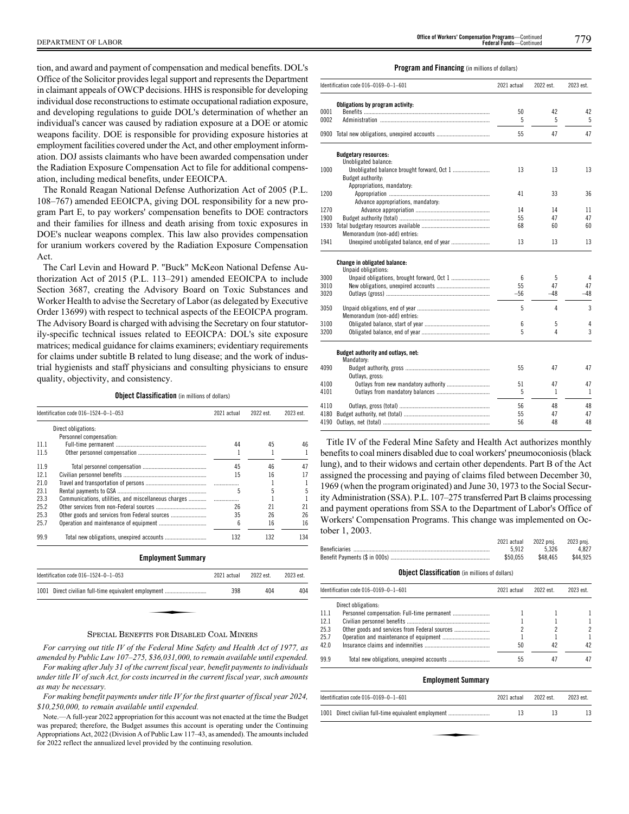tion, and award and payment of compensation and medical benefits. DOL's Office of the Solicitor provides legal support and represents the Department in claimant appeals of OWCP decisions. HHS is responsible for developing individual dose reconstructions to estimate occupational radiation exposure, and developing regulations to guide DOL's determination of whether an individual's cancer was caused by radiation exposure at a DOE or atomic weapons facility. DOE is responsible for providing exposure histories at employment facilities covered under the Act, and other employment information. DOJ assists claimants who have been awarded compensation under the Radiation Exposure Compensation Act to file for additional compensation, including medical benefits, under EEOICPA.

The Ronald Reagan National Defense Authorization Act of 2005 (P.L. 108–767) amended EEOICPA, giving DOL responsibility for a new program Part E, to pay workers' compensation benefits to DOE contractors and their families for illness and death arising from toxic exposures in DOE's nuclear weapons complex. This law also provides compensation for uranium workers covered by the Radiation Exposure Compensation Act.

The Carl Levin and Howard P. "Buck" McKeon National Defense Authorization Act of 2015 (P.L. 113–291) amended EEOICPA to include Section 3687, creating the Advisory Board on Toxic Substances and Worker Health to advise the Secretary of Labor (as delegated by Executive Order 13699) with respect to technical aspects of the EEOICPA program. The Advisory Board is charged with advising the Secretary on four statutorily-specific technical issues related to EEOICPA: DOL's site exposure matrices; medical guidance for claims examiners; evidentiary requirements for claims under subtitle B related to lung disease; and the work of industrial hygienists and staff physicians and consulting physicians to ensure quality, objectivity, and consistency.

**Object Classification** (in millions of dollars)

|      | Identification code 016-1524-0-1-053            | 2021 actual | 2022 est. | 2023 est. |
|------|-------------------------------------------------|-------------|-----------|-----------|
|      | Direct obligations:                             |             |           |           |
|      | Personnel compensation:                         |             |           |           |
| 11.1 |                                                 | 44          | 45        | 46        |
| 11.5 |                                                 | 1           | 1         | 1         |
| 11.9 |                                                 | 45          | 46        | 47        |
| 12.1 |                                                 | 15          | 16        | 17        |
| 21.0 |                                                 |             |           | 1         |
| 23.1 |                                                 | 5           | 5         | 5         |
| 23.3 |                                                 |             |           | 1         |
| 25.2 |                                                 | 26          | 21        | 21        |
| 25.3 | Other goods and services from Federal sources   | 35          | 26        | 26        |
| 25.7 |                                                 | 6           | 16        | 16        |
| 99.9 |                                                 | 132         | 132       | 134       |
|      | <b>Employment Summary</b>                       |             |           |           |
|      | Identification code 016-1524-0-1-053            | 2021 actual | 2022 est. | 2023 est. |
| 1001 | Direct civilian full-time equivalent employment | 398         | 404       | 404       |

#### SPECIAL BENEFITS FOR DISABLED COAL MINERS

*For carrying out title IV of the Federal Mine Safety and Health Act of 1977, as amended by Public Law 107–275, \$36,031,000, to remain available until expended. For making after July 31 of the current fiscal year, benefit payments to individuals under title IV of such Act, for costs incurred in the current fiscal year, such amounts as may be necessary.*

*For making benefit payments under title IV for the first quarter of fiscal year 2024, \$10,250,000, to remain available until expended.*

Note.—A full-year 2022 appropriation for this account was not enacted at the time the Budget was prepared; therefore, the Budget assumes this account is operating under the Continuing Appropriations Act, 2022 (Division A of Public Law 117–43, as amended). The amounts included for 2022 reflect the annualized level provided by the continuing resolution.

#### **Program and Financing** (in millions of dollars)

|      | Identification code 016-0169-0-1-601                | 2021 actual | 2022 est. | 2023 est. |
|------|-----------------------------------------------------|-------------|-----------|-----------|
|      | Obligations by program activity:                    |             |           |           |
| 0001 |                                                     | 50          | 42        | 42        |
| 0002 |                                                     | 5           | 5         | 5         |
|      | 0900 Total new obligations, unexpired accounts      | 55          | 47        | 47        |
|      | <b>Budgetary resources:</b>                         |             |           |           |
|      | Unobligated balance:                                |             |           |           |
| 1000 | Budget authority:                                   | 13          | 13        | 13        |
|      | Appropriations, mandatory:                          |             |           |           |
| 1200 |                                                     | 41          | 33        | 36        |
|      | Advance appropriations, mandatory:                  |             |           |           |
| 1270 |                                                     | 14          | 14        | 11        |
| 1900 |                                                     | 55          | 47        | 47        |
| 1930 |                                                     | 68          | 60        | 60        |
|      | Memorandum (non-add) entries:                       |             |           |           |
| 1941 |                                                     | 13          | 13        | 13        |
|      | Change in obligated balance:<br>Unpaid obligations: |             |           |           |
| 3000 |                                                     | 6           | 5         | 4         |
| 3010 |                                                     | 55          | 47        | 47        |
| 3020 |                                                     | $-56$       | $-48$     | $-48$     |
|      |                                                     |             |           |           |
| 3050 | Memorandum (non-add) entries:                       | 5           | 4         | 3         |
| 3100 |                                                     | 6           | 5         | 4         |
| 3200 |                                                     | 5           | 4         | 3         |
|      |                                                     |             |           |           |
|      | Budget authority and outlays, net:<br>Mandatory:    |             |           |           |
| 4090 |                                                     | 55          | 47        | 47        |
|      | Outlays, gross:                                     |             |           |           |
| 4100 |                                                     | 51          | 47        | 47        |
| 4101 |                                                     | 5           | 1         | 1         |
| 4110 |                                                     | 56          | 48        | 48        |
| 4180 |                                                     | 55          | 47        | 47        |
| 4190 |                                                     | 56          | 48        | 48        |

Title IV of the Federal Mine Safety and Health Act authorizes monthly benefits to coal miners disabled due to coal workers' pneumoconiosis (black lung), and to their widows and certain other dependents. Part B of the Act assigned the processing and paying of claims filed between December 30, 1969 (when the program originated) and June 30, 1973 to the Social Security Administration (SSA). P.L. 107–275 transferred Part B claims processing and payment operations from SSA to the Department of Labor's Office of Workers' Compensation Programs. This change was implemented on October 1, 2003.

| 2021 actual 2022 proj. |          | 2023 proi. |
|------------------------|----------|------------|
| 5.912                  | 5.326    | 4.827      |
| \$50.055               | \$48.465 | \$44.925   |

#### **Object Classification** (in millions of dollars)

|      | Identification code 016-0169-0-1-601          | 2021 actual | 2022 est. | 2023 est. |
|------|-----------------------------------------------|-------------|-----------|-----------|
|      | Direct obligations:                           |             |           |           |
| 11.1 |                                               |             |           |           |
| 12.1 |                                               |             |           |           |
| 25.3 | Other goods and services from Federal sources |             |           | 2         |
| 25.7 |                                               |             |           |           |
| 42.0 |                                               | 50          | 42        | 42        |
| 99.9 |                                               | 55          | 47        | 47        |

#### **Employment Summary**

| Identification code 016-0169-0-1-601                 | 2021 actual | 2022 est. | 2023 est. |
|------------------------------------------------------|-------------|-----------|-----------|
| 1001 Direct civilian full-time equivalent employment | 13          | 13        |           |
|                                                      |             |           |           |
|                                                      |             |           |           |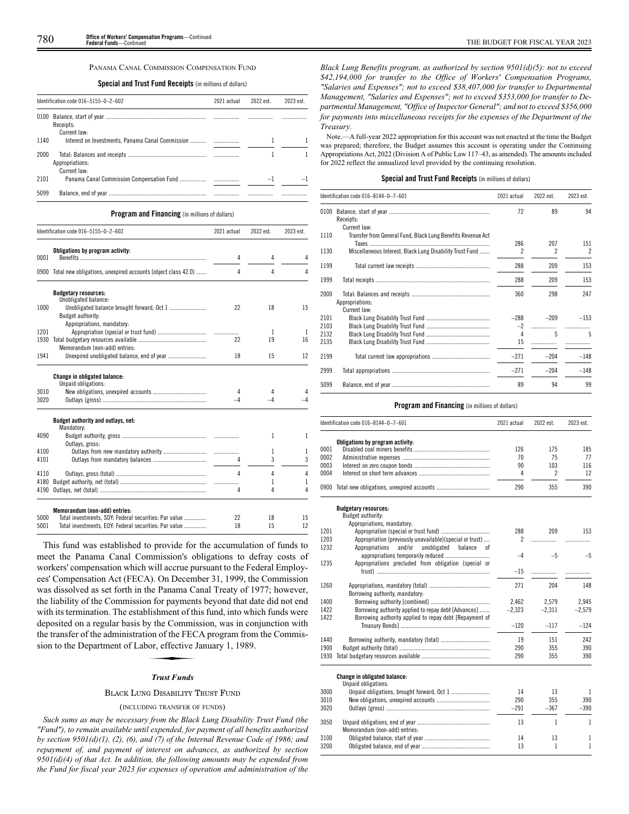#### PANAMA CANAL COMMISSION COMPENSATION FUND

# **Special and Trust Fund Receipts** (in millions of dollars)

|      | Identification code 016-5155-0-2-602                             | 2021 actual | 2022 est. | 2023 est. |
|------|------------------------------------------------------------------|-------------|-----------|-----------|
| 0100 | Receipts:                                                        |             |           |           |
| 1140 | Current law:<br>Interest on Investments, Panama Canal Commission |             |           |           |
| 2000 | Appropriations:<br>Current law:                                  |             |           |           |
| 2101 |                                                                  |             | $\equiv$  |           |
| 5099 |                                                                  |             |           | .         |

# **Program and Financing** (in millions of dollars)

|      | Identification code 016-5155-0-2-602                               | 2021 actual | 2022 est. | 2023 est. |
|------|--------------------------------------------------------------------|-------------|-----------|-----------|
| 0001 | Obligations by program activity:                                   | 4           | 4         | 4         |
|      | 0900 Total new obligations, unexpired accounts (object class 42.0) | 4           | 4         | 4         |
|      | <b>Budgetary resources:</b><br>Unobligated balance:                |             |           |           |
| 1000 | Budget authority:                                                  | 22          | 18        | 15        |
|      | Appropriations, mandatory:                                         |             |           |           |
| 1201 |                                                                    |             | 1         | 1         |
| 1930 | Memorandum (non-add) entries:                                      | 22          | 19        | 16        |
| 1941 |                                                                    | 18          | 15        | 12        |
|      | Change in obligated balance:<br>Unpaid obligations:                |             |           |           |
| 3010 |                                                                    | 4           | 4         |           |
| 3020 |                                                                    |             | -4        |           |
|      | Budget authority and outlays, net:<br>Mandatory:                   |             |           |           |
| 4090 | Outlays, gross:                                                    |             | 1         | 1         |
| 4100 |                                                                    | .           | 1         | 1         |
| 4101 |                                                                    | 4           | 3         | 3         |
| 4110 |                                                                    | 4           | 4         | 4         |
| 4180 |                                                                    |             | 1         | 1         |
| 4190 |                                                                    | 4           | 4         | 4         |

| 5000 | Total investments, SOY: Federal securities: Par value |  |  |
|------|-------------------------------------------------------|--|--|
| 5001 | Total investments, EOY: Federal securities: Par value |  |  |

This fund was established to provide for the accumulation of funds to meet the Panama Canal Commission's obligations to defray costs of workers' compensation which will accrue pursuant to the Federal Employees' Compensation Act (FECA). On December 31, 1999, the Commission was dissolved as set forth in the Panama Canal Treaty of 1977; however, the liability of the Commission for payments beyond that date did not end with its termination. The establishment of this fund, into which funds were deposited on a regular basis by the Commission, was in conjunction with the transfer of the administration of the FECA program from the Commission to the Department of Labor, effective January 1, 1989. by the Commission of the FEC<br>ion of the FEC<br>*Trust Funds* 

# *Trust Funds*

# BLACK LUNG DISABILITY TRUST FUND

# (INCLUDING TRANSFER OF FUNDS)

*Such sums as may be necessary from the Black Lung Disability Trust Fund (the "Fund"), to remain available until expended, for payment of all benefits authorized by section 9501(d)(1), (2), (6), and (7) of the Internal Revenue Code of 1986; and repayment of, and payment of interest on advances, as authorized by section 9501(d)(4) of that Act. In addition, the following amounts may be expended from the Fund for fiscal year 2023 for expenses of operation and administration of the*

*Black Lung Benefits program, as authorized by section 9501(d)(5): not to exceed \$42,194,000 for transfer to the Office of Workers' Compensation Programs, "Salaries and Expenses"; not to exceed \$38,407,000 for transfer to Departmental Management, "Salaries and Expenses"; not to exceed \$353,000 for transfer to Departmental Management, "Office of Inspector General"; and not to exceed \$356,000 for payments into miscellaneous receipts for the expenses of the Department of the Treasury.*

Note.—A full-year 2022 appropriation for this account was not enacted at the time the Budget was prepared; therefore, the Budget assumes this account is operating under the Continuing Appropriations Act, 2022 (Division A of Public Law 117–43, as amended). The amounts included for 2022 reflect the annualized level provided by the continuing resolution.

#### **Special and Trust Fund Receipts** (in millions of dollars)

|                      | Identification code 016-8144-0-7-601                                        | 2021 actual         | 2022 est.                | 2023 est.   |
|----------------------|-----------------------------------------------------------------------------|---------------------|--------------------------|-------------|
| 0100                 | Receipts:                                                                   | 72                  | 89                       | 94          |
| 1110                 | Current law:<br>Transfer from General Fund, Black Lung Benefits Revenue Act | 286                 | 207                      | 151         |
| 1130                 | Miscellaneous Interest, Black Lung Disability Trust Fund                    | 2                   | $\overline{\phantom{a}}$ | 2           |
| 1199                 |                                                                             | 288                 | 209                      | 153         |
| 1999                 |                                                                             | 288                 | 209                      | 153         |
| 2000                 | Appropriations:<br>Current law:                                             | 360                 | 298                      | 247         |
| 2101<br>2103<br>2132 |                                                                             | $-288$<br>$-2$<br>4 | $-209$<br>5              | $-153$<br>5 |
| 2135                 |                                                                             | 15                  | .                        |             |
| 2199                 |                                                                             | $-271$              | $-204$                   | $-148$      |
| 2999                 |                                                                             | $-271$              | $-204$                   | $-148$      |
| 5099                 |                                                                             | 89                  | 94                       | 99          |

# **Program and Financing** (in millions of dollars)

|      | Identification code 016-8144-0-7-601                     | 2021 actual | 2022 est.      | 2023 est. |
|------|----------------------------------------------------------|-------------|----------------|-----------|
|      | Obligations by program activity:                         |             |                |           |
| 0001 |                                                          | 126         | 175            | 185       |
| 0002 |                                                          | 70          | 75             | 77        |
| 0003 |                                                          | 90          | 103            | 116       |
| 0004 |                                                          | 4           | $\overline{c}$ | 12        |
|      | 0900 Total new obligations, unexpired accounts           | 290         | 355            | 390       |
|      | <b>Budgetary resources:</b><br>Budget authority:         |             |                |           |
|      | Appropriations, mandatory:                               |             |                |           |
| 1201 |                                                          | 288         | 209            | 153       |
| 1203 | Appropriation (previously unavailable)(special or trust) | 2           | .              | .         |
| 1232 | Appropriations<br>and/or<br>unobligated<br>balance       |             |                |           |
|      |                                                          | $-4$        | $-5$           | $-5$      |
| 1235 | Appropriations precluded from obligation (special or     |             |                |           |
|      |                                                          | $-15$       | .              | .         |
| 1260 |                                                          | 271         | 204            | 148       |
|      | Borrowing authority, mandatory:                          |             |                |           |
| 1400 |                                                          | 2,462       | 2,579          | 2,945     |
| 1422 | Borrowing authority applied to repay debt [Advances]     | $-2,323$    | $-2,311$       | $-2,579$  |
| 1422 | Borrowing authority applied to repay debt [Repayment of  |             |                |           |
|      |                                                          | $-120$      | $-117$         | $-124$    |
|      |                                                          |             |                |           |
| 1440 |                                                          | 19          | 151            | 242       |
| 1900 |                                                          | 290         | 355            | 390       |
| 1930 |                                                          | 290         | 355            | 390       |
|      | Change in obligated balance:<br>Unpaid obligations:      |             |                |           |
| 3000 |                                                          | 14          | 13             | 1         |
| 3010 |                                                          | 290         | 355            | 390       |
| 3020 |                                                          | $-291$      | $-367$         | $-390$    |
| 3050 |                                                          | 13          | 1              | 1         |
|      | Memorandum (non-add) entries:                            |             |                |           |
| 3100 |                                                          | 14          | 13             | 1         |
| 3200 |                                                          | 13          | 1              | 1         |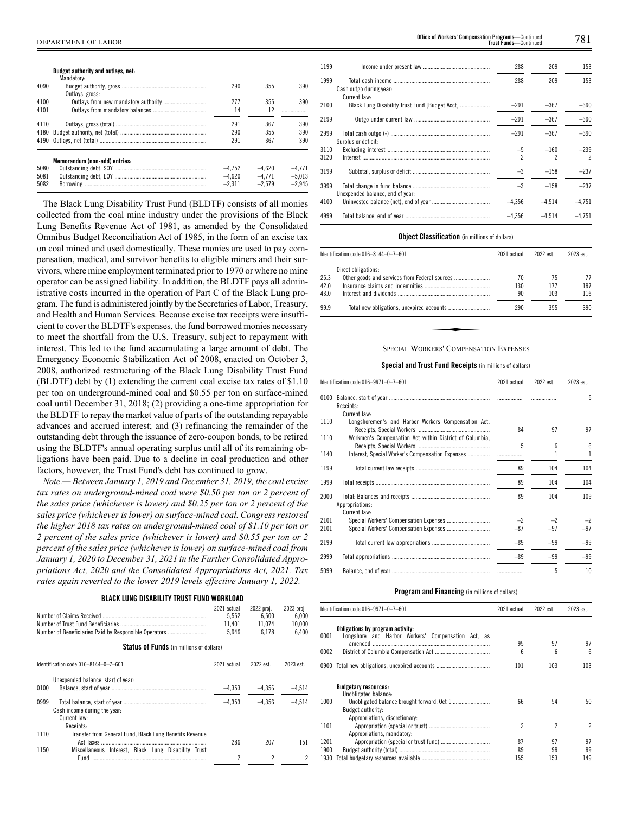|      | <b>Budget authority and outlays, net:</b><br>Mandatory: |          |          |          |
|------|---------------------------------------------------------|----------|----------|----------|
| 4090 | Outlays, gross:                                         | 290      | 355      | 390      |
| 4100 |                                                         | 277      | 355      | 390      |
| 4101 |                                                         | 14       | 12       |          |
| 4110 |                                                         | 291      | 367      | 390      |
| 4180 |                                                         | 290      | 355      | 390      |
| 4190 |                                                         | 291      | 367      | 390      |
|      | Memorandum (non-add) entries:                           |          |          |          |
| 5080 |                                                         | $-4.752$ | $-4.620$ | $-4.771$ |
| 5081 |                                                         | $-4.620$ | $-4.771$ | $-5.013$ |
| 5082 |                                                         | $-2.311$ | $-2.579$ | $-2.945$ |

The Black Lung Disability Trust Fund (BLDTF) consists of all monies collected from the coal mine industry under the provisions of the Black Lung Benefits Revenue Act of 1981, as amended by the Consolidated Omnibus Budget Reconciliation Act of 1985, in the form of an excise tax on coal mined and used domestically. These monies are used to pay compensation, medical, and survivor benefits to eligible miners and their survivors, where mine employment terminated prior to 1970 or where no mine operator can be assigned liability. In addition, the BLDTF pays all administrative costs incurred in the operation of Part C of the Black Lung program. The fund is administered jointly by the Secretaries of Labor, Treasury, and Health and Human Services. Because excise tax receipts were insufficient to cover the BLDTF's expenses, the fund borrowed monies necessary to meet the shortfall from the U.S. Treasury, subject to repayment with interest. This led to the fund accumulating a large amount of debt. The Emergency Economic Stabilization Act of 2008, enacted on October 3, 2008, authorized restructuring of the Black Lung Disability Trust Fund (BLDTF) debt by (1) extending the current coal excise tax rates of \$1.10 per ton on underground-mined coal and \$0.55 per ton on surface-mined coal until December 31, 2018; (2) providing a one-time appropriation for the BLDTF to repay the market value of parts of the outstanding repayable advances and accrued interest; and (3) refinancing the remainder of the outstanding debt through the issuance of zero-coupon bonds, to be retired using the BLDTF's annual operating surplus until all of its remaining obligations have been paid. Due to a decline in coal production and other factors, however, the Trust Fund's debt has continued to grow.

*Note.— Between January 1, 2019 and December 31, 2019, the coal excise tax rates on underground-mined coal were \$0.50 per ton or 2 percent of the sales price (whichever is lower) and \$0.25 per ton or 2 percent of the sales price (whichever is lower) on surface-mined coal. Congress restored the higher 2018 tax rates on underground-mined coal of \$1.10 per ton or 2 percent of the sales price (whichever is lower) and \$0.55 per ton or 2 percent of the sales price (whichever is lower) on surface-mined coal from January 1, 2020 to December 31, 2021 in the Further Consolidated Appropriations Act, 2020 and the Consolidated Appropriations Act, 2021. Tax rates again reverted to the lower 2019 levels effective January 1, 2022.*

# **BLACK LUNG DISABILITY TRUST FUND WORKLOAD**

|                                                                         | 2021 actual | 2022 proj. | 2023 proi. |
|-------------------------------------------------------------------------|-------------|------------|------------|
|                                                                         | 5.552       | 6.500      | 6.000      |
|                                                                         | 11.401      | 11.074     | 10.000     |
| Number of Beneficiaries Paid by Responsible Operators                   | 5.946       | 6 1 7 8    | 6.400      |
| $C_{\text{total}}$ of $\Gamma_{\text{model}}$ ( ) and ( ) and ( ) and ( |             |            |            |

**Status of Funds** (in millions of dollars)

|      | Identification code 016-8144-0-7-601                    |          | 2022 est. | 2023 est. |
|------|---------------------------------------------------------|----------|-----------|-----------|
|      | Unexpended balance, start of year:                      |          |           |           |
| 0100 |                                                         | $-4.353$ | $-4.356$  | $-4.514$  |
| 0999 | Cash income during the year:                            | $-4.353$ | $-4.356$  | $-4.514$  |
|      | Current law:                                            |          |           |           |
|      | Receipts:                                               |          |           |           |
| 1110 | Transfer from General Fund, Black Lung Benefits Revenue | 286      | 207       | 151       |
| 1150 | Miscellaneous Interest. Black Lung Disability Trust     |          |           |           |
|      | Fund                                                    | 2        | 2         |           |

| 1199         |                                  | 288      | 209      | 153                                |
|--------------|----------------------------------|----------|----------|------------------------------------|
| 1999         | Cash outgo during year:          | 288      | 209      | 153                                |
| 2100         | Current law:                     | $-291$   | $-367$   | $-390$                             |
| 2199         |                                  | $-291$   | $-367$   | $-390$                             |
| 2999         | Surplus or deficit:              | $-291$   | $-367$   | $-390$                             |
| 3110<br>3120 |                                  | $-5$     | $-160$   | $-239$<br>$\overline{\phantom{a}}$ |
| 3199         |                                  | $-3$     | $-158$   | $-237$                             |
| 3999         | Unexpended balance, end of year: | $-3$     | $-158$   | $-237$                             |
| 4100         |                                  | $-4.356$ | $-4.514$ | $-4.751$                           |
| 4999         |                                  | $-4.356$ | $-4.514$ | $-4.751$                           |

# **Object Classification** (in millions of dollars)

| 2023 est. |
|-----------|
|           |
| 77        |
| 197       |
| 116       |
| 390       |
|           |
|           |

# SPECIAL WORKERS' COMPENSATION EXPENSES

#### **Special and Trust Fund Receipts** (in millions of dollars)

|              | Identification code 016-9971-0-7-601                                                                        | 2021 actual   | 2022 est.     | 2023 est.     |
|--------------|-------------------------------------------------------------------------------------------------------------|---------------|---------------|---------------|
|              | Receipts:                                                                                                   |               |               | 5             |
| 1110         | Current law:<br>Longshoremen's and Harbor Workers Compensation Act,                                         | 84            | 97            | 97            |
| 1110<br>1140 | Workmen's Compensation Act within District of Columbia,<br>Interest, Special Worker's Compensation Expenses | 5             | հ             | 6<br>1        |
| 1199         |                                                                                                             | 89            | 104           | 104           |
| 1999         |                                                                                                             | 89            | 104           | 104           |
| 2000         | Appropriations:<br>Current law:                                                                             | 89            | 104           | 109           |
| 2101<br>2101 | Special Workers' Compensation Expenses                                                                      | $-2$<br>$-87$ | $-2$<br>$-97$ | $-2$<br>$-97$ |
| 2199         |                                                                                                             | $-89$         | $-99$         | $-99$         |
| 2999         |                                                                                                             | $-89$         | $-99$         | $-99$         |
| 5099         |                                                                                                             |               | 5             | 10            |

#### **Program and Financing** (in millions of dollars)

|      | Identification code 016-9971-0-7-601                                                   | 2021 actual | 2022 est. | 2023 est.                |
|------|----------------------------------------------------------------------------------------|-------------|-----------|--------------------------|
| 0001 | Obligations by program activity:<br>Longshore and Harbor Workers' Compensation Act, as |             |           |                          |
|      |                                                                                        | 95          | 97        | 97                       |
| 0002 |                                                                                        | 6           | 6         | 6                        |
|      | 0900 Total new obligations, unexpired accounts                                         | 101         | 103       | 103                      |
|      | <b>Budgetary resources:</b>                                                            |             |           |                          |
|      | Unobligated balance:                                                                   |             |           |                          |
| 1000 |                                                                                        | 66          | 54        | 50                       |
|      | <b>Budget authority:</b><br>Appropriations, discretionary:                             |             |           |                          |
| 1101 |                                                                                        | 2           | 2         | $\overline{\phantom{a}}$ |
| 1201 | Appropriations, mandatory:                                                             | 87          | 97        | 97                       |
|      |                                                                                        |             |           |                          |
| 1900 |                                                                                        | 89          | 99        | 99                       |
| 1930 |                                                                                        | 155         | 153       | 149                      |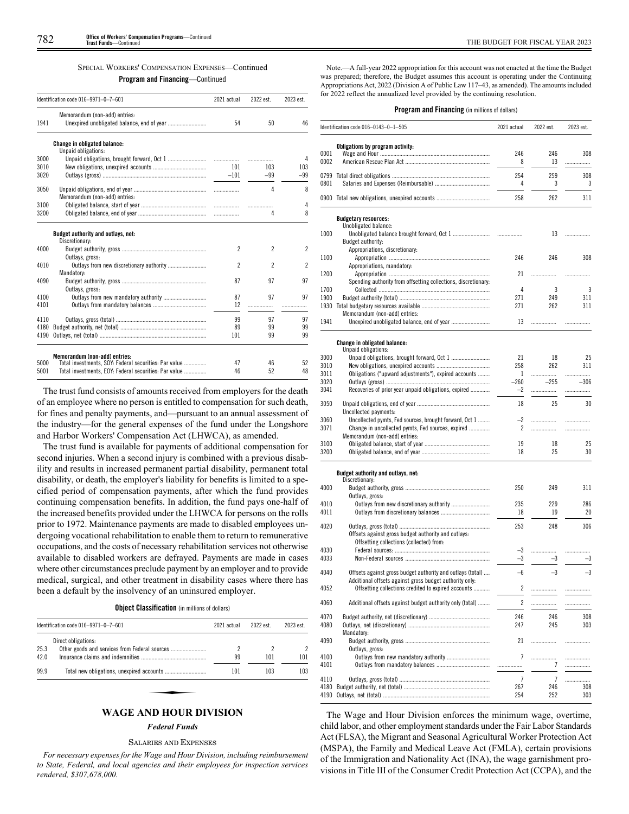# SPECIAL WORKERS' COMPENSATION EXPENSES—Continued

# **Program and Financing**—Continued

|      | Identification code 016-9971-0-7-601                                                   | 2021 actual              | 2022 est.                | 2023 est.                |
|------|----------------------------------------------------------------------------------------|--------------------------|--------------------------|--------------------------|
|      | Memorandum (non-add) entries:                                                          |                          |                          |                          |
| 1941 |                                                                                        | 54                       | 50                       | 46                       |
|      | Change in obligated balance:                                                           |                          |                          |                          |
|      | Unpaid obligations:                                                                    |                          |                          |                          |
| 3000 |                                                                                        |                          |                          | 4                        |
| 3010 |                                                                                        | 101                      | 103                      | 103                      |
| 3020 |                                                                                        | $-101$                   | $-99$                    | $-99$                    |
| 3050 | Memorandum (non-add) entries:                                                          |                          | 4                        | 8                        |
| 3100 |                                                                                        |                          |                          | 4                        |
| 3200 |                                                                                        |                          | 4                        | 8                        |
|      | Budget authority and outlays, net:<br>Discretionary:                                   |                          |                          |                          |
| 4000 | Outlays, gross:                                                                        | $\overline{\phantom{a}}$ | $\mathfrak{p}$           | $\overline{\phantom{a}}$ |
| 4010 |                                                                                        | $\overline{\phantom{a}}$ | $\overline{\phantom{a}}$ | $\overline{\phantom{a}}$ |
|      | Mandatory:                                                                             |                          |                          |                          |
| 4090 | Outlays, gross:                                                                        | 87                       | 97                       | 97                       |
| 4100 |                                                                                        | 87                       | 97                       | 97                       |
| 4101 |                                                                                        | 12                       | .                        | .                        |
| 4110 |                                                                                        | 99                       | 97                       | 97                       |
| 4180 |                                                                                        | 89                       | 99                       | 99                       |
| 4190 |                                                                                        | 101                      | 99                       | 99                       |
|      |                                                                                        |                          |                          |                          |
| 5000 | Memorandum (non-add) entries:<br>Total investments, SOY: Federal securities: Par value | 47                       | 46                       | 52                       |
| 5001 | Total investments, EOY: Federal securities: Par value                                  | 46                       | 52                       | 48                       |
|      |                                                                                        |                          |                          |                          |

The trust fund consists of amounts received from employers for the death of an employee where no person is entitled to compensation for such death, for fines and penalty payments, and—pursuant to an annual assessment of the industry—for the general expenses of the fund under the Longshore and Harbor Workers' Compensation Act (LHWCA), as amended.

The trust fund is available for payments of additional compensation for second injuries. When a second injury is combined with a previous disability and results in increased permanent partial disability, permanent total disability, or death, the employer's liability for benefits is limited to a specified period of compensation payments, after which the fund provides continuing compensation benefits. In addition, the fund pays one-half of the increased benefits provided under the LHWCA for persons on the rolls prior to 1972. Maintenance payments are made to disabled employees undergoing vocational rehabilitation to enable them to return to remunerative occupations, and the costs of necessary rehabilitation services not otherwise available to disabled workers are defrayed. Payments are made in cases where other circumstances preclude payment by an employer and to provide medical, surgical, and other treatment in disability cases where there has been a default by the insolvency of an uninsured employer.

**Object Classification** (in millions of dollars)

| Direct obligations: |     |     |     |
|---------------------|-----|-----|-----|
|                     |     |     |     |
|                     | 99  | 101 | 101 |
|                     | 101 | 103 | 103 |
|                     |     |     |     |

# *Federal Funds*

#### SALARIES AND EXPENSES

*For necessary expenses for the Wage and Hour Division, including reimbursement to State, Federal, and local agencies and their employees for inspection services rendered, \$307,678,000.*

Note.—A full-year 2022 appropriation for this account was not enacted at the time the Budget was prepared; therefore, the Budget assumes this account is operating under the Continuing Appropriations Act, 2022 (Division A of Public Law 117–43, as amended). The amounts included for 2022 reflect the annualized level provided by the continuing resolution.

#### **Program and Financing** (in millions of dollars)

|              | Identification code 016-0143-0-1-505                                                                           | 2021 actual    | 2022 est.             | 2023 est.   |
|--------------|----------------------------------------------------------------------------------------------------------------|----------------|-----------------------|-------------|
|              | Obligations by program activity:                                                                               |                |                       |             |
| 0001<br>0002 |                                                                                                                | 246<br>8       | 246<br>13             | 308<br>.    |
|              |                                                                                                                |                |                       |             |
| 0799<br>0801 |                                                                                                                | 254<br>4       | 259<br>3              | 308<br>3    |
| 0900         |                                                                                                                | 258            | 262                   | 311         |
|              |                                                                                                                |                |                       |             |
|              | <b>Budgetary resources:</b><br>Unobligated balance:                                                            |                |                       |             |
| 1000         |                                                                                                                |                | 13                    | .           |
|              | Budget authority:                                                                                              |                |                       |             |
| 1100         | Appropriations, discretionary:                                                                                 | 246            | 246                   | 308         |
|              | Appropriations, mandatory:                                                                                     |                |                       |             |
| 1200         |                                                                                                                | 21             |                       | .           |
|              | Spending authority from offsetting collections, discretionary:                                                 |                |                       |             |
| 1700<br>1900 |                                                                                                                | 4<br>271       | 3<br>249              | 3<br>311    |
| 1930         |                                                                                                                | 271            | 262                   | 311         |
|              | Memorandum (non-add) entries:                                                                                  |                |                       |             |
| 1941         |                                                                                                                | 13             | .                     | .           |
|              | Change in obligated balance:                                                                                   |                |                       |             |
|              | Unpaid obligations:                                                                                            |                |                       |             |
| 3000         |                                                                                                                | 21             | 18                    | 25          |
| 3010         |                                                                                                                | 258            | 262                   | 311         |
| 3011         | Obligations ("upward adjustments"), expired accounts                                                           | 1              | .                     | .           |
| 3020<br>3041 | Recoveries of prior year unpaid obligations, expired                                                           | $-260$<br>$-2$ | $-255$<br>.           | $-306$<br>. |
|              |                                                                                                                |                |                       |             |
| 3050         | Uncollected payments:                                                                                          | 18             | 25                    | 30          |
| 3060         | Uncollected pymts, Fed sources, brought forward, Oct 1                                                         | $-2$           |                       | .           |
| 3071         | Change in uncollected pymts, Fed sources, expired                                                              | 2              |                       | .           |
|              | Memorandum (non-add) entries:                                                                                  |                |                       |             |
| 3100<br>3200 |                                                                                                                | 19<br>18       | 18<br>25              | 25<br>30    |
|              |                                                                                                                |                |                       |             |
|              | Budget authority and outlays, net:<br>Discretionary:                                                           |                |                       |             |
| 4000         |                                                                                                                | 250            | 249                   | 311         |
|              | Outlays, gross:                                                                                                |                |                       |             |
| 4010         |                                                                                                                | 235            | 229                   | 286         |
| 4011         |                                                                                                                | 18             | 19                    | 20          |
| 4020         |                                                                                                                | 253            | 248                   | 306         |
|              | Offsets against gross budget authority and outlays:                                                            |                |                       |             |
|              | Offsetting collections (collected) from:                                                                       |                |                       |             |
| 4030<br>4033 |                                                                                                                | -3<br>-3       | .<br>$-3$             | .<br>$-3$   |
|              |                                                                                                                |                |                       |             |
| 4040         | Offsets against gross budget authority and outlays (total)                                                     | $-6$           | $-3$                  | $-3$        |
| 4052         | Additional offsets against gross budget authority only:<br>Offsetting collections credited to expired accounts | 2              | .                     | .           |
| 4060         |                                                                                                                | $\overline{c}$ |                       |             |
|              | Additional offsets against budget authority only (total)                                                       |                | .                     | .           |
| 4070         |                                                                                                                | 246            | 246                   | 308         |
| 4080         |                                                                                                                | 247            | 245                   | 303         |
|              | Mandatory:                                                                                                     |                |                       |             |
| 4090         | Outlays, gross:                                                                                                | 21             | .                     | .           |
| 4100         |                                                                                                                | 7              | .                     | .           |
| 4101         |                                                                                                                |                | 7                     | .           |
|              |                                                                                                                |                |                       |             |
| 4110<br>4180 |                                                                                                                | $\overline{1}$ | $\overline{7}$<br>246 | .           |
| 4190         |                                                                                                                | 267<br>254     | 252                   | 308<br>303  |
|              |                                                                                                                |                |                       |             |

The Wage and Hour Division enforces the minimum wage, overtime, child labor, and other employment standards under the Fair Labor Standards Act (FLSA), the Migrant and Seasonal Agricultural Worker Protection Act (MSPA), the Family and Medical Leave Act (FMLA), certain provisions of the Immigration and Nationality Act (INA), the wage garnishment provisions in Title III of the Consumer Credit Protection Act (CCPA), and the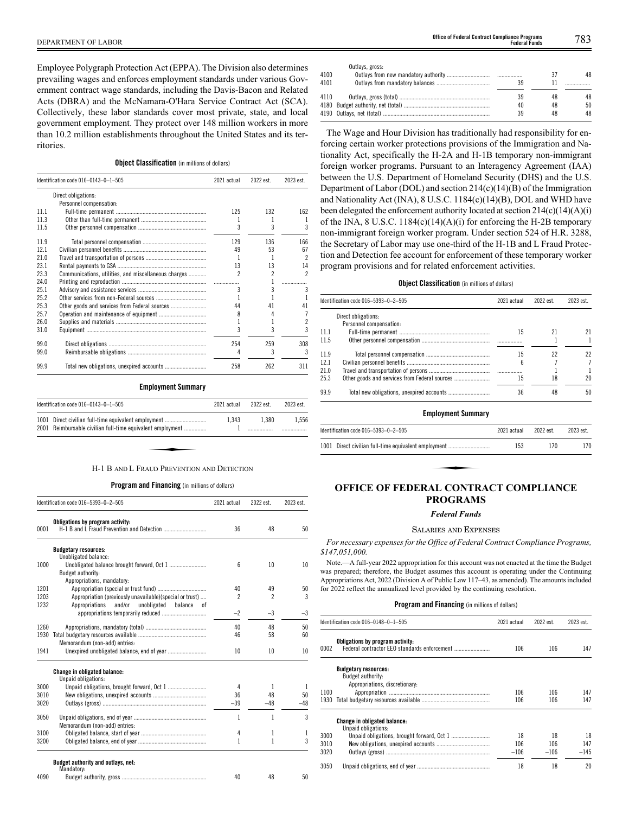DEPARTMENT OF LABOR 783 **Office of Federal Contract Compliance Programs Federal Funds**

Employee Polygraph Protection Act (EPPA). The Division also determines prevailing wages and enforces employment standards under various Government contract wage standards, including the Davis-Bacon and Related Acts (DBRA) and the McNamara-O'Hara Service Contract Act (SCA). Collectively, these labor standards cover most private, state, and local government employment. They protect over 148 million workers in more than 10.2 million establishments throughout the United States and its territories.

# **Object Classification** (in millions of dollars)

|      | Identification code 016-0143-0-1-505                 | 2021 actual    | 2022 est. | 2023 est. |
|------|------------------------------------------------------|----------------|-----------|-----------|
|      | Direct obligations:                                  |                |           |           |
|      | Personnel compensation:                              |                |           |           |
| 111  |                                                      | 125            | 132       | 162       |
| 11.3 |                                                      |                |           |           |
| 11.5 |                                                      | 3              | 3         | 3         |
| 119  |                                                      | 129            | 136       | 166       |
| 121  |                                                      | 49             | 53        | 67        |
| 21.0 |                                                      |                |           | 2         |
| 231  |                                                      | 13             | 13        | 14        |
| 23.3 | Communications, utilities, and miscellaneous charges | $\mathfrak{p}$ | 2         | 2         |
| 24.0 |                                                      |                |           |           |
| 25.1 |                                                      | 3              | 3         | 3         |
| 25.2 |                                                      |                |           |           |
| 25.3 |                                                      | 44             | 41        | 41        |
| 25.7 |                                                      | 8              | 4         |           |
| 26.0 |                                                      |                | 1         | 2         |
| 31.0 |                                                      |                | 3         | 3         |
| 99.0 |                                                      | 254            | 259       | 308       |
| 99.0 |                                                      | 4              | 3         | 3         |
| 99.9 |                                                      | 258            | 262       | 311       |

#### **Employment Summary**

| Identification code $016-0143-0-1-505$                                                                             | 2021 actual | 2022 est. | 2023 est. |
|--------------------------------------------------------------------------------------------------------------------|-------------|-----------|-----------|
| 1001 Direct civilian full-time equivalent employment<br>2001 Reimbursable civilian full-time equivalent employment | 1.343       | 1.380     | 1.556     |
|                                                                                                                    |             |           |           |
| H-1 B AND L FRAUD PREVENTION AND DETECTION                                                                         |             |           |           |

# **Program and Financing** (in millions of dollars)

|      | Identification code 016-5393-0-2-505                       | 2021 actual              | 2022 est.                | 2023 est. |
|------|------------------------------------------------------------|--------------------------|--------------------------|-----------|
| 0001 | Obligations by program activity:                           | 36                       | 48                       | 50        |
|      | <b>Budgetary resources:</b>                                |                          |                          |           |
|      | Unobligated balance:                                       |                          |                          |           |
| 1000 |                                                            | 6                        | 10                       | 10        |
|      | Budget authority:                                          |                          |                          |           |
|      | Appropriations, mandatory:                                 |                          |                          |           |
| 1201 | Appropriation (special or trust fund)                      | 40                       | 49                       | 50        |
| 1203 | Appropriation (previously unavailable)(special or trust)   | $\overline{\phantom{a}}$ | $\overline{\phantom{a}}$ | 3         |
| 1232 | Appropriations<br>and/or<br>unobligated<br>balance<br>0Ť   | $-2$                     | $-3$                     | $-3$      |
|      |                                                            |                          |                          |           |
| 1260 |                                                            | 40                       | 48                       | 50        |
| 1930 |                                                            | 46                       | 58                       | 60        |
|      | Memorandum (non-add) entries:                              |                          |                          |           |
| 1941 |                                                            | 10                       | 10                       | 10        |
|      | <b>Change in obligated balance:</b><br>Unpaid obligations: |                          |                          |           |
| 3000 |                                                            | 4                        | 1                        | 1         |
| 3010 |                                                            | 36                       | 48                       | 50        |
| 3020 |                                                            | $-39$                    | $-48$                    | $-48$     |
| 3050 |                                                            | 1                        | 1                        | 3         |
|      | Memorandum (non-add) entries:                              |                          |                          |           |
| 3100 |                                                            | 4                        | 1                        | 1         |
| 3200 |                                                            | 1                        | 1                        | 3         |
|      | Budget authority and outlays, net:<br>Mandatory:           |                          |                          |           |
| 4090 |                                                            | 40                       | 48                       | 50        |

|      | Outlays, gross: |    |    |    |
|------|-----------------|----|----|----|
| 4100 |                 |    |    | 48 |
| 4101 |                 | 39 |    |    |
| 4110 |                 | 39 | 48 | 48 |
|      |                 | 40 | 48 | 50 |
|      |                 | 39 | 48 | 48 |
|      |                 |    |    |    |

The Wage and Hour Division has traditionally had responsibility for enforcing certain worker protections provisions of the Immigration and Nationality Act, specifically the H-2A and H-1B temporary non-immigrant foreign worker programs. Pursuant to an Interagency Agreement (IAA) between the U.S. Department of Homeland Security (DHS) and the U.S. Department of Labor (DOL) and section  $214(c)(14)(B)$  of the Immigration and Nationality Act (INA), 8 U.S.C. 1184(c)(14)(B), DOL and WHD have been delegated the enforcement authority located at section  $214(c)(14)(A)(i)$ of the INA,  $8$  U.S.C. 1184(c)(14)(A)(i) for enforcing the H-2B temporary non-immigrant foreign worker program. Under section 524 of H.R. 3288, the Secretary of Labor may use one-third of the H-1B and L Fraud Protection and Detection fee account for enforcement of these temporary worker program provisions and for related enforcement activities.

# **Object Classification** (in millions of dollars)

| ldentification code 016–5393–0–2–505 | 2021 actual             | 2022 est. | 2023 est. |
|--------------------------------------|-------------------------|-----------|-----------|
| Direct obligations:                  |                         |           |           |
|                                      |                         |           |           |
|                                      | 15                      | 21        | 21        |
|                                      |                         |           |           |
|                                      | 15                      | 22        | 22        |
|                                      | 6                       |           | 7         |
|                                      |                         |           |           |
|                                      | 15                      | 18        | 20        |
|                                      | 36                      | 48        | 50        |
|                                      | Personnel compensation: |           |           |

# **Employment Summary**

| ldentification code 016–5393–0–2–505                 | 2021 actual | 2022 est. | 2023 est. |  |  |
|------------------------------------------------------|-------------|-----------|-----------|--|--|
| 1001 Direct civilian full-time equivalent employment | 153         | 170       | 170       |  |  |
|                                                      |             |           |           |  |  |
| <b>OFFICE OF FEDERAL CONTRACT COMPLIANCE</b>         |             |           |           |  |  |

# **PROGRAMS**

# *Federal Funds*

#### SALARIES AND EXPENSES

*For necessary expenses for the Office of Federal Contract Compliance Programs, \$147,051,000.*

Note.—A full-year 2022 appropriation for this account was not enacted at the time the Budget was prepared; therefore, the Budget assumes this account is operating under the Continuing Appropriations Act, 2022 (Division A of Public Law 117–43, as amended). The amounts included for 2022 reflect the annualized level provided by the continuing resolution.

# **Program and Financing** (in millions of dollars)

|      | Identification code 016-0148-0-1-505                | 2021 actual | 2022 est. | 2023 est. |
|------|-----------------------------------------------------|-------------|-----------|-----------|
| 0002 | Obligations by program activity:                    | 106         | 106       | 147       |
|      | <b>Budgetary resources:</b>                         |             |           |           |
|      | Budget authority:                                   |             |           |           |
|      | Appropriations, discretionary:                      |             |           |           |
| 1100 |                                                     | 106         | 106       | 147       |
| 1930 |                                                     | 106         | 106       | 147       |
|      | Change in obligated balance:<br>Unpaid obligations: |             |           |           |
| 3000 |                                                     | 18          | 18        | 18        |
| 3010 |                                                     | 106         | 106       |           |
|      |                                                     |             |           | 147       |
| 3020 |                                                     | $-106$      | $-106$    | $-145$    |
| 3050 |                                                     | 18          | 18        | 20        |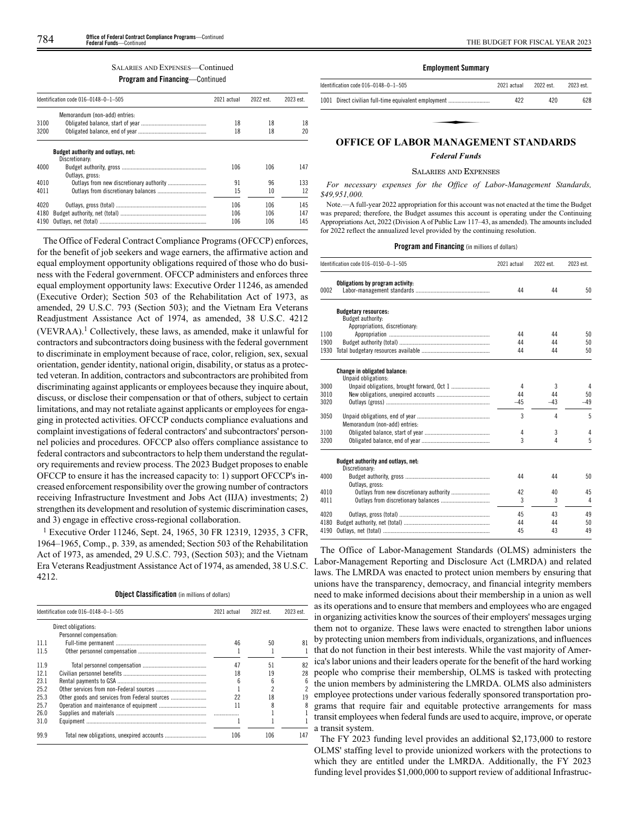# **Program and Financing**—Continued

|      | Identification code 016-0148-0-1-505                 | 2021 actual | 2022 est. | 2023 est. |
|------|------------------------------------------------------|-------------|-----------|-----------|
|      | Memorandum (non-add) entries:                        |             |           |           |
| 3100 |                                                      | 18          | 18        | 18        |
| 3200 |                                                      | 18          | 18        | 20        |
|      | Budget authority and outlays, net:<br>Discretionary: |             |           |           |
| 4000 | Outlays, gross:                                      | 106         | 106       | 147       |
| 4010 |                                                      | 91          | 96        | 133       |
| 4011 |                                                      | 15          | 10        | 12        |
| 4020 |                                                      | 106         | 106       | 145       |
| 4180 |                                                      | 106         | 106       | 147       |
| 4190 |                                                      | 106         | 106       | 145       |

The Office of Federal Contract Compliance Programs (OFCCP) enforces, for the benefit of job seekers and wage earners, the affirmative action and equal employment opportunity obligations required of those who do business with the Federal government. OFCCP administers and enforces three equal employment opportunity laws: Executive Order 11246, as amended (Executive Order); Section 503 of the Rehabilitation Act of 1973, as amended, 29 U.S.C. 793 (Section 503); and the Vietnam Era Veterans Readjustment Assistance Act of 1974, as amended, 38 U.S.C. 4212  $(VEVRAA).<sup>1</sup> Collectively, these laws, as amended, make it unlawful for$ contractors and subcontractors doing business with the federal government to discriminate in employment because of race, color, religion, sex, sexual orientation, gender identity, national origin, disability, or status as a protected veteran. In addition, contractors and subcontractors are prohibited from discriminating against applicants or employees because they inquire about, discuss, or disclose their compensation or that of others, subject to certain limitations, and may not retaliate against applicants or employees for engaging in protected activities. OFCCP conducts compliance evaluations and complaint investigations of federal contractors' and subcontractors' personnel policies and procedures. OFCCP also offers compliance assistance to federal contractors and subcontractors to help them understand the regulatory requirements and review process. The 2023 Budget proposes to enable OFCCP to ensure it has the increased capacity to: 1) support OFCCP's increased enforcement responsibility over the growing number of contractors receiving Infrastructure Investment and Jobs Act (IIJA) investments; 2) strengthen its development and resolution of systemic discrimination cases, and 3) engage in effective cross-regional collaboration.

1 Executive Order 11246, Sept. 24, 1965, 30 FR 12319, 12935, 3 CFR, 1964–1965, Comp., p. 339, as amended; Section 503 of the Rehabilitation Act of 1973, as amended, 29 U.S.C. 793, (Section 503); and the Vietnam Era Veterans Readjustment Assistance Act of 1974, as amended, 38 U.S.C. 4212.

**Object Classification** (in millions of dollars)

|      | Identification code 016-0148-0-1-505 | 2021 actual | 2022 est. | 2023 est. |
|------|--------------------------------------|-------------|-----------|-----------|
|      | Direct obligations:                  |             |           |           |
|      | Personnel compensation:              |             |           |           |
| 11.1 |                                      | 46          | 50        | 81        |
| 11.5 |                                      |             |           |           |
| 11.9 |                                      | 47          | 51        | 82        |
| 12.1 |                                      | 18          | 19        | 28        |
| 23.1 |                                      | 6           | հ         | 6         |
| 25.2 |                                      |             |           | 2         |
| 25.3 |                                      | 22          | 18        | 19        |
| 25.7 |                                      | 11          |           | 8         |
| 26.0 |                                      |             |           |           |
| 31.0 |                                      |             |           |           |
| 99.9 |                                      | 106         | 106       | 147       |

# **Employment Summary**

| Identification code $016-0148-0-1-505$               | 2021 actual | 2022 est | 2023 est |
|------------------------------------------------------|-------------|----------|----------|
| 1001 Direct civilian full-time equivalent employment | 422         | 420      | 628      |
|                                                      |             |          |          |
|                                                      |             |          |          |
| <b>OFFICE OF LABOR MANAGEMENT STANDARDS</b>          |             |          |          |

# *Federal Funds*

#### SALARIES AND EXPENSES

*For necessary expenses for the Office of Labor-Management Standards, \$49,951,000.*

Note.—A full-year 2022 appropriation for this account was not enacted at the time the Budget was prepared; therefore, the Budget assumes this account is operating under the Continuing Appropriations Act, 2022 (Division A of Public Law 117–43, as amended). The amounts included for 2022 reflect the annualized level provided by the continuing resolution.

#### **Program and Financing** (in millions of dollars)

|              | Identification code 016-0150-0-1-505 | 2021 actual | 2022 est. | 2023 est. |
|--------------|--------------------------------------|-------------|-----------|-----------|
| 0002         | Obligations by program activity:     | 44          | 44        | 50        |
|              | <b>Budgetary resources:</b>          |             |           |           |
|              | Budget authority:                    |             |           |           |
|              | Appropriations, discretionary:       |             |           |           |
| 1100<br>1900 |                                      | 44          | 44        | 50        |
| 1930         |                                      | 44<br>44    | 44<br>44  | 50<br>50  |
|              |                                      |             |           |           |
|              | <b>Change in obligated balance:</b>  |             |           |           |
|              | Unpaid obligations:                  |             |           |           |
| 3000         |                                      | 4           | 3         | 4         |
| 3010         |                                      | 44          | 44        | 50        |
| 3020         |                                      | $-45$       | $-43$     | $-49$     |
| 3050         |                                      | 3           | 4         | 5         |
|              | Memorandum (non-add) entries:        |             |           |           |
| 3100         |                                      | 4           | 3         | 4         |
| 3200         |                                      | 3           | 4         | 5         |
|              | Budget authority and outlays, net:   |             |           |           |
|              | Discretionary:                       |             |           |           |
| 4000         |                                      | 44          | 44        | 50        |
|              | Outlays, gross:                      |             |           |           |
| 4010         |                                      | 42          | 40        | 45        |
| 4011         |                                      | 3           | 3         | 4         |
| 4020         |                                      | 45          | 43        | 49        |
| 4180         |                                      | 44          | 44        | 50        |
| 4190         |                                      | 45          | 43        | 49        |

The Office of Labor-Management Standards (OLMS) administers the Labor-Management Reporting and Disclosure Act (LMRDA) and related laws. The LMRDA was enacted to protect union members by ensuring that unions have the transparency, democracy, and financial integrity members need to make informed decisions about their membership in a union as well as its operations and to ensure that members and employees who are engaged in organizing activities know the sources of their employers' messages urging them not to organize. These laws were enacted to strengthen labor unions by protecting union members from individuals, organizations, and influences that do not function in their best interests. While the vast majority of America's labor unions and their leaders operate for the benefit of the hard working people who comprise their membership, OLMS is tasked with protecting the union members by administering the LMRDA. OLMS also administers employee protections under various federally sponsored transportation programs that require fair and equitable protective arrangements for mass transit employees when federal funds are used to acquire, improve, or operate a transit system.

The FY 2023 funding level provides an additional \$2,173,000 to restore OLMS' staffing level to provide unionized workers with the protections to which they are entitled under the LMRDA. Additionally, the FY 2023 funding level provides \$1,000,000 to support review of additional Infrastruc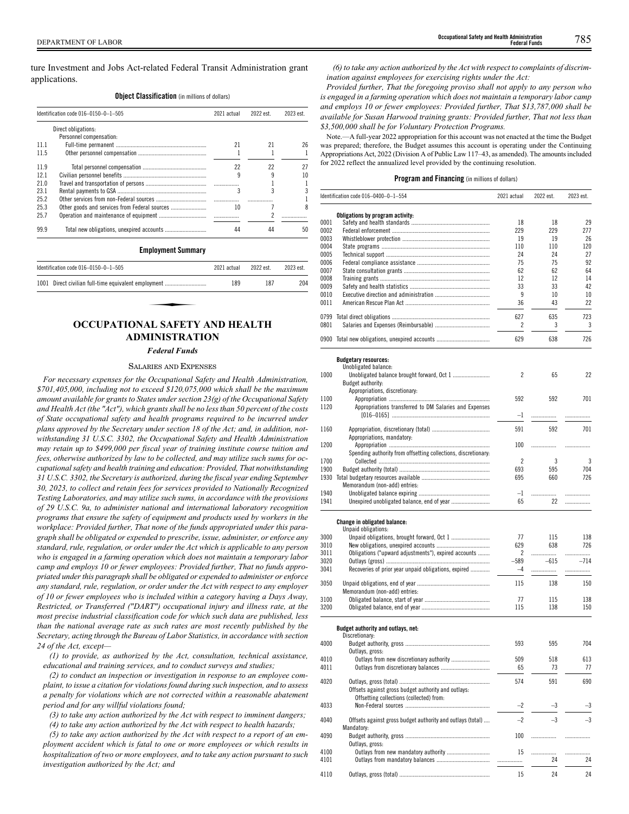ture Investment and Jobs Act-related Federal Transit Administration grant applications.

#### **Object Classification** (in millions of dollars)

|      | Identification code 016-0150-0-1-505 | 2021 actual | 2022 est. | 2023 est. |
|------|--------------------------------------|-------------|-----------|-----------|
|      | Direct obligations:                  |             |           |           |
|      | Personnel compensation:              |             |           |           |
| 11 1 |                                      | 21          | 21        | 26        |
| 11.5 |                                      |             |           |           |
| 119  |                                      | 22          | 22        | 27        |
| 121  |                                      | 9           |           | 10        |
| 21.0 |                                      |             |           |           |
| 231  |                                      | 3           | 3         |           |
| 25.2 |                                      |             |           |           |
| 25.3 |                                      | 10          |           |           |
| 257  |                                      |             |           |           |
| 99.9 |                                      | 44          | 44        | 50        |

#### **Employment Summary**

| Identification code 016-0150-0-1-505                 | 2021 actual | 2022 est. | 2023 est. |
|------------------------------------------------------|-------------|-----------|-----------|
| 1001 Direct civilian full-time equivalent employment | 189         | 187       | 204       |
|                                                      |             |           |           |
|                                                      |             |           |           |
| OCCUPATIONAL SAFFTV AND HEALTH                       |             |           |           |

# **OCCUPATIONAL SAFETY AND HEALTH ADMINISTRATION**

# *Federal Funds*

#### SALARIES AND EXPENSES

*For necessary expenses for the Occupational Safety and Health Administration, \$701,405,000, including not to exceed \$120,075,000 which shall be the maximum amount available for grants to States under section 23(g) of the Occupational Safety and Health Act (the "Act"), which grants shall be no less than 50 percent of the costs of State occupational safety and health programs required to be incurred under plans approved by the Secretary under section 18 of the Act; and, in addition, notwithstanding 31 U.S.C. 3302, the Occupational Safety and Health Administration may retain up to \$499,000 per fiscal year of training institute course tuition and fees, otherwise authorized by law to be collected, and may utilize such sums for occupational safety and health training and education: Provided, That notwithstanding 31 U.S.C. 3302, the Secretary is authorized, during the fiscal year ending September 30, 2023, to collect and retain fees for services provided to Nationally Recognized Testing Laboratories, and may utilize such sums, in accordance with the provisions of 29 U.S.C. 9a, to administer national and international laboratory recognition programs that ensure the safety of equipment and products used by workers in the workplace: Provided further, That none of the funds appropriated under this paragraph shall be obligated or expended to prescribe, issue, administer, or enforce any standard, rule, regulation, or order under the Act which is applicable to any person who is engaged in a farming operation which does not maintain a temporary labor camp and employs 10 or fewer employees: Provided further, That no funds appropriated under this paragraph shall be obligated or expended to administer or enforce any standard, rule, regulation, or order under the Act with respect to any employer of 10 or fewer employees who is included within a category having a Days Away, Restricted, or Transferred ("DART") occupational injury and illness rate, at the most precise industrial classification code for which such data are published, less than the national average rate as such rates are most recently published by the Secretary, acting through the Bureau of Labor Statistics, in accordance with section 24 of the Act, except—*

*(1) to provide, as authorized by the Act, consultation, technical assistance, educational and training services, and to conduct surveys and studies;*

*(2) to conduct an inspection or investigation in response to an employee complaint, to issue a citation for violations found during such inspection, and to assess a penalty for violations which are not corrected within a reasonable abatement period and for any willful violations found;*

*(3) to take any action authorized by the Act with respect to imminent dangers;*

*(4) to take any action authorized by the Act with respect to health hazards;*

*(5) to take any action authorized by the Act with respect to a report of an employment accident which is fatal to one or more employees or which results in hospitalization of two or more employees, and to take any action pursuant to such investigation authorized by the Act; and*

*(6) to take any action authorized by the Act with respect to complaints of discrimination against employees for exercising rights under the Act:*

*Provided further, That the foregoing proviso shall not apply to any person who is engaged in a farming operation which does not maintain a temporary labor camp and employs 10 or fewer employees: Provided further, That \$13,787,000 shall be available for Susan Harwood training grants: Provided further, That not less than \$3,500,000 shall be for Voluntary Protection Programs.*

Note.—A full-year 2022 appropriation for this account was not enacted at the time the Budget was prepared; therefore, the Budget assumes this account is operating under the Continuing Appropriations Act, 2022 (Division A of Public Law 117–43, as amended). The amounts included for 2022 reflect the annualized level provided by the continuing resolution.

#### **Program and Financing** (in millions of dollars)

|      | Identification code 016-0400-0-1-554                           | 2021 actual | 2022 est. | 2023 est. |
|------|----------------------------------------------------------------|-------------|-----------|-----------|
|      | Obligations by program activity:                               |             |           |           |
| 0001 |                                                                | 18          | 18        | 29        |
| 0002 |                                                                | 229         | 229       | 277       |
| 0003 |                                                                | 19          | 19        | 26        |
|      |                                                                |             |           |           |
| 0004 |                                                                | 110         | 110       | 120       |
| 0005 |                                                                | 24          | 24        | 27        |
| 0006 |                                                                | 75          | 75        | 92        |
| 0007 |                                                                | 62          | 62        | 64        |
| 0008 |                                                                | 12          | 12        | 14        |
| 0009 |                                                                | 33          | 33        | 42        |
|      |                                                                |             |           |           |
| 0010 |                                                                | 9           | 10        | 10        |
| 0011 |                                                                | 36          | 43        | 22        |
|      |                                                                |             |           |           |
|      |                                                                | 627         | 635       | 723       |
| 0801 |                                                                | 2           | 3         | 3         |
|      | 0900 Total new obligations, unexpired accounts                 | 629         | 638       | 726       |
|      |                                                                |             |           |           |
|      | <b>Budgetary resources:</b>                                    |             |           |           |
|      | Unobligated balance:                                           |             |           |           |
| 1000 |                                                                | 2           | 65        | 22        |
|      | Budget authority:                                              |             |           |           |
|      | Appropriations, discretionary:                                 |             |           |           |
|      |                                                                |             |           |           |
| 1100 |                                                                | 592         | 592       | 701       |
| 1120 | Appropriations transferred to DM Salaries and Expenses         |             |           |           |
|      |                                                                | $-1$        | .         | .         |
|      |                                                                |             |           |           |
| 1160 |                                                                | 591         | 592       | 701       |
|      | Appropriations, mandatory:                                     |             |           |           |
| 1200 |                                                                | 100         | .         | .         |
|      | Spending authority from offsetting collections, discretionary: |             |           |           |
| 1700 |                                                                | 2           | 3         | 3         |
|      |                                                                |             |           |           |
| 1900 |                                                                | 693         | 595       | 704       |
|      |                                                                | 695         | 660       | 726       |
|      | Memorandum (non-add) entries:                                  |             |           |           |
| 1940 |                                                                | $-1$        |           | .         |
| 1941 |                                                                | 65          | 22        |           |
|      |                                                                |             |           |           |
|      | <b>Change in obligated balance:</b><br>Unpaid obligations:     |             |           |           |
| 3000 |                                                                | 77          | 115       | 138       |
| 3010 |                                                                | 629         | 638       | 726       |
| 3011 | Obligations ("upward adjustments"), expired accounts           | 2           | .         | .         |
|      |                                                                |             |           |           |
| 3020 |                                                                | $-589$      | $-615$    | $-714$    |
| 3041 | Recoveries of prior year unpaid obligations, expired           | $-4$        | .         | .         |
|      |                                                                |             |           |           |
| 3050 |                                                                | 115         | 138       | 150       |
|      | Memorandum (non-add) entries:                                  |             |           |           |
| 3100 |                                                                | 77          | 115       | 138       |
| 3200 |                                                                | 115         | 138       | 150       |
|      |                                                                |             |           |           |
|      | Budget authority and outlays, net:                             |             |           |           |
|      | Discretionary:                                                 |             |           |           |
| 4000 |                                                                | 593         | 595       | 704       |
|      | Outlays, gross:                                                |             |           |           |
| 4010 |                                                                | 509         | 518       | 613       |
| 4011 |                                                                | 65          | 73        | 77        |
|      |                                                                |             |           |           |
| 4020 |                                                                | 574         | 591       | 690       |
|      |                                                                |             |           |           |
|      | Offsets against gross budget authority and outlays:            |             |           |           |
|      | Offsetting collections (collected) from:                       |             |           |           |
| 4033 |                                                                | $^{-2}$     | -3        | $-3$      |
|      |                                                                |             |           |           |
| 4040 | Offsets against gross budget authority and outlays (total)     | $-2$        | $-3$      | $-3$      |
|      | Mandatory:                                                     |             |           |           |
| 4090 |                                                                | 100         |           |           |
|      |                                                                |             |           | .         |
|      | Outlays, gross:                                                |             |           |           |
| 4100 |                                                                | 15          | .         | .         |
| 4101 |                                                                |             | 24        | 24        |
|      |                                                                |             |           |           |
| 4110 |                                                                | 15          | 24        | 24        |
|      |                                                                |             |           |           |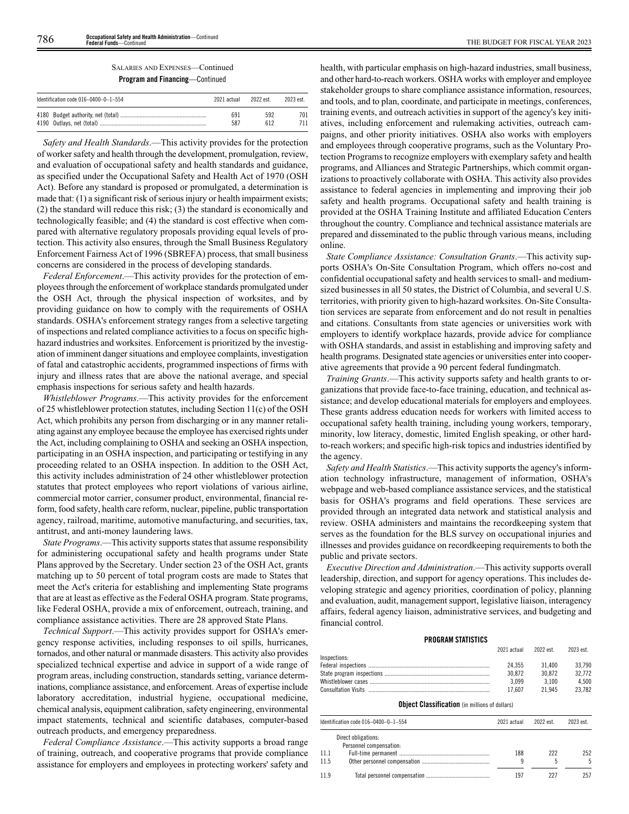| Identification code $016-0400-0-1-554$ | 2021 actual | 2022 est. | 2023 est |
|----------------------------------------|-------------|-----------|----------|
|                                        | 691         | 592       | 701      |
|                                        | 587         | 612       | 711      |

*Safety and Health Standards*.—This activity provides for the protection of worker safety and health through the development, promulgation, review, and evaluation of occupational safety and health standards and guidance, as specified under the Occupational Safety and Health Act of 1970 (OSH Act). Before any standard is proposed or promulgated, a determination is made that: (1) a significant risk of serious injury or health impairment exists; (2) the standard will reduce this risk; (3) the standard is economically and technologically feasible; and (4) the standard is cost effective when compared with alternative regulatory proposals providing equal levels of protection. This activity also ensures, through the Small Business Regulatory Enforcement Fairness Act of 1996 (SBREFA) process, that small business concerns are considered in the process of developing standards.

*Federal Enforcement*.—This activity provides for the protection of employees through the enforcement of workplace standards promulgated under the OSH Act, through the physical inspection of worksites, and by providing guidance on how to comply with the requirements of OSHA standards. OSHA's enforcement strategy ranges from a selective targeting of inspections and related compliance activities to a focus on specific highhazard industries and worksites. Enforcement is prioritized by the investigation of imminent danger situations and employee complaints, investigation of fatal and catastrophic accidents, programmed inspections of firms with injury and illness rates that are above the national average, and special emphasis inspections for serious safety and health hazards.

*Whistleblower Programs*.—This activity provides for the enforcement of 25 whistleblower protection statutes, including Section 11(c) of the OSH Act, which prohibits any person from discharging or in any manner retaliating against any employee because the employee has exercised rights under the Act, including complaining to OSHA and seeking an OSHA inspection, participating in an OSHA inspection, and participating or testifying in any proceeding related to an OSHA inspection. In addition to the OSH Act, this activity includes administration of 24 other whistleblower protection statutes that protect employees who report violations of various airline, commercial motor carrier, consumer product, environmental, financial reform, food safety, health care reform, nuclear, pipeline, public transportation agency, railroad, maritime, automotive manufacturing, and securities, tax, antitrust, and anti-money laundering laws.

*State Programs*.—This activity supports states that assume responsibility for administering occupational safety and health programs under State Plans approved by the Secretary. Under section 23 of the OSH Act, grants matching up to 50 percent of total program costs are made to States that meet the Act's criteria for establishing and implementing State programs that are at least as effective as the Federal OSHA program. State programs, like Federal OSHA, provide a mix of enforcement, outreach, training, and compliance assistance activities. There are 28 approved State Plans.

*Technical Support*.—This activity provides support for OSHA's emergency response activities, including responses to oil spills, hurricanes, tornados, and other natural or manmade disasters. This activity also provides specialized technical expertise and advice in support of a wide range of program areas, including construction, standards setting, variance determinations, compliance assistance, and enforcement. Areas of expertise include laboratory accreditation, industrial hygiene, occupational medicine, chemical analysis, equipment calibration, safety engineering, environmental impact statements, technical and scientific databases, computer-based outreach products, and emergency preparedness.

*Federal Compliance Assistance*.—This activity supports a broad range of training, outreach, and cooperative programs that provide compliance assistance for employers and employees in protecting workers' safety and health, with particular emphasis on high-hazard industries, small business, and other hard-to-reach workers. OSHA works with employer and employee stakeholder groups to share compliance assistance information, resources, and tools, and to plan, coordinate, and participate in meetings, conferences, training events, and outreach activities in support of the agency's key initiatives, including enforcement and rulemaking activities, outreach campaigns, and other priority initiatives. OSHA also works with employers and employees through cooperative programs, such as the Voluntary Protection Programs to recognize employers with exemplary safety and health programs, and Alliances and Strategic Partnerships, which commit organizations to proactively collaborate with OSHA. This activity also provides assistance to federal agencies in implementing and improving their job safety and health programs. Occupational safety and health training is provided at the OSHA Training Institute and affiliated Education Centers throughout the country. Compliance and technical assistance materials are prepared and disseminated to the public through various means, including online.

*State Compliance Assistance: Consultation Grants*.—This activity supports OSHA's On-Site Consultation Program, which offers no-cost and confidential occupational safety and health services to small- and mediumsized businesses in all 50 states, the District of Columbia, and several U.S. territories, with priority given to high-hazard worksites. On-Site Consultation services are separate from enforcement and do not result in penalties and citations. Consultants from state agencies or universities work with employers to identify workplace hazards, provide advice for compliance with OSHA standards, and assist in establishing and improving safety and health programs. Designated state agencies or universities enter into cooperative agreements that provide a 90 percent federal fundingmatch.

*Training Grants*.—This activity supports safety and health grants to organizations that provide face-to-face training, education, and technical assistance; and develop educational materials for employers and employees. These grants address education needs for workers with limited access to occupational safety health training, including young workers, temporary, minority, low literacy, domestic, limited English speaking, or other hardto-reach workers; and specific high-risk topics and industries identified by the agency.

*Safety and Health Statistics*.—This activity supports the agency's information technology infrastructure, management of information, OSHA's webpage and web-based compliance assistance services, and the statistical basis for OSHA's programs and field operations. These services are provided through an integrated data network and statistical analysis and review. OSHA administers and maintains the recordkeeping system that serves as the foundation for the BLS survey on occupational injuries and illnesses and provides guidance on recordkeeping requirements to both the public and private sectors.

*Executive Direction and Administration*.—This activity supports overall leadership, direction, and support for agency operations. This includes developing strategic and agency priorities, coordination of policy, planning and evaluation, audit, management support, legislative liaison, interagency affairs, federal agency liaison, administrative services, and budgeting and financial control.

# **PROGRAM STATISTICS**

|              |        | 2021 actual 2022 est. 2023 est. |        |
|--------------|--------|---------------------------------|--------|
| Inspections: |        |                                 |        |
|              | 24.355 | 31400                           | 33.790 |
|              | 30.872 | 30.872                          | 32.772 |
|              | 3.099  | 3.100                           | 4.500  |
|              | 17.607 | 21 945                          | 23.782 |

### **Object Classification** (in millions of dollars)

|      | Identification code 016-0400-0-1-554           | 2021 actual | 2022 est. | 2023 est. |
|------|------------------------------------------------|-------------|-----------|-----------|
|      | Direct obligations:<br>Personnel compensation: |             |           |           |
| 11.1 |                                                | 188         | 222       | 252       |
| 11.5 |                                                |             |           |           |
| 119  |                                                | 197         | 227       | 257       |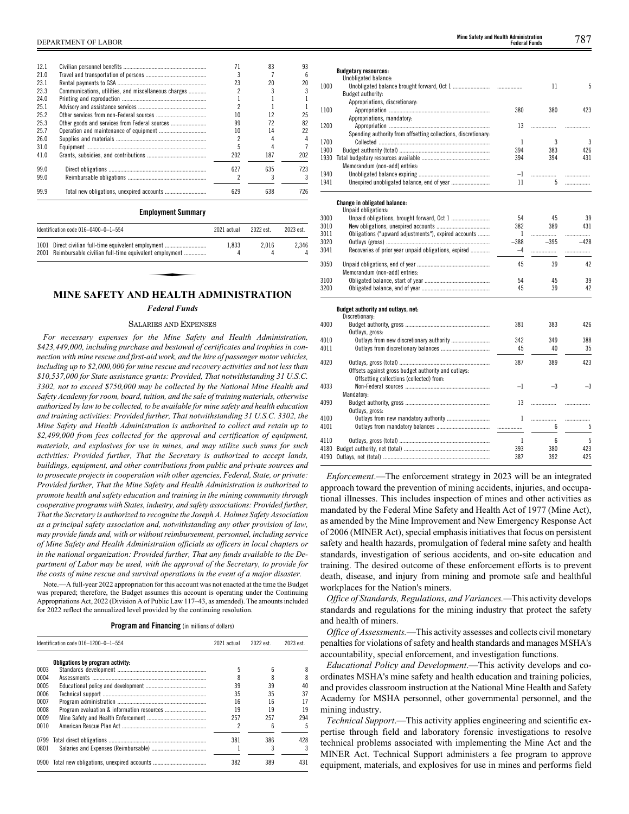| 12.1 |                                                      |     | 83  | 93  |
|------|------------------------------------------------------|-----|-----|-----|
| 210  |                                                      |     |     |     |
| 23.1 |                                                      | 23  | 20  |     |
| 23.3 | Communications, utilities, and miscellaneous charges |     |     |     |
| 24.0 |                                                      |     |     |     |
| 251  |                                                      |     |     |     |
| 252  |                                                      |     |     | 25  |
| 25.3 |                                                      | 99  | 72  | 82  |
| 25.7 |                                                      |     | 14  | 22  |
| 26.0 |                                                      |     |     |     |
| 310  |                                                      |     |     |     |
| 41.0 |                                                      | 202 | 187 | 202 |
| 99.0 |                                                      | 627 | 635 | 723 |
| 99.0 |                                                      |     |     |     |
| 99.9 |                                                      | 629 | 638 | 726 |

# **Employment Summary**

| Identification code 016-0400-0-1-554                       | 2021 actual | 2022 est. | 2023 est. |
|------------------------------------------------------------|-------------|-----------|-----------|
| 1001 Direct civilian full-time equivalent employment       | 1.833       | 2.016     | 2.346     |
| 2001 Reimbursable civilian full-time equivalent employment |             |           |           |

# **MINE SAFETY AND HEALTH ADMINISTRATION**

# *Federal Funds*

# SALARIES AND EXPENSES

*For necessary expenses for the Mine Safety and Health Administration, \$423,449,000, including purchase and bestowal of certificates and trophies in connection with mine rescue and first-aid work, and the hire of passenger motor vehicles, including up to \$2,000,000 for mine rescue and recovery activities and not less than \$10,537,000 for State assistance grants: Provided, That notwithstanding 31 U.S.C. 3302, not to exceed \$750,000 may be collected by the National Mine Health and Safety Academy for room, board, tuition, and the sale of training materials, otherwise authorized by law to be collected, to be available for mine safety and health education and training activities: Provided further, That notwithstanding 31 U.S.C. 3302, the Mine Safety and Health Administration is authorized to collect and retain up to \$2,499,000 from fees collected for the approval and certification of equipment, materials, and explosives for use in mines, and may utilize such sums for such activities: Provided further, That the Secretary is authorized to accept lands, buildings, equipment, and other contributions from public and private sources and to prosecute projects in cooperation with other agencies, Federal, State, or private: Provided further, That the Mine Safety and Health Administration is authorized to promote health and safety education and training in the mining community through cooperative programs with States, industry, and safety associations: Provided further, That the Secretary is authorized to recognize the Joseph A. Holmes Safety Association as a principal safety association and, notwithstanding any other provision of law, may provide funds and, with or without reimbursement, personnel, including service of Mine Safety and Health Administration officials as officers in local chapters or in the national organization: Provided further, That any funds available to the Department of Labor may be used, with the approval of the Secretary, to provide for the costs of mine rescue and survival operations in the event of a major disaster.*

Note.—A full-year 2022 appropriation for this account was not enacted at the time the Budget was prepared; therefore, the Budget assumes this account is operating under the Continuing Appropriations Act, 2022 (Division A of Public Law 117–43, as amended). The amounts included for 2022 reflect the annualized level provided by the continuing resolution.

# **Program and Financing** (in millions of dollars)

|      | Identification code 016-1200-0-1-554 | 2021 actual | 2022 est. | 2023 est. |
|------|--------------------------------------|-------------|-----------|-----------|
|      | Obligations by program activity:     |             |           |           |
| 0003 |                                      | 5           |           |           |
| 0004 |                                      |             |           |           |
| 0005 |                                      | 39          | 39        | 40        |
| 0006 |                                      | 35          | 35        | 37        |
| 0007 |                                      | 16          | 16        |           |
| 0008 |                                      | 19          | 19        | 19        |
| 0009 |                                      | 257         | 257       | 294       |
| 0010 |                                      | c           |           |           |
| 0799 |                                      | 381         | 386       | 428       |
| 0801 |                                      |             |           |           |
| 0900 |                                      | 382         | 389       | 431       |

|      | <b>Budgetary resources:</b>                                                                     |        |        |                |
|------|-------------------------------------------------------------------------------------------------|--------|--------|----------------|
|      | Unobligated balance:                                                                            |        |        |                |
| 1000 |                                                                                                 |        | 11     | 5              |
|      | Budget authority:                                                                               |        |        |                |
|      | Appropriations, discretionary:                                                                  |        |        |                |
| 1100 |                                                                                                 | 380    | 380    | 423            |
|      | Appropriations, mandatory:                                                                      |        |        |                |
| 1200 |                                                                                                 | 13     | .      |                |
|      | Spending authority from offsetting collections, discretionary:                                  |        |        |                |
| 1700 |                                                                                                 | 1      | 3      | $\overline{3}$ |
| 1900 |                                                                                                 | 394    | 383    | 426            |
| 1930 |                                                                                                 | 394    | 394    | 431            |
|      | Memorandum (non-add) entries:                                                                   |        |        |                |
| 1940 |                                                                                                 | $-1$   | .      |                |
| 1941 |                                                                                                 | 11     | 5.     | .              |
|      | Change in obligated balance:                                                                    |        |        |                |
|      | Unpaid obligations:                                                                             |        |        |                |
| 3000 |                                                                                                 | 54     | 45     | 39             |
| 3010 |                                                                                                 | 382    | 389    | 431            |
| 3011 | Obligations ("upward adjustments"), expired accounts                                            | 1      | .      | .              |
| 3020 |                                                                                                 | $-388$ | $-395$ | $-428$         |
| 3041 | Recoveries of prior year unpaid obligations, expired                                            | $-4$   | .      | .              |
| 3050 |                                                                                                 | 45     | 39     | 42             |
|      | Memorandum (non-add) entries:                                                                   |        |        |                |
| 3100 |                                                                                                 | 54     | 45     | 39             |
| 3200 |                                                                                                 | 45     | 39     | 42             |
|      |                                                                                                 |        |        |                |
|      | Budget authority and outlays, net:                                                              |        |        |                |
|      | Discretionary:                                                                                  |        |        |                |
| 4000 |                                                                                                 | 381    | 383    | 426            |
|      | Outlays, gross:                                                                                 |        |        |                |
| 4010 |                                                                                                 | 342    | 349    | 388            |
| 4011 |                                                                                                 | 45     | 40     | 35             |
| 4020 |                                                                                                 | 387    | 389    | 423            |
|      | Offsets against gross budget authority and outlays:<br>Offsetting collections (collected) from: |        |        |                |
| 4033 |                                                                                                 | $-1$   | $-3$   | $-3$           |

4110 Outlays, gross (total) ............................................................. 1 6 5 4180 Budget authority, net (total) .......................................................... 393 380 423 4190 Outlavs, net (total) *Enforcement*.—The enforcement strategy in 2023 will be an integrated approach toward the prevention of mining accidents, injuries, and occupational illnesses. This includes inspection of mines and other activities as mandated by the Federal Mine Safety and Health Act of 1977 (Mine Act), as amended by the Mine Improvement and New Emergency Response Act of 2006 (MINER Act), special emphasis initiatives that focus on persistent safety and health hazards, promulgation of federal mine safety and health standards, investigation of serious accidents, and on-site education and training. The desired outcome of these enforcement efforts is to prevent death, disease, and injury from mining and promote safe and healthful

4101 Outlays from mandatory balances .................................... ................. 6 5

4090 Budget authority, gross ......................................................... 13 ................. .................

4100 Outlays from new mandatory authority ............................. 1 ................. .................

Mandatory:

Outlays, gross:

workplaces for the Nation's miners. *Office of Standards, Regulations, and Variances.—*This activity develops standards and regulations for the mining industry that protect the safety and health of miners.

*Office of Assessments.*—This activity assesses and collects civil monetary penalties for violations of safety and health standards and manages MSHA's accountability, special enforcement, and investigation functions.

*Educational Policy and Development*.—This activity develops and coordinates MSHA's mine safety and health education and training policies, and provides classroom instruction at the National Mine Health and Safety Academy for MSHA personnel, other governmental personnel, and the mining industry.

*Technical Support*.—This activity applies engineering and scientific expertise through field and laboratory forensic investigations to resolve technical problems associated with implementing the Mine Act and the MINER Act. Technical Support administers a fee program to approve equipment, materials, and explosives for use in mines and performs field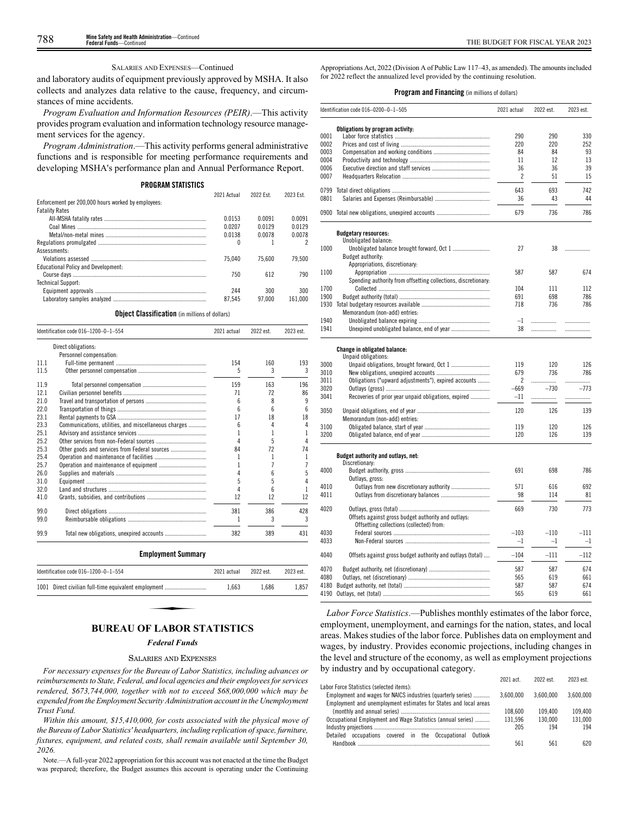# SALARIES AND EXPENSES—Continued

and laboratory audits of equipment previously approved by MSHA. It also collects and analyzes data relative to the cause, frequency, and circumstances of mine accidents.

*Program Evaluation and Information Resources (PEIR)*.—This activity provides program evaluation and information technology resource management services for the agency.

*Program Administration*.—This activity performs general administrative functions and is responsible for meeting performance requirements and developing MSHA's performance plan and Annual Performance Report.

#### **PROGRAM STATISTICS**

|                                                    | 2021 Actual | 2022 Fst | 2023 Fst |
|----------------------------------------------------|-------------|----------|----------|
| Enforcement per 200,000 hours worked by employees: |             |          |          |
| <b>Fatality Rates</b>                              |             |          |          |
|                                                    | 0.0153      | 0.0091   | 0.0091   |
|                                                    | 0.0207      | 0.0129   | 0.0129   |
|                                                    | 0.0138      | 0.0078   | 0.0078   |
|                                                    | 0           |          |          |
| Assessments:                                       |             |          |          |
|                                                    | 75.040      | 75.600   | 79.500   |
| <b>Educational Policy and Development:</b>         |             |          |          |
|                                                    | 750         | 612      | 790      |
| Technical Support:                                 |             |          |          |
|                                                    | 244         | 300      | 300      |
|                                                    | 87.545      | 97.000   | 161.000  |

**Object Classification** (in millions of dollars)

|      | Identification code 016-1200-0-1-554                 | 2021 actual | 2022 est. | 2023 est. |
|------|------------------------------------------------------|-------------|-----------|-----------|
|      | Direct obligations:                                  |             |           |           |
|      | Personnel compensation:                              |             |           |           |
| 11.1 |                                                      | 154         | 160       | 193       |
| 11.5 |                                                      | 5           | 3         | 3         |
| 11.9 |                                                      | 159         | 163       | 196       |
| 12.1 |                                                      | 71          | 72        | 86        |
| 21.0 |                                                      | 6           | 8         | 9         |
| 22.0 |                                                      | 6           | 6         | 6         |
| 23.1 |                                                      | 17          | 18        | 18        |
| 23.3 | Communications, utilities, and miscellaneous charges | 6           | 4         | 4         |
| 25.1 |                                                      | 1           | 1         | 1         |
| 25.2 |                                                      | Δ           | 5         | 4         |
| 25.3 | Other goods and services from Federal sources        | 84          | 72        | 74        |
| 25.4 |                                                      | 1           | 1         | 1         |
| 25.7 |                                                      | 1           | 7         | 7         |
| 26.0 |                                                      | 4           | 6         | 5         |
| 31.0 |                                                      | 5           | 5         | 4         |
| 32.0 |                                                      | 4           | 6         | 1         |
| 41.0 |                                                      | 12          | 12        | 12        |
| 99.0 |                                                      | 381         | 386       | 428       |
| 99.0 |                                                      | 1           | 3         | 3         |
| 99.9 |                                                      | 382         | 389       | 431       |
|      | <b>Employment Summary</b>                            |             |           |           |
|      | Identification code 016-1200-0-1-554                 | 2021 actual | 2022 est. | 2023 est. |
|      | 1001 Direct civilian full-time equivalent employment | 1,663       | 1,686     | 1,857     |

*Federal Funds*

#### SALARIES AND EXPENSES

*For necessary expenses for the Bureau of Labor Statistics, including advances or reimbursements to State, Federal, and local agencies and their employees for services rendered, \$673,744,000, together with not to exceed \$68,000,000 which may be expended from the Employment Security Administration account in the Unemployment Trust Fund.*

*Within this amount, \$15,410,000, for costs associated with the physical move of the Bureau of Labor Statistics' headquarters, including replication of space, furniture, fixtures, equipment, and related costs, shall remain available until September 30, 2026.*

Note.—A full-year 2022 appropriation for this account was not enacted at the time the Budget was prepared; therefore, the Budget assumes this account is operating under the Continuing

Appropriations Act, 2022 (Division A of Public Law 117–43, as amended). The amounts included for 2022 reflect the annualized level provided by the continuing resolution.

# **Program and Financing** (in millions of dollars)

|      | Identification code 016-0200-0-1-505                           | 2021 actual    | 2022 est. | 2023 est. |
|------|----------------------------------------------------------------|----------------|-----------|-----------|
|      |                                                                |                |           |           |
|      | Obligations by program activity:                               |                |           |           |
| 0001 |                                                                | 290<br>220     | 290       | 330       |
| 0002 |                                                                |                | 220       | 252       |
| 0003 |                                                                | 84             | 84        | 93        |
| 0004 |                                                                | 11             | 12        | 13        |
| 0006 |                                                                | 36             | 36        | 39        |
| 0007 |                                                                | $\overline{c}$ | 51        | 15        |
| 0799 |                                                                | 643            | 693       | 742       |
| 0801 |                                                                | 36             | 43        | 44        |
|      | 0900 Total new obligations, unexpired accounts                 | 679            | 736       | 786       |
|      |                                                                |                |           |           |
|      | <b>Budgetary resources:</b><br>Unobligated balance:            |                |           |           |
| 1000 |                                                                | 27             | 38        | .         |
|      | Budget authority:                                              |                |           |           |
|      | Appropriations, discretionary:                                 |                |           |           |
| 1100 |                                                                | 587            | 587       | 674       |
|      | Spending authority from offsetting collections, discretionary: |                |           |           |
| 1700 |                                                                | 104            | 111       | 112       |
| 1900 |                                                                | 691            | 698       | 786       |
|      |                                                                | 718            | 736       | 786       |
|      |                                                                |                |           |           |
| 1940 | Memorandum (non-add) entries:                                  | $-1$           |           |           |
|      |                                                                |                | .         | .         |
| 1941 |                                                                | 38             | .         |           |
|      | <b>Change in obligated balance:</b>                            |                |           |           |
|      | Unpaid obligations:                                            |                |           |           |
| 3000 |                                                                | 119            | 120       | 126       |
| 3010 |                                                                | 679            | 736       | 786       |
| 3011 | Obligations ("upward adjustments"), expired accounts           | 2              | .         | .         |
| 3020 |                                                                | $-669$         | $-730$    | $-773$    |
| 3041 | Recoveries of prior year unpaid obligations, expired           | $-11$          |           | .         |
| 3050 |                                                                | 120            | 126       | 139       |
|      | Memorandum (non-add) entries:                                  |                |           |           |
| 3100 |                                                                |                | 120       | 126       |
|      |                                                                | 119<br>120     | 126       | 139       |
| 3200 |                                                                |                |           |           |
|      | Budget authority and outlays, net:<br>Discretionary:           |                |           |           |
| 4000 |                                                                | 691            | 698       | 786       |
|      | Outlays, gross:                                                |                |           |           |
| 4010 |                                                                | 571            | 616       | 692       |
| 4011 |                                                                | 98             | 114       | 81        |
| 4020 |                                                                | 669            | 730       | 773       |
|      |                                                                |                |           |           |
|      | Offsets against gross budget authority and outlays:            |                |           |           |
| 4030 | Offsetting collections (collected) from:                       | $-103$         | $-110$    |           |
|      |                                                                |                |           | $-111$    |
| 4033 |                                                                | $-1$           | $-1$      | $-1$      |
| 4040 | Offsets against gross budget authority and outlays (total)     | $-104$         | -111      | $-112$    |
| 4070 |                                                                | 587            | 587       | 674       |
| 4080 |                                                                | 565            | 619       | 661       |
|      |                                                                | 587            | 587       | 674       |
|      |                                                                | 565            | 619       | 661       |
|      |                                                                |                |           |           |

*Labor Force Statistics*.—Publishes monthly estimates of the labor force, employment, unemployment, and earnings for the nation, states, and local areas. Makes studies of the labor force. Publishes data on employment and wages, by industry. Provides economic projections, including changes in the level and structure of the economy, as well as employment projections by industry and by occupational category.

|                                                                  | 2021 act. | 2022 est  | 2023 est. |
|------------------------------------------------------------------|-----------|-----------|-----------|
| Labor Force Statistics (selected items):                         |           |           |           |
| Employment and wages for NAICS industries (quarterly series)     | 3.600.000 | 3.600.000 | 3.600.000 |
| Employment and unemployment estimates for States and local areas |           |           |           |
|                                                                  | 108.600   | 109.400   | 109.400   |
| Occupational Employment and Wage Statistics (annual series)      | 131.596   | 130.000   | 131.000   |
|                                                                  | 205       | 194       | 194       |
| occupations covered in the Occupational<br>Detailed<br>Outlook   |           |           |           |
| Handbook                                                         | 561       | 561       | 620       |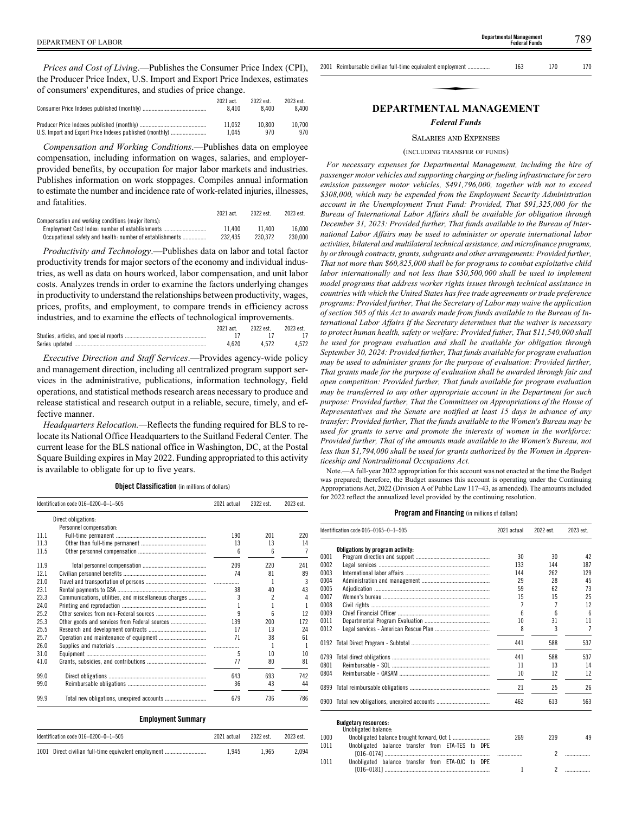*Prices and Cost of Living*.—Publishes the Consumer Price Index (CPI), the Producer Price Index, U.S. Import and Export Price Indexes, estimates of consumers' expenditures, and studies of price change.

|                                                          | 2021 act.<br>8.410 | 2022 est.<br>8400 | 2023 est.<br>8.400 |
|----------------------------------------------------------|--------------------|-------------------|--------------------|
|                                                          | 11.052             | 10.800            | 10.700             |
| U.S. Import and Export Price Indexes published (monthly) | 1.045              | 970               | 970                |

*Compensation and Working Conditions*.—Publishes data on employee compensation, including information on wages, salaries, and employerprovided benefits, by occupation for major labor markets and industries. Publishes information on work stoppages. Compiles annual information to estimate the number and incidence rate of work-related injuries, illnesses, and fatalities.

|                                                          | 2021 act. | 2022 est. | 2023 est. |
|----------------------------------------------------------|-----------|-----------|-----------|
| Compensation and working conditions (maior items):       |           |           |           |
| Employment Cost Index: number of establishments          | 11.400    | 11.400    | 16.000    |
| Occupational safety and health: number of establishments | 232.435   | 230.372   | 230,000   |

*Productivity and Technology*.—Publishes data on labor and total factor productivity trends for major sectors of the economy and individual industries, as well as data on hours worked, labor compensation, and unit labor costs. Analyzes trends in order to examine the factors underlying changes in productivity to understand the relationships between productivity, wages, prices, profits, and employment, to compare trends in efficiency across industries, and to examine the effects of technological improvements.

| $2021$ act. | 2022 est. 2023 est. |       |
|-------------|---------------------|-------|
|             |                     |       |
| 4.620       | 4.572               | 4.572 |

*Executive Direction and Staff Services*.—Provides agency-wide policy and management direction, including all centralized program support services in the administrative, publications, information technology, field operations, and statistical methods research areas necessary to produce and release statistical and research output in a reliable, secure, timely, and effective manner.

*Headquarters Relocation.—*Reflects the funding required for BLS to relocate its National Office Headquarters to the Suitland Federal Center. The current lease for the BLS national office in Washington, DC, at the Postal Square Building expires in May 2022. Funding appropriated to this activity is available to obligate for up to five years.

**Object Classification** (in millions of dollars)

|      | Identification code 016-0200-0-1-505                 | 2021 actual | 2022 est. | 2023 est. |
|------|------------------------------------------------------|-------------|-----------|-----------|
|      | Direct obligations:                                  |             |           |           |
|      | Personnel compensation:                              |             |           |           |
| 111  |                                                      | 190         | 201       | 220       |
| 11.3 |                                                      | 13          | 13        | 14        |
| 11.5 |                                                      | 6           | 6         |           |
| 11.9 |                                                      | 209         | 220       | 241       |
| 12.1 |                                                      | 74          | 81        | 89        |
| 21.0 |                                                      |             | 1         | 3         |
| 23.1 |                                                      | 38          | 40        | 43        |
| 23.3 | Communications, utilities, and miscellaneous charges | 3           | 2         | 4         |
| 24.0 |                                                      |             |           |           |
| 25.2 |                                                      | q           | ĥ         | 12        |
| 25.3 | Other goods and services from Federal sources        | 139         | 200       | 172       |
| 25.5 |                                                      | 17          | 13        | 24        |
| 25.7 |                                                      | 71          | 38        | 61        |
| 26.0 |                                                      | .           | 1         |           |
| 31.0 |                                                      | 5           | 10        | 10        |
| 41.0 |                                                      | 77          | 80        | 81        |
| 99.0 |                                                      | 643         | 693       | 742       |
| 99.0 |                                                      | 36          | 43        | 44        |
| 99.9 |                                                      | 679         | 736       | 786       |

# **Employment Summary**

| Identification code $016-0200-0-1-505$               | 2021 actual | 2022 est. | 2023 est. |
|------------------------------------------------------|-------------|-----------|-----------|
| 1001 Direct civilian full-time equivalent employment | 1.945       | 1.965     | 2.094     |

| 2001 Reimbursable civilian full-time equivalent employment | 163 | 170 | 170 |  |
|------------------------------------------------------------|-----|-----|-----|--|
|                                                            |     |     |     |  |
| DEPAPTMENTAL MANACEMENT                                    |     |     |     |  |

**Federal Funds**

# **DEPARTMENTAL MANAGEMENT**

# *Federal Funds*

# SALARIES AND EXPENSES

# (INCLUDING TRANSFER OF FUNDS)

*For necessary expenses for Departmental Management, including the hire of passenger motor vehicles and supporting charging or fueling infrastructure for zero emission passenger motor vehicles, \$491,796,000, together with not to exceed \$308,000, which may be expended from the Employment Security Administration account in the Unemployment Trust Fund: Provided, That \$91,325,000 for the Bureau of International Labor Affairs shall be available for obligation through December 31, 2023: Provided further, That funds available to the Bureau of International Labor Affairs may be used to administer or operate international labor activities, bilateral and multilateral technical assistance, and microfinance programs, by or through contracts, grants, subgrants and other arrangements: Provided further, That not more than \$60,825,000 shall be for programs to combat exploitative child labor internationally and not less than \$30,500,000 shall be used to implement model programs that address worker rights issues through technical assistance in countries with which the United States has free trade agreements or trade preference programs: Provided further, That the Secretary of Labor may waive the application of section 505 of this Act to awards made from funds available to the Bureau of International Labor Affairs if the Secretary determines that the waiver is necessary to protect human health, safety or welfare: Provided futher, That \$11,540,000 shall be used for program evaluation and shall be available for obligation through September 30, 2024: Provided further, That funds available for program evaluation may be used to administer grants for the purpose of evaluation: Provided further, That grants made for the purpose of evaluation shall be awarded through fair and open competition: Provided further, That funds available for program evaluation may be transferred to any other appropriate account in the Department for such purpose: Provided further, That the Committees on Appropriations of the House of Representatives and the Senate are notified at least 15 days in advance of any transfer: Provided further, That the funds available to the Women's Bureau may be used for grants to serve and promote the interests of women in the workforce: Provided further, That of the amounts made available to the Women's Bureau, not less than \$1,794,000 shall be used for grants authorized by the Women in Apprenticeship and Nontraditional Occupations Act.*

Note.—A full-year 2022 appropriation for this account was not enacted at the time the Budget was prepared; therefore, the Budget assumes this account is operating under the Continuing Appropriations Act, 2022 (Division A of Public Law 117–43, as amended). The amounts included for 2022 reflect the annualized level provided by the continuing resolution.

# **Program and Financing** (in millions of dollars)

|      | Identification code 016-0165-0-1-505                | 2021 actual | 2022 est. | 2023 est.      |
|------|-----------------------------------------------------|-------------|-----------|----------------|
|      | Obligations by program activity:                    |             |           |                |
| 0001 |                                                     | 30          | 30        | 42             |
| 0002 |                                                     | 133         | 144       | 187            |
| 0003 |                                                     | 144         | 262       | 129            |
| 0004 |                                                     | 29          | 28        | 45             |
| 0005 |                                                     | 59          | 62        | 73             |
| 0007 |                                                     | 15          | 15        | 25             |
| 0008 |                                                     |             |           | 12             |
| 0009 |                                                     | հ           | ĥ         | ĥ              |
| 0011 |                                                     | 10          | 31        | 11             |
| 0012 |                                                     | 8           | 3         | $\overline{7}$ |
| 0192 |                                                     | 441         | 588       | 537            |
| 0799 |                                                     | 441         | 588       | 537            |
| 0801 |                                                     | 11          | 13        | 14             |
| 0804 |                                                     | 10          | 12        | 12             |
|      |                                                     | 21          | 25        | 26             |
|      | 0900 Total new obligations, unexpired accounts      | 462         | 613       | 563            |
|      | <b>Budgetary resources:</b><br>Unobligated balance: |             |           |                |
| 1000 | <b>Unobligated halance brought forward Oct 1</b>    | 260         | 230       | $\Lambda$ Q    |

#### 1000 Unobligated balance brought forward, Oct 1 ......................... 269 239 49 ................. 2 ................. Unobligated balance transfer from ETA-TES to DPE  $[016–0174]$ 1011 1 2 ................. Unobligated balance transfer from ETA-OJC to DPE  $[016 - 0181]$ 1011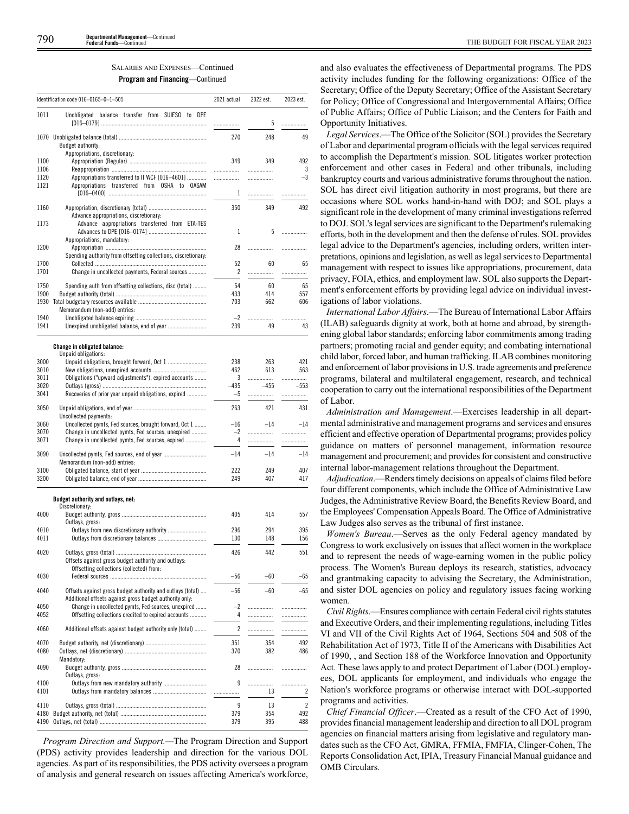# SALARIES AND EXPENSES—Continued **Program and Financing**—Continued

|              | Identification code 016-0165-0-1-505                                                                                  | 2021 actual    | 2022 est.   | 2023 est.   |
|--------------|-----------------------------------------------------------------------------------------------------------------------|----------------|-------------|-------------|
| 1011         | Unobligated balance transfer from SUIESO to DPE                                                                       | .              | 5           | .           |
|              | Budget authority:                                                                                                     | 270            | 248         | 49          |
| 1100         | Appropriations, discretionary:                                                                                        | 349            | 349         | 492         |
| 1106<br>1120 | Appropriations transferred to IT WCF [016-4601]                                                                       | .<br>          | .<br>.      | 3<br>$-3$   |
| 1121         | Appropriations transferred from OSHA to OASAM                                                                         | 1              | .           |             |
| 1160         |                                                                                                                       | 350            | 349         | 492         |
| 1173         | Advance appropriations, discretionary:<br>Advance appropriations transferred from ETA-TES                             |                |             |             |
|              | Appropriations, mandatory:                                                                                            | 1              | 5           | .           |
| 1200         |                                                                                                                       | 28             | .           | .           |
| 1700         | Spending authority from offsetting collections, discretionary:                                                        | 52             | 60          | 65          |
| 1701         | Change in uncollected payments, Federal sources                                                                       | 2              | .           | .           |
| 1750<br>1900 | Spending auth from offsetting collections, disc (total)                                                               | 54<br>433      | 60<br>414   | 65<br>557   |
| 1930         |                                                                                                                       | 703            | 662         | 606         |
|              | Memorandum (non-add) entries:                                                                                         |                |             |             |
| 1940<br>1941 |                                                                                                                       | $-2$<br>239    | <br>49      | .<br>43     |
|              |                                                                                                                       |                |             |             |
|              | <b>Change in obligated balance:</b><br>Unpaid obligations:                                                            |                |             |             |
| 3000         |                                                                                                                       | 238            | 263         | 421         |
| 3010         |                                                                                                                       | 462            | 613         | 563         |
| 3011<br>3020 | Obligations ("upward adjustments"), expired accounts                                                                  | 3              | .<br>$-455$ |             |
| 3041         | Recoveries of prior year unpaid obligations, expired                                                                  | $-435$<br>$-5$ | .           | $-553$<br>. |
| 3050         |                                                                                                                       | 263            | 421         | 431         |
| 3060         | Uncollected payments:<br>Uncollected pymts, Fed sources, brought forward, Oct 1                                       | $-16$          | $-14$       | $-14$       |
| 3070         | Change in uncollected pymts, Fed sources, unexpired                                                                   | $-2$           | .           | .           |
| 3071         | Change in uncollected pymts, Fed sources, expired                                                                     | 4              | .           |             |
| 3090         | Memorandum (non-add) entries:                                                                                         | $-14$          | -14         | $-14$       |
| 3100         |                                                                                                                       | 222            | 249         | 407         |
| 3200         |                                                                                                                       | 249            | 407         | 417         |
|              | Budget authority and outlays, net:                                                                                    |                |             |             |
| 4000         | Discretionary:                                                                                                        | 405            | 414         | 557         |
|              | Outlays, gross:                                                                                                       |                |             |             |
| 4010         |                                                                                                                       | 296            | 294         | 395         |
| 4011         |                                                                                                                       | 130            | 148         | 156         |
| 4020         | Offsets against gross budget authority and outlays:                                                                   | 426            | 442         | 551         |
|              | Offsetting collections (collected) from:                                                                              |                |             |             |
| 4030         |                                                                                                                       | $-56$          | -60         | -65         |
| 4040         | Offsets against gross budget authority and outlays (total)<br>Additional offsets against gross budget authority only: | $-56$          | $-60$       | $-65$       |
| 4050         | Change in uncollected pymts, Fed sources, unexpired                                                                   | $-2$           |             | .           |
| 4052         | Offsetting collections credited to expired accounts                                                                   | 4              |             | .           |
| 4060         | Additional offsets against budget authority only (total)                                                              | 2              | .           | .           |
| 4070<br>4080 |                                                                                                                       | 351<br>370     | 354<br>382  | 492<br>486  |
|              | Mandatory:                                                                                                            |                |             |             |
| 4090         | Outlays, gross:                                                                                                       | 28             | .           |             |
| 4100         | Outlays from new mandatory authority                                                                                  | 9              |             | .           |
| 4101         |                                                                                                                       |                | 13          | 2           |
| 4110         |                                                                                                                       | 9              | 13          | 2           |
| 4180         |                                                                                                                       | 379            | 354<br>395  | 492         |
| 4190         |                                                                                                                       | 379            |             | 488         |

*Program Direction and Support.—*The Program Direction and Support (PDS) activity provides leadership and direction for the various DOL agencies. As part of its responsibilities, the PDS activity oversees a program of analysis and general research on issues affecting America's workforce,

and also evaluates the effectiveness of Departmental programs. The PDS activity includes funding for the following organizations: Office of the Secretary; Office of the Deputy Secretary; Office of the Assistant Secretary for Policy; Office of Congressional and Intergovernmental Affairs; Office of Public Affairs; Office of Public Liaison; and the Centers for Faith and Opportunity Initiatives.

*Legal Services*.—The Office of the Solicitor (SOL) provides the Secretary of Labor and departmental program officials with the legal services required to accomplish the Department's mission. SOL litigates worker protection enforcement and other cases in Federal and other tribunals, including bankruptcy courts and various administrative forums throughout the nation. SOL has direct civil litigation authority in most programs, but there are occasions where SOL works hand-in-hand with DOJ; and SOL plays a significant role in the development of many criminal investigations referred to DOJ. SOL's legal services are significant to the Department's rulemaking efforts, both in the development and then the defense of rules. SOL provides legal advice to the Department's agencies, including orders, written interpretations, opinions and legislation, as well as legal services to Departmental management with respect to issues like appropriations, procurement, data privacy, FOIA, ethics, and employment law. SOL also supports the Department's enforcement efforts by providing legal advice on individual investigations of labor violations.

*International Labor Affairs*.—The Bureau of International Labor Affairs (ILAB) safeguards dignity at work, both at home and abroad, by strengthening global labor standards; enforcing labor commitments among trading partners; promoting racial and gender equity; and combating international child labor, forced labor, and human trafficking. ILAB combines monitoring and enforcement of labor provisions in U.S. trade agreements and preference programs, bilateral and multilateral engagement, research, and technical cooperation to carry out the international responsibilities of the Department of Labor.

*Administration and Management*.—Exercises leadership in all departmental administrative and management programs and services and ensures efficient and effective operation of Departmental programs; provides policy guidance on matters of personnel management, information resource management and procurement; and provides for consistent and constructive internal labor-management relations throughout the Department.

*Adjudication*.—Renders timely decisions on appeals of claims filed before four different components, which include the Office of Administrative Law Judges, the Administrative Review Board, the Benefits Review Board, and the Employees' Compensation Appeals Board. The Office of Administrative Law Judges also serves as the tribunal of first instance.

*Women's Bureau*.—Serves as the only Federal agency mandated by Congress to work exclusively on issues that affect women in the workplace and to represent the needs of wage-earning women in the public policy process. The Women's Bureau deploys its research, statistics, advocacy and grantmaking capacity to advising the Secretary, the Administration, and sister DOL agencies on policy and regulatory issues facing working women.

*Civil Rights*.—Ensures compliance with certain Federal civil rights statutes and Executive Orders, and their implementing regulations, including Titles VI and VII of the Civil Rights Act of 1964, Sections 504 and 508 of the Rehabilitation Act of 1973, Title II of the Americans with Disabilities Act of 1990, , and Section 188 of the Workforce Innovation and Opportunity Act. These laws apply to and protect Department of Labor (DOL) employees, DOL applicants for employment, and individuals who engage the Nation's workforce programs or otherwise interact with DOL-supported programs and activities.

*Chief Financial Officer*.—Created as a result of the CFO Act of 1990, provides financial management leadership and direction to all DOL program agencies on financial matters arising from legislative and regulatory mandates such as the CFO Act, GMRA, FFMIA, FMFIA, Clinger-Cohen, The Reports Consolidation Act, IPIA, Treasury Financial Manual guidance and OMB Circulars.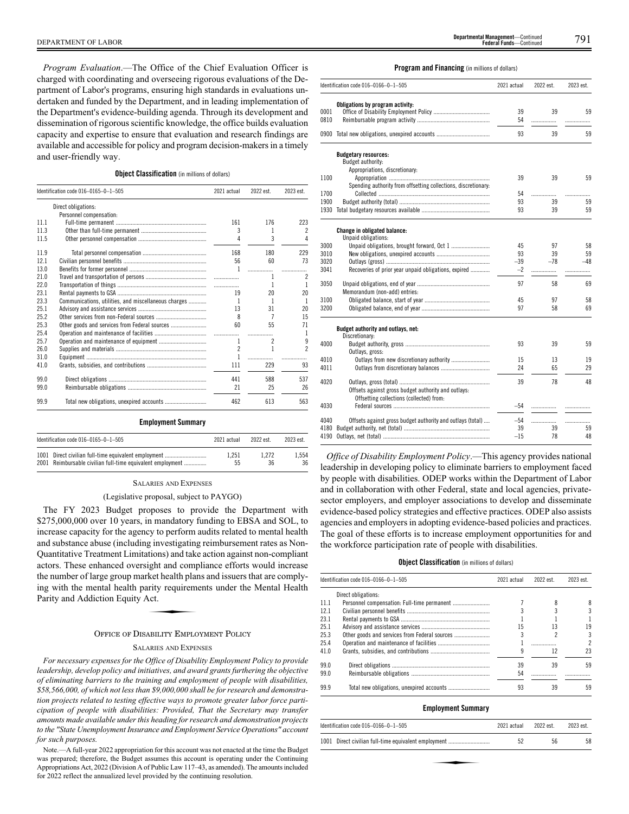*Program Evaluation*.—The Office of the Chief Evaluation Officer is charged with coordinating and overseeing rigorous evaluations of the Department of Labor's programs, ensuring high standards in evaluations undertaken and funded by the Department, and in leading implementation of the Department's evidence-building agenda. Through its development and dissemination of rigorous scientific knowledge, the office builds evaluation capacity and expertise to ensure that evaluation and research findings are available and accessible for policy and program decision-makers in a timely and user-friendly way.

# **Object Classification** (in millions of dollars)

|      | Identification code 016-0165-0-1-505                 | 2021 actual    | 2022 est. | 2023 est. |
|------|------------------------------------------------------|----------------|-----------|-----------|
|      | Direct obligations:                                  |                |           |           |
|      | Personnel compensation:                              |                |           |           |
| 11.1 |                                                      | 161            | 176       | 223       |
| 11.3 |                                                      | 3              | 1         | 2         |
| 11.5 |                                                      | 4              | 3         | 4         |
| 11.9 |                                                      | 168            | 180       | 229       |
| 12.1 |                                                      | 56             | 60        | 73        |
| 13.0 |                                                      | 1              | .         |           |
| 21.0 |                                                      |                | 1         | 2         |
| 22.0 |                                                      |                | 1         | 1         |
| 23.1 |                                                      | 19             | 20        | 20        |
| 23.3 | Communications, utilities, and miscellaneous charges | 1              | 1         | 1         |
| 25.1 |                                                      | 13             | 31        | 20        |
| 25.2 |                                                      | 8              | 7         | 15        |
| 25.3 | Other goods and services from Federal sources        | 60             | 55        | 71        |
| 25.4 |                                                      | .              | .         |           |
| 25.7 |                                                      | 1              | 2         | 9         |
| 26.0 |                                                      | $\overline{2}$ | 1         | 2         |
| 31.0 |                                                      | 1              | .         | .         |
| 41.0 |                                                      | 111            | 229       | 93        |
| 99.0 |                                                      | 441            | 588       | 537       |
| 99.0 |                                                      | 21             | 25        | 26        |
| 99.9 |                                                      | 462            | 613       | 563       |

#### **Employment Summary**

| Identification code 016-0165-0-1-505                       | 2021 actual | 2022 est. | 2023 est. |
|------------------------------------------------------------|-------------|-----------|-----------|
| 1001 Direct civilian full-time equivalent employment       | 1.251       | 1.272     | 1.554     |
| 2001 Reimbursable civilian full-time equivalent employment | 55          | 36        | 36        |

#### SALARIES AND EXPENSES

# (Legislative proposal, subject to PAYGO)

The FY 2023 Budget proposes to provide the Department with \$275,000,000 over 10 years, in mandatory funding to EBSA and SOL, to increase capacity for the agency to perform audits related to mental health and substance abuse (including investigating reimbursement rates as Non-Quantitative Treatment Limitations) and take action against non-compliant actors. These enhanced oversight and compliance efforts would increase the number of large group market health plans and issuers that are comply-<br>ting with the mental health parity requirements under the Mental Health<br>Parity and Addiction Equity Act. ing with the mental health parity requirements under the Mental Health Parity and Addiction Equity Act.

# OFFICE OF DISABILITY EMPLOYMENT POLICY

#### SALARIES AND EXPENSES

*For necessary expenses for the Office of Disability Employment Policy to provide leadership, develop policy and initiatives, and award grants furthering the objective of eliminating barriers to the training and employment of people with disabilities, \$58,566,000, of which not less than \$9,000,000 shall be for research and demonstration projects related to testing effective ways to promote greater labor force participation of people with disabilities: Provided, That the Secretary may transfer amounts made available under this heading for research and demonstration projects to the "State Unemployment Insurance and Employment Service Operations" account for such purposes.*

Note.—A full-year 2022 appropriation for this account was not enacted at the time the Budget was prepared; therefore, the Budget assumes this account is operating under the Continuing Appropriations Act, 2022 (Division A of Public Law 117–43, as amended). The amounts included for 2022 reflect the annualized level provided by the continuing resolution.

#### **Program and Financing** (in millions of dollars)

|              | Identification code 016-0166-0-1-505                                                            | 2021 actual | 2022 est. | 2023 est. |
|--------------|-------------------------------------------------------------------------------------------------|-------------|-----------|-----------|
| 0001<br>0810 | Obligations by program activity:                                                                | 39<br>54    | 39<br>.   | 59        |
|              | 0900 Total new obligations, unexpired accounts                                                  | 93          | 39        | 59        |
|              | <b>Budgetary resources:</b>                                                                     |             |           |           |
|              | Budget authority:                                                                               |             |           |           |
|              | Appropriations, discretionary:                                                                  |             |           |           |
| 1100         |                                                                                                 | 39          | 39        | 59        |
|              | Spending authority from offsetting collections, discretionary:                                  |             |           |           |
| 1700         |                                                                                                 | 54          | .         | .         |
| 1900         |                                                                                                 | 93          | 39        | 59        |
|              |                                                                                                 | 93          | 39        | 59        |
|              | Change in obligated balance:<br>Unpaid obligations:                                             |             |           |           |
| 3000         |                                                                                                 | 45          | 97        | 58        |
| 3010         |                                                                                                 | 93          | 39        | 59        |
| 3020         |                                                                                                 | $-39$       | $-78$     | $-48$     |
| 3041         | Recoveries of prior year unpaid obligations, expired                                            | $-2$        | .         | .         |
| 3050         |                                                                                                 | 97          | 58        | 69        |
|              | Memorandum (non-add) entries:                                                                   |             |           |           |
| 3100         |                                                                                                 | 45          | 97        | 58        |
| 3200         |                                                                                                 | 97          | 58        | 69        |
|              | Budget authority and outlays, net:                                                              |             |           |           |
|              | Discretionary:                                                                                  | 93          |           |           |
| 4000         | Outlays, gross:                                                                                 |             | 39        | 59        |
| 4010         |                                                                                                 | 15          | 13        | 19        |
| 4011         |                                                                                                 | 24          | 65        | 29        |
|              |                                                                                                 |             |           |           |
| 4020         |                                                                                                 | 39          | 78        | 48        |
|              | Offsets against gross budget authority and outlays:<br>Offsetting collections (collected) from: |             |           |           |
| 4030         |                                                                                                 | $-54$       | .         | .         |
| 4040         | Offsets against gross budget authority and outlays (total)                                      | $-54$       |           |           |
| 4180         |                                                                                                 | 39          | 39        | 59        |
| 4190         |                                                                                                 | $-15$       | 78        | 48        |
|              |                                                                                                 |             |           |           |

*Office of Disability Employment Policy*.—This agency provides national leadership in developing policy to eliminate barriers to employment faced by people with disabilities. ODEP works within the Department of Labor and in collaboration with other Federal, state and local agencies, privatesector employers, and employer associations to develop and disseminate evidence-based policy strategies and effective practices. ODEP also assists agencies and employers in adopting evidence-based policies and practices. The goal of these efforts is to increase employment opportunities for and the workforce participation rate of people with disabilities.

# **Object Classification** (in millions of dollars)

|      | Identification code 016-0166-0-1-505 | 2021 actual | 2022 est. | 2023 est. |
|------|--------------------------------------|-------------|-----------|-----------|
|      | Direct obligations:                  |             |           |           |
| 11.1 |                                      |             |           | 8         |
| 121  |                                      |             |           |           |
| 23.1 |                                      |             |           |           |
| 25.1 |                                      | 15          | 13        | 19        |
| 25.3 |                                      |             |           | 3         |
| 25.4 |                                      |             |           |           |
| 41.0 |                                      |             | 12        | 23        |
| 99.0 |                                      | 39          | 39        | 59        |
| 99.0 |                                      | 54          |           |           |
| 99.9 |                                      | 93          | 39        | 59        |

# **Employment Summary**

| Identification code 016-0166-0-1-505                 | 2021 actual | 2022 est. | 2023 est. |
|------------------------------------------------------|-------------|-----------|-----------|
| 1001 Direct civilian full-time equivalent employment | 52          | 56        | 58        |
|                                                      |             |           |           |
|                                                      |             |           |           |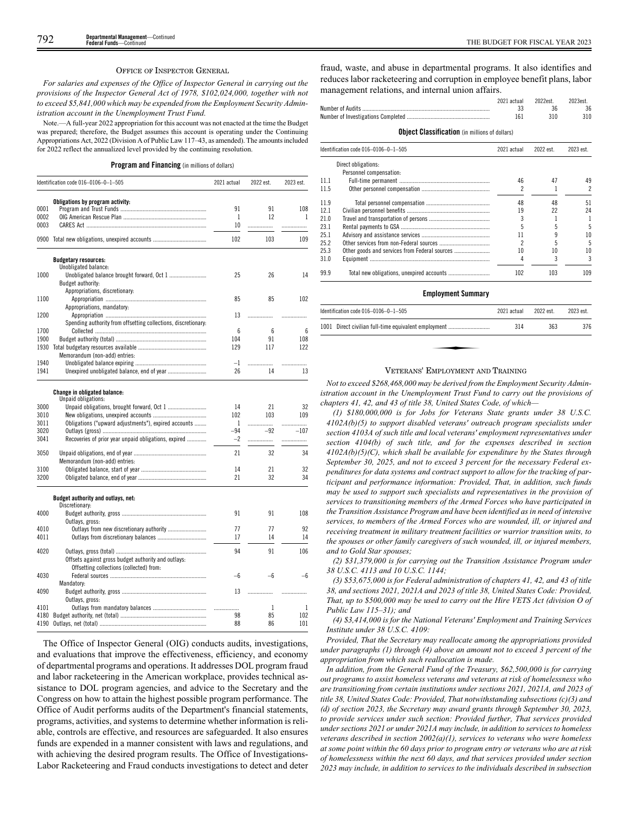#### OFFICE OF INSPECTOR GENERAL

*For salaries and expenses of the Office of Inspector General in carrying out the provisions of the Inspector General Act of 1978, \$102,024,000, together with not to exceed \$5,841,000 which may be expended from the Employment Security Administration account in the Unemployment Trust Fund.*

Note.—A full-year 2022 appropriation for this account was not enacted at the time the Budget was prepared; therefore, the Budget assumes this account is operating under the Continuing Appropriations Act, 2022 (Division A of Public Law 117–43, as amended). The amounts included for 2022 reflect the annualized level provided by the continuing resolution.

**Program and Financing** (in millions of dollars)

|      | Identification code 016-0106-0-1-505                           | 2021 actual | 2022 est. | 2023 est. |
|------|----------------------------------------------------------------|-------------|-----------|-----------|
|      | Obligations by program activity:                               |             |           |           |
| 0001 |                                                                | 91          | 91        | 108       |
| 0002 |                                                                | 1           | 12        | 1         |
| 0003 |                                                                | 10          | .         | .         |
| 0900 |                                                                | 102         | 103       | 109       |
|      | <b>Budgetary resources:</b>                                    |             |           |           |
|      | Unobligated balance:                                           |             |           |           |
| 1000 | Unobligated balance brought forward, Oct 1                     | 25          | 26        | 14        |
|      | Budget authority:                                              |             |           |           |
|      | Appropriations, discretionary:                                 |             |           |           |
| 1100 |                                                                | 85          | 85        | 102       |
|      | Appropriations, mandatory:                                     |             |           |           |
| 1200 |                                                                | 13          |           | .         |
|      | Spending authority from offsetting collections, discretionary. |             |           |           |
| 1700 |                                                                | 6           | 6         | 6         |
| 1900 |                                                                | 104         | 91        | 108       |
| 1930 |                                                                | 129         | 117       | 122       |
|      | Memorandum (non-add) entries:                                  |             |           |           |
| 1940 |                                                                | $-1$        |           |           |
|      |                                                                |             |           | .         |
| 1941 |                                                                | 26          | 14        | 13        |
|      | Change in obligated balance:                                   |             |           |           |
|      | Unpaid obligations:                                            |             |           |           |
| 3000 | Unpaid obligations, brought forward, Oct 1                     | 14          | 21        | 32        |
| 3010 |                                                                | 102         | 103       | 109       |
| 3011 | Obligations ("upward adjustments"), expired accounts           | 1           | .         | .         |
| 3020 |                                                                | $-94$       | $-92$     | $-107$    |
| 3041 | Recoveries of prior year unpaid obligations, expired           | $-2$        | .         | .         |
|      |                                                                |             |           |           |
| 3050 |                                                                | 21          | 32        | 34        |
|      | Memorandum (non-add) entries:                                  |             |           |           |
| 3100 |                                                                | 14          | 21        | 32        |
| 3200 |                                                                | 21          | 32        | 34        |
|      | Budget authority and outlays, net:                             |             |           |           |
|      | Discretionary:                                                 |             |           |           |
| 4000 |                                                                | 91          | 91        | 108       |
|      | Outlays, gross:                                                |             |           |           |
| 4010 |                                                                | 77          | 77        | 92        |
| 4011 |                                                                | 17          | 14        | 14        |
|      |                                                                |             |           |           |
| 4020 |                                                                | 94          | 91        | 106       |
|      | Offsets against gross budget authority and outlays:            |             |           |           |
|      | Offsetting collections (collected) from:                       |             |           |           |
| 4030 |                                                                | $-6$        | -6        | -6        |
|      | Mandatory:                                                     |             |           |           |
| 4090 |                                                                | 13          |           |           |
|      |                                                                |             | .         |           |
|      | Outlays, gross:                                                |             |           |           |
| 4101 |                                                                |             | 1         | 1         |
| 4180 |                                                                | 98          | 85        | 102       |
| 4190 |                                                                | 88          | 86        | 101       |

The Office of Inspector General (OIG) conducts audits, investigations, and evaluations that improve the effectiveness, efficiency, and economy of departmental programs and operations. It addresses DOL program fraud and labor racketeering in the American workplace, provides technical assistance to DOL program agencies, and advice to the Secretary and the Congress on how to attain the highest possible program performance. The Office of Audit performs audits of the Department's financial statements, programs, activities, and systems to determine whether information is reliable, controls are effective, and resources are safeguarded. It also ensures funds are expended in a manner consistent with laws and regulations, and with achieving the desired program results. The Office of Investigations-Labor Racketeering and Fraud conducts investigations to detect and deter

fraud, waste, and abuse in departmental programs. It also identifies and reduces labor racketeering and corruption in employee benefit plans, labor management relations, and internal union affairs.

|      |                                                       | 2021 actual<br>33<br>161 | 2022est.<br>36<br>310 | 2023est.<br>36<br>310    |
|------|-------------------------------------------------------|--------------------------|-----------------------|--------------------------|
|      | <b>Object Classification</b> (in millions of dollars) |                          |                       |                          |
|      | Identification code 016-0106-0-1-505                  | 2021 actual              | 2022 est.             | 2023 est.                |
|      | Direct obligations:                                   |                          |                       |                          |
|      | Personnel compensation:                               |                          |                       |                          |
| 11.1 |                                                       | 46                       | 47                    | 49                       |
| 11.5 |                                                       |                          |                       | $\overline{\mathcal{C}}$ |
| 11.9 |                                                       | 48                       | 48                    | 51                       |
| 12.1 |                                                       | 19                       | 22                    | 24                       |
| 21.0 |                                                       | 3                        |                       | 1                        |
| 23.1 |                                                       |                          | 5                     | 5                        |
| 25.1 |                                                       | 11                       | 9                     | 10                       |
| 25.2 |                                                       | 2                        |                       | 5                        |
| 25.3 |                                                       | 10                       | 10                    | 10                       |
| 31.0 |                                                       | 4                        | 3                     | 3                        |
| 99.9 |                                                       | 102                      | 103                   | 109                      |

#### **Employment Summary**

| Identification code 016-0106-0-1-505                 | 2021 actual | 2022 est. | 2023 est. |
|------------------------------------------------------|-------------|-----------|-----------|
| 1001 Direct civilian full-time equivalent employment | 314         | 363       | 376       |
|                                                      |             |           |           |
|                                                      |             |           |           |

#### VETERANS' EMPLOYMENT AND TRAINING

*Not to exceed \$268,468,000 may be derived from the Employment Security Administration account in the Unemployment Trust Fund to carry out the provisions of chapters 41, 42, and 43 of title 38, United States Code, of which—*

*(1) \$180,000,000 is for Jobs for Veterans State grants under 38 U.S.C. 4102A(b)(5) to support disabled veterans' outreach program specialists under section 4103A of such title and local veterans' employment representatives under section 4104(b) of such title, and for the expenses described in section 4102A(b)(5)(C), which shall be available for expenditure by the States through September 30, 2025, and not to exceed 3 percent for the necessary Federal expenditures for data systems and contract support to allow for the tracking of participant and performance information: Provided, That, in addition, such funds may be used to support such specialists and representatives in the provision of services to transitioning members of the Armed Forces who have participated in the Transition Assistance Program and have been identified as in need of intensive services, to members of the Armed Forces who are wounded, ill, or injured and receiving treatment in military treatment facilities or warrior transition units, to the spouses or other family caregivers of such wounded, ill, or injured members, and to Gold Star spouses;*

*(2) \$31,379,000 is for carrying out the Transition Assistance Program under 38 U.S.C. 4113 and 10 U.S.C. 1144;*

*(3) \$53,675,000 is for Federal administration of chapters 41, 42, and 43 of title 38, and sections 2021, 2021A and 2023 of title 38, United States Code: Provided, That, up to \$500,000 may be used to carry out the Hire VETS Act (division O of Public Law 115–31); and*

*(4) \$3,414,000 is for the National Veterans' Employment and Training Services Institute under 38 U.S.C. 4109:*

*Provided, That the Secretary may reallocate among the appropriations provided under paragraphs (1) through (4) above an amount not to exceed 3 percent of the appropriation from which such reallocation is made.*

*In addition, from the General Fund of the Treasury, \$62,500,000 is for carrying out programs to assist homeless veterans and veterans at risk of homelessness who are transitioning from certain institutions under sections 2021, 2021A, and 2023 of title 38, United States Code: Provided, That notwithstanding subsections (c)(3) and (d) of section 2023, the Secretary may award grants through September 30, 2023, to provide services under such section: Provided further, That services provided under sections 2021 or under 2021A may include, in addition to services to homeless veterans described in section 2002(a)(1), services to veterans who were homeless at some point within the 60 days prior to program entry or veterans who are at risk of homelessness within the next 60 days, and that services provided under section 2023 may include, in addition to services to the individuals described in subsection*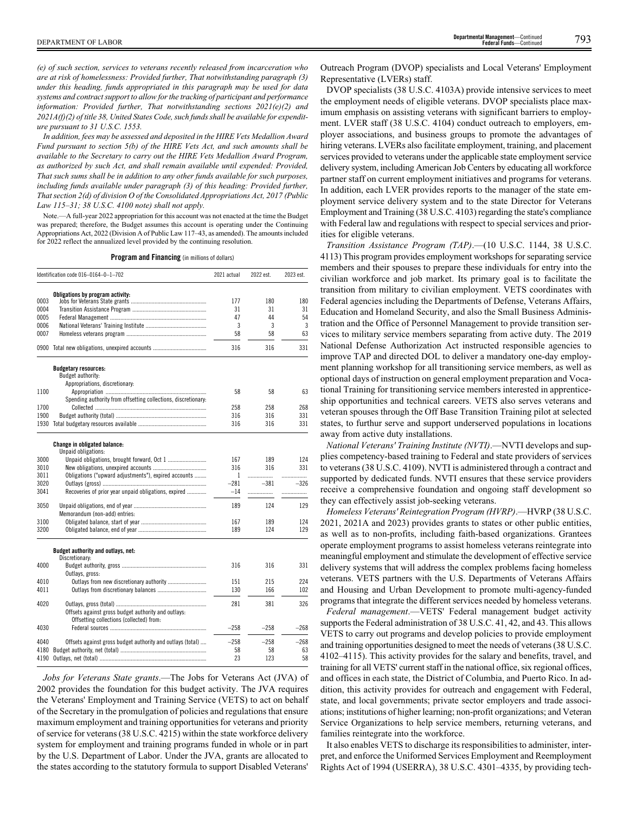*(e) of such section, services to veterans recently released from incarceration who are at risk of homelessness: Provided further, That notwithstanding paragraph (3) under this heading, funds appropriated in this paragraph may be used for data systems and contract support to allow for the tracking of participant and performance information: Provided further, That notwithstanding sections 2021(e)(2) and 2021A(f)(2) of title 38, United States Code, such funds shall be available for expenditure pursuant to 31 U.S.C. 1553.*

*In addition, fees may be assessed and deposited in the HIRE Vets Medallion Award Fund pursuant to section 5(b) of the HIRE Vets Act, and such amounts shall be available to the Secretary to carry out the HIRE Vets Medallion Award Program, as authorized by such Act, and shall remain available until expended: Provided, That such sums shall be in addition to any other funds available for such purposes, including funds available under paragraph (3) of this heading: Provided further, That section 2(d) of division O of the Consolidated Appropriations Act, 2017 (Public Law 115–31; 38 U.S.C. 4100 note) shall not apply.*

Note.—A full-year 2022 appropriation for this account was not enacted at the time the Budget was prepared; therefore, the Budget assumes this account is operating under the Continuing Appropriations Act, 2022 (Division A of Public Law 117–43, as amended). The amounts included for 2022 reflect the annualized level provided by the continuing resolution.

**Program and Financing** (in millions of dollars)

|      | Identification code 016-0164-0-1-702                           | 2021 actual | 2022 est. | 2023 est. |
|------|----------------------------------------------------------------|-------------|-----------|-----------|
|      | Obligations by program activity:                               |             |           |           |
| 0003 |                                                                | 177         | 180       | 180       |
| 0004 |                                                                | 31          | 31        | 31        |
| 0005 |                                                                | 47          | 44        | 54        |
| 0006 |                                                                | 3           | 3         | 3         |
| 0007 |                                                                | 58          | 58        | 63        |
|      | 0900 Total new obligations, unexpired accounts                 | 316         | 316       | 331       |
|      | <b>Budgetary resources:</b>                                    |             |           |           |
|      | Budget authority:                                              |             |           |           |
|      | Appropriations, discretionary:                                 |             |           |           |
| 1100 |                                                                | 58          | 58        | 63        |
|      | Spending authority from offsetting collections, discretionary. |             |           |           |
| 1700 |                                                                | 258         | 258       | 268       |
| 1900 |                                                                | 316         | 316       | 331       |
| 1930 |                                                                | 316         | 316       | 331       |
|      | <b>Change in obligated balance:</b>                            |             |           |           |
|      | Unpaid obligations:                                            |             |           |           |
| 3000 |                                                                | 167         | 189       | 124       |
| 3010 |                                                                | 316         | 316       | 331       |
| 3011 | Obligations ("upward adjustments"), expired accounts           | 1           | .         | .         |
| 3020 |                                                                | $-281$      | $-381$    | $-326$    |
| 3041 | Recoveries of prior year unpaid obligations, expired           | $-14$       | .         | .         |
| 3050 |                                                                | 189         | 124       | 129       |
|      | Memorandum (non-add) entries:                                  |             |           |           |
| 3100 |                                                                | 167         | 189       | 124       |
| 3200 |                                                                | 189         | 124       | 129       |
|      | Budget authority and outlays, net:                             |             |           |           |
|      | Discretionary:                                                 |             |           |           |
| 4000 |                                                                | 316         | 316       | 331       |
|      | Outlays, gross:                                                |             |           |           |
| 4010 | Outlays from new discretionary authority                       | 151         | 215       | 224       |
| 4011 |                                                                | 130         | 166       | 102       |
| 4020 |                                                                | 281         | 381       | 326       |
|      | Offsets against gross budget authority and outlays:            |             |           |           |
|      | Offsetting collections (collected) from:                       |             |           |           |
| 4030 |                                                                | $-258$      | $-258$    | $-268$    |
| 4040 | Offsets against gross budget authority and outlays (total)     | $-258$      | $-258$    | $-268$    |
| 4180 |                                                                | 58          | 58        | 63        |
| 4190 |                                                                | 23          | 123       | 58        |

*Jobs for Veterans State grants*.—The Jobs for Veterans Act (JVA) of 2002 provides the foundation for this budget activity. The JVA requires the Veterans' Employment and Training Service (VETS) to act on behalf of the Secretary in the promulgation of policies and regulations that ensure maximum employment and training opportunities for veterans and priority of service for veterans (38 U.S.C. 4215) within the state workforce delivery system for employment and training programs funded in whole or in part by the U.S. Department of Labor. Under the JVA, grants are allocated to the states according to the statutory formula to support Disabled Veterans'

Outreach Program (DVOP) specialists and Local Veterans' Employment Representative (LVERs) staff.

DVOP specialists (38 U.S.C. 4103A) provide intensive services to meet the employment needs of eligible veterans. DVOP specialists place maximum emphasis on assisting veterans with significant barriers to employment. LVER staff (38 U.S.C. 4104) conduct outreach to employers, employer associations, and business groups to promote the advantages of hiring veterans. LVERs also facilitate employment, training, and placement services provided to veterans under the applicable state employment service delivery system, including American Job Centers by educating all workforce partner staff on current employment initiatives and programs for veterans. In addition, each LVER provides reports to the manager of the state employment service delivery system and to the state Director for Veterans Employment and Training (38 U.S.C. 4103) regarding the state's compliance with Federal law and regulations with respect to special services and priorities for eligible veterans.

*Transition Assistance Program (TAP)*.—(10 U.S.C. 1144, 38 U.S.C. 4113) This program provides employment workshops for separating service members and their spouses to prepare these individuals for entry into the civilian workforce and job market. Its primary goal is to facilitate the transition from military to civilian employment. VETS coordinates with Federal agencies including the Departments of Defense, Veterans Affairs, Education and Homeland Security, and also the Small Business Administration and the Office of Personnel Management to provide transition services to military service members separating from active duty. The 2019 National Defense Authorization Act instructed responsible agencies to improve TAP and directed DOL to deliver a mandatory one-day employment planning workshop for all transitioning service members, as well as optional days of instruction on general employment preparation and Vocational Training for transitioning service members interested in apprenticeship opportunities and technical careers. VETS also serves veterans and veteran spouses through the Off Base Transition Training pilot at selected states, to furthur serve and support underserved populations in locations away from active duty installations.

*National Veterans' Training Institute (NVTI)*.—NVTI develops and supplies competency-based training to Federal and state providers of services to veterans (38 U.S.C. 4109). NVTI is administered through a contract and supported by dedicated funds. NVTI ensures that these service providers receive a comprehensive foundation and ongoing staff development so they can effectively assist job-seeking veterans.

*Homeless Veterans' Reintegration Program (HVRP)*.—HVRP (38 U.S.C. 2021, 2021A and 2023) provides grants to states or other public entities, as well as to non-profits, including faith-based organizations. Grantees operate employment programs to assist homeless veterans reintegrate into meaningful employment and stimulate the development of effective service delivery systems that will address the complex problems facing homeless veterans. VETS partners with the U.S. Departments of Veterans Affairs and Housing and Urban Development to promote multi-agency-funded programs that integrate the different services needed by homeless veterans.

*Federal management*.—VETS' Federal management budget activity supports the Federal administration of 38 U.S.C. 41, 42, and 43. This allows VETS to carry out programs and develop policies to provide employment and training opportunities designed to meet the needs of veterans (38 U.S.C. 4102–4115). This activity provides for the salary and benefits, travel, and training for all VETS' current staff in the national office, six regional offices, and offices in each state, the District of Columbia, and Puerto Rico. In addition, this activity provides for outreach and engagement with Federal, state, and local governments; private sector employers and trade associations; institutions of higher learning; non-profit organizations; and Veteran Service Organizations to help service members, returning veterans, and families reintegrate into the workforce.

It also enables VETS to discharge its responsibilities to administer, interpret, and enforce the Uniformed Services Employment and Reemployment Rights Act of 1994 (USERRA), 38 U.S.C. 4301–4335, by providing tech-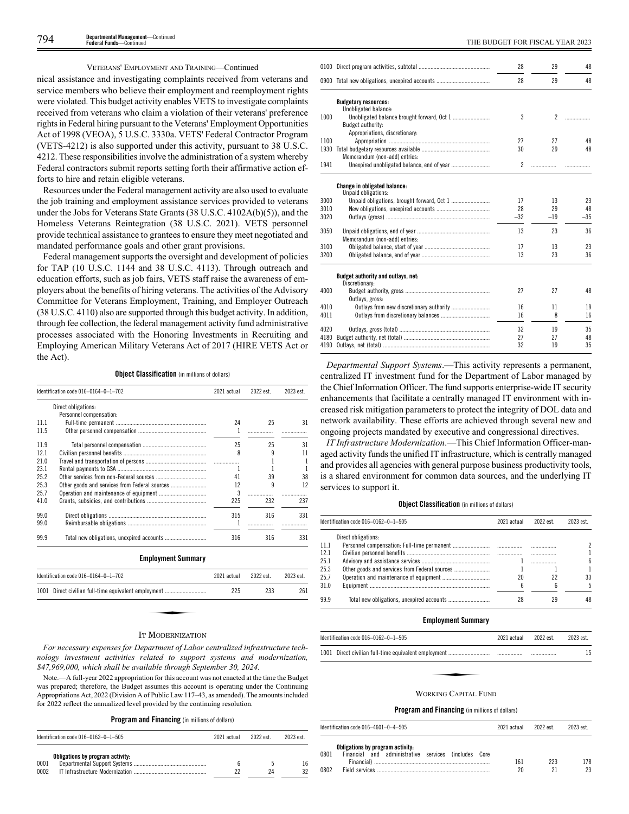# VETERANS' EMPLOYMENT AND TRAINING—Continued

nical assistance and investigating complaints received from veterans and service members who believe their employment and reemployment rights were violated. This budget activity enables VETS to investigate complaints received from veterans who claim a violation of their veterans' preference rights in Federal hiring pursuant to the Veterans' Employment Opportunities Act of 1998 (VEOA), 5 U.S.C. 3330a. VETS' Federal Contractor Program (VETS-4212) is also supported under this activity, pursuant to 38 U.S.C. 4212. These responsibilities involve the administration of a system whereby Federal contractors submit reports setting forth their affirmative action efforts to hire and retain eligible veterans.

Resources under the Federal management activity are also used to evaluate the job training and employment assistance services provided to veterans under the Jobs for Veterans State Grants (38 U.S.C. 4102A(b)(5)), and the Homeless Veterans Reintegration (38 U.S.C. 2021). VETS personnel provide technical assistance to grantees to ensure they meet negotiated and mandated performance goals and other grant provisions.

Federal management supports the oversight and development of policies for TAP (10 U.S.C. 1144 and 38 U.S.C. 4113). Through outreach and education efforts, such as job fairs, VETS staff raise the awareness of employers about the benefits of hiring veterans. The activities of the Advisory Committee for Veterans Employment, Training, and Employer Outreach (38 U.S.C. 4110) also are supported through this budget activity. In addition, through fee collection, the federal management activity fund administrative processes associated with the Honoring Investments in Recruiting and Employing American Military Veterans Act of 2017 (HIRE VETS Act or the Act).

# **Object Classification** (in millions of dollars)

|      | Identification code 016-0164-0-1-702                 | 2021 actual | 2022 est. | 2023 est. |
|------|------------------------------------------------------|-------------|-----------|-----------|
|      | Direct obligations:                                  |             |           |           |
|      | Personnel compensation:                              |             |           |           |
| 11.1 |                                                      | 24          | 25        | 31        |
| 11.5 |                                                      | 1           |           |           |
| 11.9 |                                                      | 25          | 25        | 31        |
| 12.1 |                                                      | 8           | 9         | 11        |
| 21.0 |                                                      | .           |           | 1         |
| 23.1 |                                                      | 1           |           |           |
| 25.2 |                                                      | 41          | 39        | 38        |
| 25.3 | Other goods and services from Federal sources        | 12          | 9         | 12        |
| 25.7 |                                                      | 3           | .         | .         |
| 41.0 |                                                      | 225         | 232       | 237       |
| 99.0 |                                                      | 315         | 316       | 331       |
| 99.0 |                                                      |             | .         |           |
| 99.9 |                                                      | 316         | 316       | 331       |
|      | <b>Employment Summary</b>                            |             |           |           |
|      | Identification code 016-0164-0-1-702                 | 2021 actual | 2022 est. | 2023 est. |
|      | 1001 Direct civilian full-time equivalent employment | 225         | 233       | 261       |

# IT MODERNIZATION

*For necessary expenses for Department of Labor centralized infrastructure technology investment activities related to support systems and modernization, \$47,969,000, which shall be available through September 30, 2024.*

Note.—A full-year 2022 appropriation for this account was not enacted at the time the Budget was prepared; therefore, the Budget assumes this account is operating under the Continuing Appropriations Act, 2022 (Division A of Public Law 117–43, as amended). The amounts included for 2022 reflect the annualized level provided by the continuing resolution.

# **Program and Financing** (in millions of dollars)

| Identification code $016-0162-0-1-505$           | 2021 actual | 2022 est | 2023 est. |
|--------------------------------------------------|-------------|----------|-----------|
| Obligations by program activity:<br>0001<br>0002 |             | 2Δ       | 16<br>32  |

| 48<br>. |
|---------|
| 48      |
|         |
|         |
|         |
|         |
|         |
| 48      |
|         |
| 48      |
|         |
|         |
|         |
|         |
| 23      |
| 48      |
| $-35$   |
| 36      |
|         |
| 23      |
| 36      |
|         |
|         |
|         |
| 48      |
|         |
| 19      |
| 16      |
| 35      |
| 48      |
| 35      |
|         |

*Departmental Support Systems*.—This activity represents a permanent, centralized IT investment fund for the Department of Labor managed by the Chief Information Officer. The fund supports enterprise-wide IT security enhancements that facilitate a centrally managed IT environment with increased risk mitigation parameters to protect the integrity of DOL data and network availability. These efforts are achieved through several new and ongoing projects mandated by executive and congressional directives.

*IT Infrastructure Modernization*.—This Chief Information Officer-managed activity funds the unified IT infrastructure, which is centrally managed and provides all agencies with general purpose business productivity tools, is a shared environment for common data sources, and the underlying IT services to support it.

# **Object Classification** (in millions of dollars)

|      | Identification code 016-0162-0-1-505 | 2021 actual | 2022 est | 2023 est. |
|------|--------------------------------------|-------------|----------|-----------|
|      | Direct obligations:                  |             |          |           |
| 11.1 |                                      |             |          |           |
| 12.1 |                                      |             |          |           |
| 25.1 |                                      |             |          | 6         |
| 25.3 |                                      |             |          |           |
| 25.7 |                                      | 20          | 22       | 33        |
| 31.0 |                                      | ĥ           |          | 5         |
| 99.9 |                                      |             | 29       | 48        |

#### **Employment Summary**

| Identification code 016-0162-0-1-505 | 2021 actual | 2022 est. | 2023 est. |
|--------------------------------------|-------------|-----------|-----------|
|                                      |             |           | 15        |
|                                      |             |           |           |
|                                      |             |           |           |
| <b>WORKING CAPITAL FUND</b>          |             |           |           |

#### **Program and Financing** (in millions of dollars)

|      | Identification code 016-4601-0-4-505                                                     | 2021 actual | 2022 est. | 2023 est. |
|------|------------------------------------------------------------------------------------------|-------------|-----------|-----------|
| 0801 | Obligations by program activity:<br>Financial and administrative services (includes Core | 161         | 223       | 178       |
| 0802 |                                                                                          | 20          |           | 23        |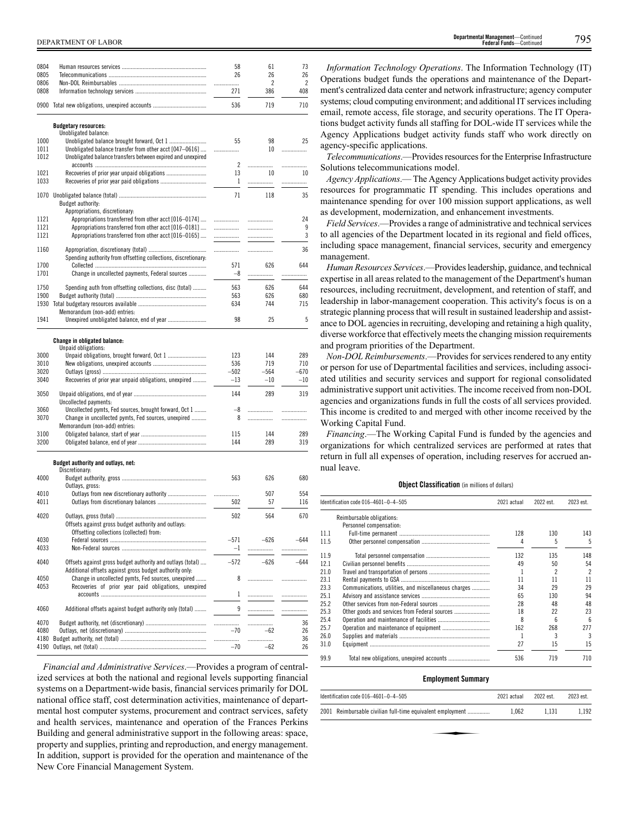| 0804         |                                                                                                                       | 58         | 61         | 73         |
|--------------|-----------------------------------------------------------------------------------------------------------------------|------------|------------|------------|
| 0805         |                                                                                                                       | 26         | 26         | 26         |
| 0806         |                                                                                                                       | .          | 2          | 2          |
| 0808         |                                                                                                                       | 271        | 386        | 408        |
|              | 0900 Total new obligations, unexpired accounts                                                                        | 536        | 719        | 710        |
|              | <b>Budgetary resources:</b>                                                                                           |            |            |            |
| 1000         | Unobligated balance:                                                                                                  | 55         | 98         | 25         |
| 1011         | Unobligated balance transfer from other acct [047-0616]                                                               |            | 10         |            |
| 1012         | Unobligated balance transfers between expired and unexpired                                                           |            |            |            |
| 1021         |                                                                                                                       | 2<br>13    | .<br>10    | .<br>10    |
| 1033         |                                                                                                                       | 1          | .          | .          |
|              |                                                                                                                       | 71         |            |            |
| 1070         | Budget authority:                                                                                                     |            | 118        | 35         |
|              | Appropriations, discretionary:                                                                                        |            |            |            |
| 1121<br>1121 | Appropriations transferred from other acct [016-0174]<br>Appropriations transferred from other acct [016-0181]        | <br>       | .          | 24<br>9    |
| 1121         | Appropriations transferred from other acct [016-0165]                                                                 |            | .          | 3          |
|              |                                                                                                                       |            |            |            |
| 1160         | Spending authority from offsetting collections, discretionary:                                                        | .          |            | 36         |
| 1700         |                                                                                                                       | 571        | 626        | 644        |
| 1701         | Change in uncollected payments, Federal sources                                                                       | $-8$       | .          | .          |
| 1750         | Spending auth from offsetting collections, disc (total)                                                               | 563        | 626        | 644        |
| 1900         |                                                                                                                       | 563        | 626        | 680        |
| 1930         |                                                                                                                       | 634        | 744        | 715        |
| 1941         | Memorandum (non-add) entries:                                                                                         | 98         | 25         | 5          |
|              |                                                                                                                       |            |            |            |
|              | <b>Change in obligated balance:</b><br>Unpaid obligations:                                                            |            |            |            |
| 3000         |                                                                                                                       | 123        | 144        | 289        |
| 3010         |                                                                                                                       | 536        | 719        | 710        |
| 3020         |                                                                                                                       | $-502$     | $-564$     | $-670$     |
| 3040         | Recoveries of prior year unpaid obligations, unexpired                                                                | $-13$      | $-10$      | $-10$      |
| 3050         | Uncollected payments:                                                                                                 | 144        | 289        | 319        |
| 3060         | Uncollected pymts, Fed sources, brought forward, Oct 1                                                                | -8         | .          | .          |
| 3070         | Change in uncollected pymts, Fed sources, unexpired                                                                   | 8          | .          | .          |
|              | Memorandum (non-add) entries:                                                                                         |            |            |            |
| 3100         |                                                                                                                       | 115        | 144        | 289        |
| 3200         |                                                                                                                       | 144        | 289        | 319        |
|              | Budget authority and outlays, net:                                                                                    |            |            |            |
|              | Discretionary:                                                                                                        |            |            |            |
| 4000         |                                                                                                                       | 563        | 626        | 680        |
|              | Outlays, gross:                                                                                                       |            |            |            |
| 4010<br>4011 |                                                                                                                       | .<br>502   | 507<br>57  | 554<br>116 |
|              |                                                                                                                       |            |            |            |
| 4020         |                                                                                                                       | 502        | 564        | 670        |
|              | Offsets against gross budget authority and outlays:<br>Offsetting collections (collected) from:                       |            |            |            |
| 4030         |                                                                                                                       | $-571$     | $-626$     | $-644$     |
| 4033         |                                                                                                                       | $-1$       | .          | .          |
|              |                                                                                                                       |            |            |            |
| 4040         | Offsets against gross budget authority and outlays (total)<br>Additional offsets against gross budget authority only: | $-572$     | $-626$     | -644       |
| 4050         | Change in uncollected pymts, Fed sources, unexpired                                                                   | 8          |            | .          |
| 4053         | Recoveries of prior year paid obligations, unexpired                                                                  | 1          | .          | .          |
| 4060         | Additional offsets against budget authority only (total)                                                              | 9          |            |            |
|              |                                                                                                                       |            |            |            |
| 4070<br>4080 |                                                                                                                       | .<br>$-70$ | .<br>$-62$ | 36<br>26   |
| 4180         |                                                                                                                       | .          | .          | 36         |
| 4190         |                                                                                                                       | $-70$      | $-62$      | 26         |

*Financial and Administrative Services*.—Provides a program of centralized services at both the national and regional levels supporting financial systems on a Department-wide basis, financial services primarily for DOL national office staff, cost determination activities, maintenance of departmental host computer systems, procurement and contract services, safety and health services, maintenance and operation of the Frances Perkins Building and general administrative support in the following areas: space, property and supplies, printing and reproduction, and energy management. In addition, support is provided for the operation and maintenance of the New Core Financial Management System.

*Information Technology Operations*. The Information Technology (IT) Operations budget funds the operations and maintenance of the Department's centralized data center and network infrastructure; agency computer systems; cloud computing environment; and additional IT services including email, remote access, file storage, and security operations. The IT Operations budget activity funds all staffing for DOL-wide IT services while the Agency Applications budget activity funds staff who work directly on agency-specific applications.

*Telecommunications*.—Provides resources for the Enterprise Infrastructure Solutions telecommunications model.

*Agency Applications*.— The Agency Applications budget activity provides resources for programmatic IT spending. This includes operations and maintenance spending for over 100 mission support applications, as well as development, modernization, and enhancement investments.

*Field Services*.—Provides a range of administrative and technical services to all agencies of the Department located in its regional and field offices, including space management, financial services, security and emergency management.

*Human Resources Services*.—Provides leadership, guidance, and technical expertise in all areas related to the management of the Department's human resources, including recruitment, development, and retention of staff, and leadership in labor-management cooperation. This activity's focus is on a strategic planning process that will result in sustained leadership and assistance to DOL agencies in recruiting, developing and retaining a high quality, diverse workforce that effectively meets the changing mission requirements and program priorities of the Department.

*Non-DOL Reimbursements*.—Provides for services rendered to any entity or person for use of Departmental facilities and services, including associated utilities and security services and support for regional consolidated administrative support unit activities. The income received from non-DOL agencies and organizations funds in full the costs of all services provided. This income is credited to and merged with other income received by the Working Capital Fund.

*Financing*.—The Working Capital Fund is funded by the agencies and organizations for which centralized services are performed at rates that return in full all expenses of operation, including reserves for accrued annual leave.

# **Object Classification** (in millions of dollars)

|      | Identification code 016-4601-0-4-505                 | 2021 actual | 2022 est. | 2023 est.                |
|------|------------------------------------------------------|-------------|-----------|--------------------------|
|      | Reimbursable obligations:                            |             |           |                          |
|      | Personnel compensation:                              |             |           |                          |
| 11.1 |                                                      | 128         | 130       | 143                      |
| 11.5 |                                                      | 4           | 5         | 5                        |
| 11.9 |                                                      | 132         | 135       | 148                      |
| 12.1 |                                                      | 49          | 50        | 54                       |
| 21.0 |                                                      |             |           | $\overline{\phantom{a}}$ |
| 23.1 |                                                      | 11          | 11        | 11                       |
| 23.3 | Communications, utilities, and miscellaneous charges | 34          | 29        | 29                       |
| 25.1 |                                                      | 65          | 130       | 94                       |
| 25.2 |                                                      | 28          | 48        | 48                       |
| 25.3 |                                                      | 18          | 22        | 23                       |
| 25.4 |                                                      | 8           | ĥ         | 6                        |
| 25.7 |                                                      | 162         | 268       | 277                      |
| 26.0 |                                                      |             |           | 3                        |
| 31.0 |                                                      | 27          | 15        | 15                       |
| 99.9 |                                                      | 536         | 719       | 710                      |

#### **Employment Summary**

| Identification code 016-4601-0-4-505                       | 2021 actual | 2022 est. | 2023 est. |
|------------------------------------------------------------|-------------|-----------|-----------|
| 2001 Reimbursable civilian full-time equivalent employment | 1.062       | 1.131     | 1.192     |
|                                                            |             |           |           |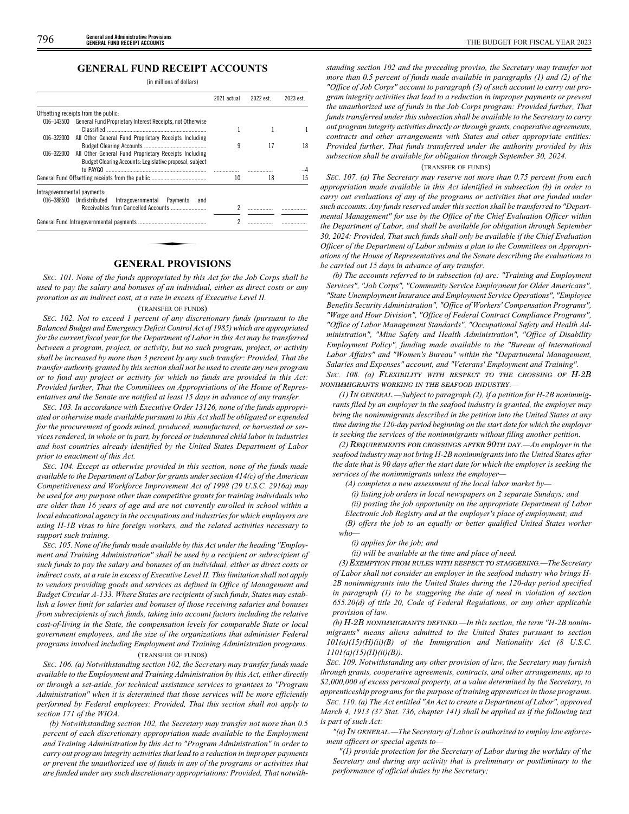# **GENERAL FUND RECEIPT ACCOUNTS**

(in millions of dollars)

|            |                                                                                                                  | 2021 actual | 2022 est. | 2023 est. |
|------------|------------------------------------------------------------------------------------------------------------------|-------------|-----------|-----------|
|            | Offsetting receipts from the public:                                                                             |             |           |           |
| 016-143500 | General Fund Proprietary Interest Receipts, not Otherwise                                                        |             |           |           |
| 016-322000 | All Other General Fund Proprietary Receipts Including                                                            | 9           | 17        | 18        |
| 016-322000 | All Other General Fund Proprietary Receipts Including<br>Budget Clearing Accounts: Legislative proposal, subject |             |           |           |
|            |                                                                                                                  |             |           |           |
|            |                                                                                                                  | 10          | 18        | 15        |
|            | Intragovernmental payments:                                                                                      |             |           |           |
|            | 016-388500 Undistributed<br>Intragovernmental Payments<br>and                                                    |             |           |           |
|            |                                                                                                                  |             |           |           |
|            |                                                                                                                  | 2           |           |           |

# **GENERAL PROVISIONS**

*SEC. 101. None of the funds appropriated by this Act for the Job Corps shall be used to pay the salary and bonuses of an individual, either as direct costs or any proration as an indirect cost, at a rate in excess of Executive Level II.*

#### (TRANSFER OF FUNDS)

*SEC. 102. Not to exceed 1 percent of any discretionary funds (pursuant to the Balanced Budget and Emergency Deficit Control Act of 1985) which are appropriated for the current fiscal year for the Department of Labor in this Act may be transferred between a program, project, or activity, but no such program, project, or activity shall be increased by more than 3 percent by any such transfer: Provided, That the transfer authority granted by this section shall not be used to create any new program or to fund any project or activity for which no funds are provided in this Act: Provided further, That the Committees on Appropriations of the House of Representatives and the Senate are notified at least 15 days in advance of any transfer.*

*SEC. 103. In accordance with Executive Order 13126, none of the funds appropriated or otherwise made available pursuant to this Act shall be obligated or expended for the procurement of goods mined, produced, manufactured, or harvested or services rendered, in whole or in part, by forced or indentured child labor in industries and host countries already identified by the United States Department of Labor prior to enactment of this Act.*

*SEC. 104. Except as otherwise provided in this section, none of the funds made available to the Department of Labor for grants under section 414(c) of the American Competitiveness and Workforce Improvement Act of 1998 (29 U.S.C. 2916a) may be used for any purpose other than competitive grants for training individuals who are older than 16 years of age and are not currently enrolled in school within a local educational agency in the occupations and industries for which employers are using H-1B visas to hire foreign workers, and the related activities necessary to support such training.*

*SEC. 105. None of the funds made available by this Act under the heading "Employment and Training Administration" shall be used by a recipient or subrecipient of such funds to pay the salary and bonuses of an individual, either as direct costs or indirect costs, at a rate in excess of Executive Level II. This limitation shall not apply to vendors providing goods and services as defined in Office of Management and Budget Circular A-133. Where States are recipients of such funds, States may establish a lower limit for salaries and bonuses of those receiving salaries and bonuses from subrecipients of such funds, taking into account factors including the relative cost-of-living in the State, the compensation levels for comparable State or local government employees, and the size of the organizations that administer Federal programs involved including Employment and Training Administration programs.*

# (TRANSFER OF FUNDS)

*SEC. 106. (a) Notwithstanding section 102, the Secretary may transfer funds made available to the Employment and Training Administration by this Act, either directly or through a set-aside, for technical assistance services to grantees to "Program Administration" when it is determined that those services will be more efficiently performed by Federal employees: Provided, That this section shall not apply to section 171 of the WIOA.*

*(b) Notwithstanding section 102, the Secretary may transfer not more than 0.5 percent of each discretionary appropriation made available to the Employment and Training Administration by this Act to "Program Administration" in order to carry out program integrity activities that lead to a reduction in improper payments or prevent the unauthorized use of funds in any of the programs or activities that are funded under any such discretionary appropriations: Provided, That notwith-*

*standing section 102 and the preceding proviso, the Secretary may transfer not more than 0.5 percent of funds made available in paragraphs (1) and (2) of the "Office of Job Corps" account to paragraph (3) of such account to carry out program integrity activities that lead to a reduction in improper payments or prevent the unauthorized use of funds in the Job Corps program: Provided further, That funds transferred under this subsection shall be available to the Secretary to carry out program integrity activities directly or through grants, cooperative agreements, contracts and other arrangements with States and other appropriate entities: Provided further, That funds transferred under the authority provided by this subsection shall be available for obligation through September 30, 2024.*

#### (TRANSFER OF FUNDS)

*SEC. 107. (a) The Secretary may reserve not more than 0.75 percent from each appropriation made available in this Act identified in subsection (b) in order to carry out evaluations of any of the programs or activities that are funded under such accounts. Any funds reserved under this section shall be transferred to "Departmental Management" for use by the Office of the Chief Evaluation Officer within the Department of Labor, and shall be available for obligation through September 30, 2024: Provided, That such funds shall only be available if the Chief Evaluation Officer of the Department of Labor submits a plan to the Committees on Appropriations of the House of Representatives and the Senate describing the evaluations to be carried out 15 days in advance of any transfer.*

*(b) The accounts referred to in subsection (a) are: "Training and Employment Services", "Job Corps", "Community Service Employment for Older Americans", "State Unemployment Insurance and Employment Service Operations", "Employee Benefits Security Administration", "Office of Workers' Compensation Programs", "Wage and Hour Division", "Office of Federal Contract Compliance Programs", "Office of Labor Management Standards", "Occupational Safety and Health Administration", "Mine Safety and Health Administration", "Office of Disability Employment Policy", funding made available to the "Bureau of International Labor Affairs" and "Women's Bureau" within the "Departmental Management, Salaries and Expenses" account, and "Veterans' Employment and Training". SEC. 108. (a)* FLEXIBILITY WITH RESPECT TO THE CROSSING OF H-2B NONIMMIGRANTS WORKING IN THE SEAFOOD INDUSTRY*.—*

*(1)* IN GENERAL*.—Subject to paragraph (2), if a petition for H-2B nonimmigrants filed by an employer in the seafood industry is granted, the employer may bring the nonimmigrants described in the petition into the United States at any time during the 120-day period beginning on the start date for which the employer is seeking the services of the nonimmigrants without filing another petition.*

*(2)* REQUIREMENTS FOR CROSSINGS AFTER 90TH DAY*.—An employer in the seafood industry may not bring H-2B nonimmigrants into the United States after the date that is 90 days after the start date for which the employer is seeking the services of the nonimmigrants unless the employer—*

*(A) completes a new assessment of the local labor market by—*

*(i) listing job orders in local newspapers on 2 separate Sundays; and*

*(ii) posting the job opportunity on the appropriate Department of Labor Electronic Job Registry and at the employer's place of employment; and*

*(B) offers the job to an equally or better qualified United States worker who—*

# *(i) applies for the job; and*

*(ii) will be available at the time and place of need.*

*(3)* EXEMPTION FROM RULES WITH RESPECT TO STAGGERING*.—The Secretary of Labor shall not consider an employer in the seafood industry who brings H-2B nonimmigrants into the United States during the 120-day period specified in paragraph (1) to be staggering the date of need in violation of section 655.20(d) of title 20, Code of Federal Regulations, or any other applicable provision of law.*

*(b)* H-2B NONIMMIGRANTS DEFINED*.—In this section, the term "H-2B nonimmigrants" means aliens admitted to the United States pursuant to section 101(a)(15)(H)(ii)(B) of the Immigration and Nationality Act (8 U.S.C. 1101(a)(15)(H)(ii)(B)).*

*SEC. 109. Notwithstanding any other provision of law, the Secretary may furnish through grants, cooperative agreements, contracts, and other arrangements, up to \$2,000,000 of excess personal property, at a value determined by the Secretary, to apprenticeship programs for the purpose of training apprentices in those programs.*

*SEC. 110. (a) The Act entitled "An Act to create a Department of Labor", approved March 4, 1913 (37 Stat. 736, chapter 141) shall be applied as if the following text is part of such Act:*

*"(a)* IN GENERAL*.—The Secretary of Labor is authorized to employ law enforcement officers or special agents to—*

*"(1) provide protection for the Secretary of Labor during the workday of the Secretary and during any activity that is preliminary or postliminary to the performance of official duties by the Secretary;*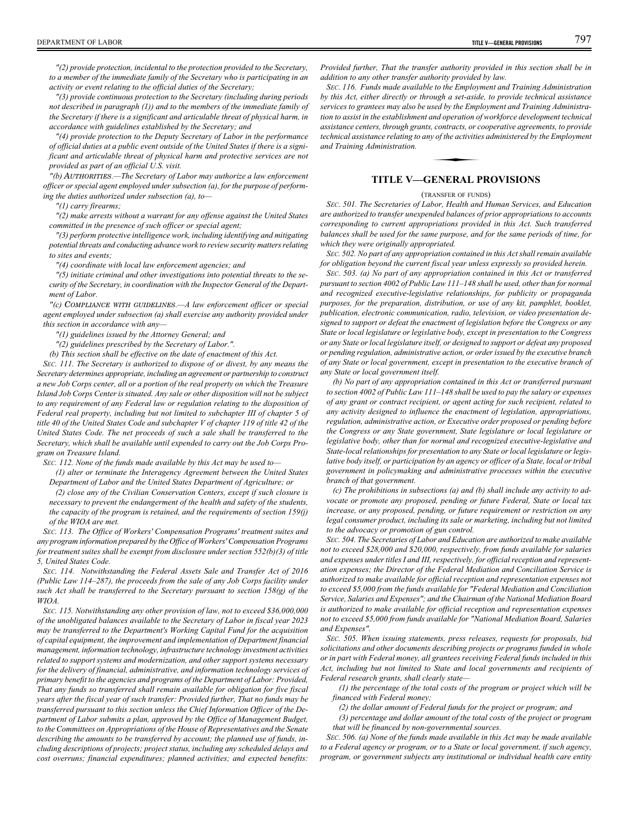*"(2) provide protection, incidental to the protection provided to the Secretary, to a member of the immediate family of the Secretary who is participating in an activity or event relating to the official duties of the Secretary;*

*"(3) provide continuous protection to the Secretary (including during periods not described in paragraph (1)) and to the members of the immediate family of the Secretary if there is a significant and articulable threat of physical harm, in accordance with guidelines established by the Secretary; and*

*"(4) provide protection to the Deputy Secretary of Labor in the performance of official duties at a public event outside of the United States if there is a significant and articulable threat of physical harm and protective services are not provided as part of an official U.S. visit.*

*"(b)* AUTHORITIES*.—The Secretary of Labor may authorize a law enforcement officer or special agent employed under subsection (a), for the purpose of performing the duties authorized under subsection (a), to—*

*"(1) carry firearms;*

*"(2) make arrests without a warrant for any offense against the United States committed in the presence of such officer or special agent;*

*"(3) perform protective intelligence work, including identifying and mitigating potential threats and conducting advance work to review security matters relating to sites and events;*

*"(4) coordinate with local law enforcement agencies; and*

*"(5) initiate criminal and other investigations into potential threats to the security of the Secretary, in coordination with the Inspector General of the Department of Labor.*

*"(c)* COMPLIANCE WITH GUIDELINES*.—A law enforcement officer or special agent employed under subsection (a) shall exercise any authority provided under this section in accordance with any—*

*"(1) guidelines issued by the Attorney General; and*

*"(2) guidelines prescribed by the Secretary of Labor.".*

*(b) This section shall be effective on the date of enactment of this Act.*

*SEC. 111. The Secretary is authorized to dispose of or divest, by any means the Secretary determines appropriate, including an agreement or partnership to construct a new Job Corps center, all or a portion of the real property on which the Treasure Island Job Corps Center is situated. Any sale or other disposition will not be subject to any requirement of any Federal law or regulation relating to the disposition of Federal real property, including but not limited to subchapter III of chapter 5 of title 40 of the United States Code and subchapter V of chapter 119 of title 42 of the United States Code. The net proceeds of such a sale shall be transferred to the Secretary, which shall be available until expended to carry out the Job Corps Program on Treasure Island.*

*SEC. 112. None of the funds made available by this Act may be used to—*

*(1) alter or terminate the Interagency Agreement between the United States Department of Labor and the United States Department of Agriculture; or*

*(2) close any of the Civilian Conservation Centers, except if such closure is necessary to prevent the endangerment of the health and safety of the students, the capacity of the program is retained, and the requirements of section 159(j) of the WIOA are met.*

*SEC. 113. The Office of Workers' Compensation Programs' treatment suites and any program information prepared by the Office of Workers' Compensation Programs for treatment suites shall be exempt from disclosure under section 552(b)(3) of title 5, United States Code.*

*SEC. 114. Notwithstanding the Federal Assets Sale and Transfer Act of 2016 (Public Law 114–287), the proceeds from the sale of any Job Corps facility under such Act shall be transferred to the Secretary pursuant to section 158(g) of the WIOA.*

*SEC. 115. Notwithstanding any other provision of law, not to exceed \$36,000,000 of the unobligated balances available to the Secretary of Labor in fiscal year 2023 may be transferred to the Department's Working Capital Fund for the acquisition of capital equipment, the improvement and implementation of Department financial management, information technology, infrastructure technology investment activities related to support systems and modernization, and other support systems necessary for the delivery of financial, administrative, and information technology services of primary benefit to the agencies and programs of the Department of Labor: Provided, That any funds so transferred shall remain available for obligation for five fiscal years after the fiscal year of such transfer: Provided further, That no funds may be transferred pursuant to this section unless the Chief Information Officer of the Department of Labor submits a plan, approved by the Office of Management Budget, to the Committees on Appropriations of the House of Representatives and the Senate describing the amounts to be transferred by account; the planned use of funds, including descriptions of projects; project status, including any scheduled delays and cost overruns; financial expenditures; planned activities; and expected benefits:*

*Provided further, That the transfer authority provided in this section shall be in addition to any other transfer authority provided by law.*

*SEC. 116. Funds made available to the Employment and Training Administration by this Act, either directly or through a set-aside, to provide technical assistance services to grantees may also be used by the Employment and Training Administration to assist in the establishment and operation of workforce development technical assistance centers, through grants, contracts, or cooperative agreements, to provide technical assistance relating to any of the activities administered by the Employment and Training Administration.* and operation of<br>, contracts, or co<br>y of the activitie.<br>**ENFPAL P** 

# **TITLE V—GENERAL PROVISIONS**

# (TRANSFER OF FUNDS)

*SEC. 501. The Secretaries of Labor, Health and Human Services, and Education are authorized to transfer unexpended balances of prior appropriations to accounts corresponding to current appropriations provided in this Act. Such transferred balances shall be used for the same purpose, and for the same periods of time, for which they were originally appropriated.*

*SEC. 502. No part of any appropriation contained in this Act shall remain available for obligation beyond the current fiscal year unless expressly so provided herein.*

*SEC. 503. (a) No part of any appropriation contained in this Act or transferred pursuant to section 4002 of Public Law 111–148 shall be used, other than for normal and recognized executive-legislative relationships, for publicity or propaganda purposes, for the preparation, distribution, or use of any kit, pamphlet, booklet, publication, electronic communication, radio, television, or video presentation designed to support or defeat the enactment of legislation before the Congress or any State or local legislature or legislative body, except in presentation to the Congress or any State or local legislature itself, or designed to support or defeat any proposed or pending regulation, administrative action, or order issued by the executive branch of any State or local government, except in presentation to the executive branch of any State or local government itself.*

*(b) No part of any appropriation contained in this Act or transferred pursuant to section 4002 of Public Law 111–148 shall be used to pay the salary or expenses of any grant or contract recipient, or agent acting for such recipient, related to any activity designed to influence the enactment of legislation, appropriations, regulation, administrative action, or Executive order proposed or pending before the Congress or any State government, State legislature or local legislature or legislative body, other than for normal and recognized executive-legislative and State-local relationships for presentation to any State or local legislature or legislative body itself, or participation by an agency or officer of a State, local or tribal government in policymaking and administrative processes within the executive branch of that government.*

*(c) The prohibitions in subsections (a) and (b) shall include any activity to advocate or promote any proposed, pending or future Federal, State or local tax increase, or any proposed, pending, or future requirement or restriction on any legal consumer product, including its sale or marketing, including but not limited to the advocacy or promotion of gun control.*

*SEC. 504. The Secretaries of Labor and Education are authorized to make available not to exceed \$28,000 and \$20,000, respectively, from funds available for salaries and expenses under titles I and III, respectively, for official reception and representation expenses; the Director of the Federal Mediation and Conciliation Service is authorized to make available for official reception and representation expenses not to exceed \$5,000 from the funds available for "Federal Mediation and Conciliation Service, Salaries and Expenses"; and the Chairman of the National Mediation Board is authorized to make available for official reception and representation expenses not to exceed \$5,000 from funds available for "National Mediation Board, Salaries and Expenses".*

*SEC. 505. When issuing statements, press releases, requests for proposals, bid solicitations and other documents describing projects or programs funded in whole or in part with Federal money, all grantees receiving Federal funds included in this Act, including but not limited to State and local governments and recipients of Federal research grants, shall clearly state—*

*(1) the percentage of the total costs of the program or project which will be financed with Federal money;*

*(2) the dollar amount of Federal funds for the project or program; and*

*(3) percentage and dollar amount of the total costs of the project or program that will be financed by non-governmental sources.*

*SEC. 506. (a) None of the funds made available in this Act may be made available to a Federal agency or program, or to a State or local government, if such agency, program, or government subjects any institutional or individual health care entity*